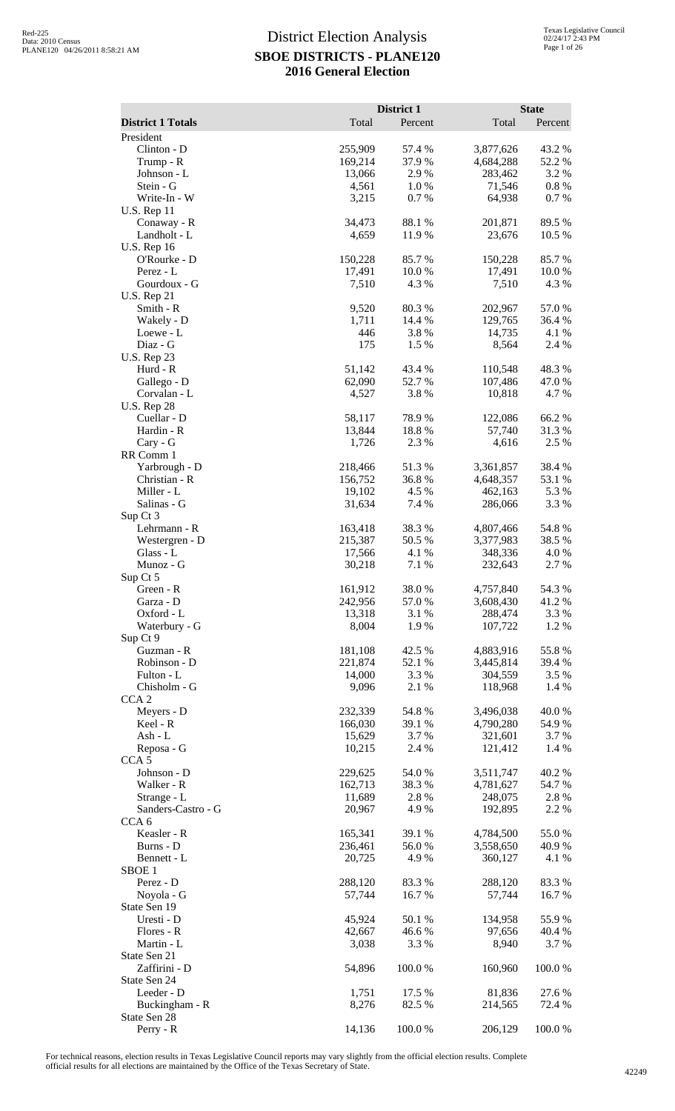|                                        |                   | District 1      |                      | <b>State</b>    |
|----------------------------------------|-------------------|-----------------|----------------------|-----------------|
| <b>District 1 Totals</b>               | Total             | Percent         | Total                | Percent         |
| President                              |                   |                 |                      |                 |
| Clinton - D                            | 255,909           | 57.4 %          | 3,877,626            | 43.2 %          |
| Trump - R<br>Johnson - L               | 169,214<br>13,066 | 37.9%<br>2.9%   | 4,684,288<br>283,462 | 52.2 %<br>3.2 % |
| Stein - G                              | 4,561             | 1.0%            | 71,546               | 0.8%            |
| Write-In - W                           | 3,215             | 0.7%            | 64,938               | 0.7 %           |
| <b>U.S. Rep 11</b>                     |                   |                 |                      |                 |
| Conaway - R                            | 34,473            | 88.1 %          | 201,871              | 89.5 %          |
| Landholt - L                           | 4,659             | 11.9%           | 23,676               | 10.5 %          |
| <b>U.S. Rep 16</b>                     |                   |                 |                      |                 |
| O'Rourke - D<br>Perez - L              | 150,228<br>17,491 | 85.7%<br>10.0%  | 150,228<br>17,491    | 85.7%<br>10.0%  |
| Gourdoux - G                           | 7,510             | 4.3 %           | 7,510                | 4.3 %           |
| <b>U.S. Rep 21</b>                     |                   |                 |                      |                 |
| Smith - R                              | 9,520             | 80.3%           | 202,967              | 57.0%           |
| Wakely - D                             | 1,711             | 14.4 %          | 129,765              | 36.4 %          |
| Loewe - L                              | 446               | 3.8%            | 14,735               | 4.1 %           |
| Diaz - G                               | 175               | 1.5 %           | 8,564                | 2.4 %           |
| <b>U.S. Rep 23</b>                     |                   |                 |                      |                 |
| Hurd - R                               | 51,142            | 43.4 %<br>52.7% | 110,548              | 48.3%           |
| Gallego - D<br>Corvalan - L            | 62,090<br>4,527   | 3.8%            | 107,486<br>10,818    | 47.0 %<br>4.7 % |
| <b>U.S. Rep 28</b>                     |                   |                 |                      |                 |
| Cuellar - D                            | 58,117            | 78.9%           | 122,086              | 66.2%           |
| Hardin - R                             | 13,844            | 18.8%           | 57,740               | 31.3 %          |
| Cary - G                               | 1,726             | 2.3 %           | 4,616                | 2.5 %           |
| RR Comm 1                              |                   |                 |                      |                 |
| Yarbrough - D                          | 218,466           | 51.3%           | 3,361,857            | 38.4 %          |
| Christian - R<br>Miller - L            | 156,752<br>19,102 | 36.8%<br>4.5 %  | 4,648,357<br>462,163 | 53.1 %<br>5.3 % |
| Salinas - G                            | 31,634            | 7.4 %           | 286,066              | 3.3 %           |
| Sup Ct 3                               |                   |                 |                      |                 |
| Lehrmann - R                           | 163,418           | 38.3%           | 4,807,466            | 54.8%           |
| Westergren - D                         | 215,387           | 50.5 %          | 3,377,983            | 38.5 %          |
| Glass - L                              | 17,566            | 4.1 %           | 348,336              | 4.0 %           |
| Munoz - G                              | 30,218            | 7.1 %           | 232,643              | 2.7 %           |
| Sup Ct 5                               |                   |                 |                      |                 |
| Green - R                              | 161,912           | 38.0%           | 4,757,840            | 54.3 %<br>41.2% |
| Garza - D<br>Oxford - L                | 242,956<br>13,318 | 57.0 %<br>3.1 % | 3,608,430<br>288,474 | 3.3 %           |
| Waterbury - G                          | 8,004             | 1.9%            | 107,722              | 1.2 %           |
| Sup Ct 9                               |                   |                 |                      |                 |
| Guzman - R                             | 181,108           | 42.5 %          | 4,883,916            | 55.8%           |
| Robinson - D                           | 221,874           | 52.1 %          | 3,445,814            | 39.4 %          |
| Fulton - L                             | 14,000            | 3.3 %           | 304,559              | 3.5 %           |
| Chisholm - G                           | 9,096             | 2.1 %           | 118,968              | 1.4 %           |
| CCA <sub>2</sub><br>Meyers - D         | 232,339           | 54.8%           | 3,496,038            | 40.0%           |
| Keel - R                               | 166,030           | 39.1 %          | 4,790,280            | 54.9%           |
| Ash - L                                | 15,629            | 3.7 %           | 321,601              | 3.7 %           |
| Reposa - G                             | 10,215            | 2.4 %           | 121,412              | 1.4 %           |
| CCA <sub>5</sub>                       |                   |                 |                      |                 |
| Johnson - D                            | 229,625           | 54.0 %          | 3,511,747            | 40.2 %          |
| Walker - R                             | 162,713           | 38.3%           | 4,781,627            | 54.7 %          |
| Strange - L                            | 11,689            | 2.8 %           | 248,075              | 2.8%            |
| Sanders-Castro - G<br>CCA <sub>6</sub> | 20,967            | 4.9 %           | 192,895              | 2.2 %           |
| Keasler - R                            | 165,341           | 39.1 %          | 4,784,500            | 55.0%           |
| Burns - D                              | 236,461           | 56.0%           | 3,558,650            | 40.9 %          |
| Bennett - L                            | 20,725            | 4.9 %           | 360,127              | 4.1 %           |
| SBOE <sub>1</sub>                      |                   |                 |                      |                 |
| Perez - D                              | 288,120           | 83.3 %          | 288,120              | 83.3 %          |
| Noyola - G                             | 57,744            | 16.7 %          | 57,744               | 16.7%           |
| State Sen 19                           |                   |                 |                      |                 |
| Uresti - D                             | 45,924            | 50.1 %          | 134,958              | 55.9 %          |
| Flores - R                             | 42,667            | 46.6%           | 97,656               | 40.4 %          |
| Martin - L<br>State Sen 21             | 3,038             | 3.3 %           | 8,940                | 3.7 %           |
| Zaffirini - D                          | 54,896            | 100.0%          | 160,960              | 100.0%          |
| State Sen 24                           |                   |                 |                      |                 |
| Leeder - D                             | 1,751             | 17.5 %          | 81,836               | 27.6 %          |
| Buckingham - R                         | 8,276             | 82.5 %          | 214,565              | 72.4 %          |
| State Sen 28                           |                   |                 |                      |                 |
| Perry - R                              | 14,136            | 100.0%          | 206,129              | 100.0%          |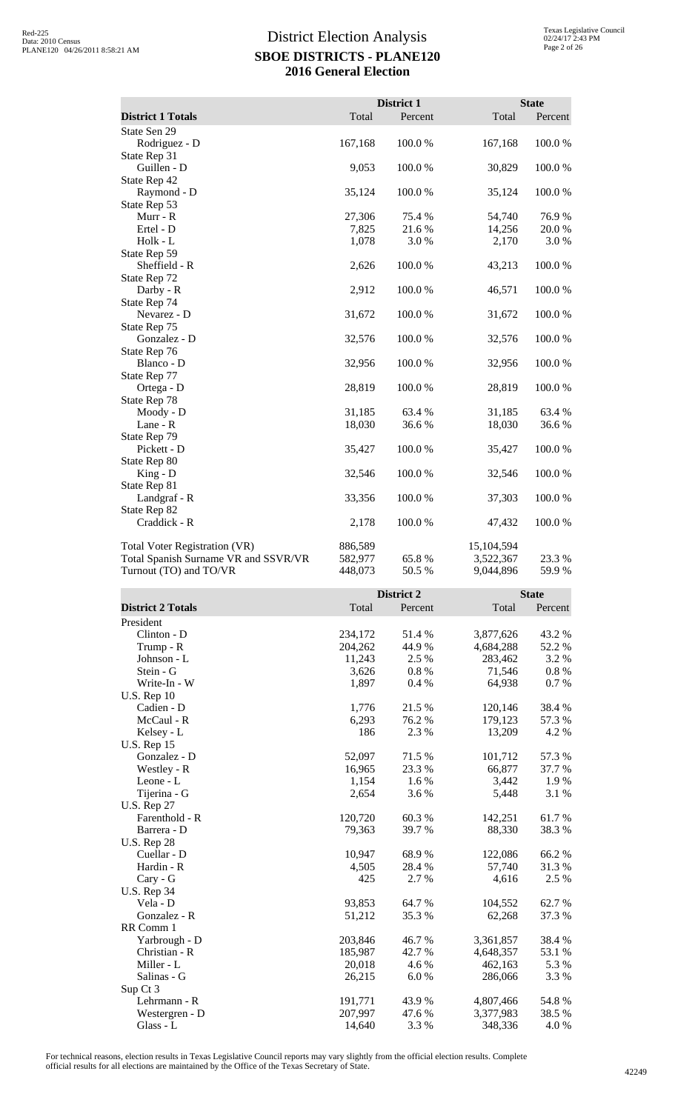|                                      |         | District 1 |            | <b>State</b> |
|--------------------------------------|---------|------------|------------|--------------|
| <b>District 1 Totals</b>             | Total   | Percent    | Total      | Percent      |
| State Sen 29                         |         |            |            |              |
| Rodriguez - D                        | 167,168 | 100.0%     | 167,168    | 100.0%       |
| State Rep 31                         |         |            |            |              |
| Guillen - D                          | 9,053   | 100.0%     | 30,829     | 100.0%       |
| State Rep 42                         |         |            |            |              |
| Raymond - D                          | 35,124  | 100.0%     | 35,124     | 100.0%       |
| State Rep 53                         |         |            |            |              |
| Murr - R                             | 27,306  | 75.4 %     | 54,740     | 76.9%        |
| Ertel - D                            | 7,825   | 21.6%      | 14,256     | 20.0%        |
| Holk - L                             | 1,078   | 3.0%       | 2,170      | 3.0%         |
| State Rep 59                         |         |            |            |              |
| Sheffield - R                        | 2,626   | 100.0%     | 43,213     | 100.0%       |
| State Rep 72                         |         |            |            |              |
| Darby - R                            | 2,912   | 100.0%     | 46,571     | 100.0%       |
| State Rep 74                         |         |            |            |              |
| Nevarez - D                          | 31,672  | 100.0%     | 31,672     | 100.0%       |
| State Rep 75                         |         |            |            |              |
| Gonzalez - D                         | 32,576  | 100.0%     | 32,576     | 100.0%       |
| State Rep 76                         |         |            |            |              |
| Blanco - D                           | 32,956  | 100.0%     | 32,956     | 100.0%       |
| State Rep 77                         |         |            |            |              |
| Ortega - D                           | 28,819  | 100.0%     | 28,819     | 100.0%       |
| State Rep 78                         |         |            |            |              |
| Moody - D                            | 31,185  | 63.4 %     | 31,185     | 63.4 %       |
| Lane - R                             | 18,030  | 36.6%      | 18,030     | 36.6%        |
| State Rep 79                         |         |            |            |              |
| Pickett - D                          | 35,427  | 100.0%     | 35,427     | 100.0%       |
| State Rep 80                         |         |            |            |              |
| $King - D$                           | 32,546  | 100.0%     | 32,546     | 100.0%       |
| State Rep 81                         |         |            |            |              |
| Landgraf - R                         | 33,356  | 100.0%     | 37,303     | 100.0%       |
| State Rep 82                         |         |            |            |              |
| Craddick - R                         | 2,178   | 100.0%     | 47,432     | 100.0%       |
| <b>Total Voter Registration (VR)</b> | 886,589 |            | 15,104,594 |              |
| Total Spanish Surname VR and SSVR/VR | 582,977 | 65.8%      | 3,522,367  | 23.3 %       |
| Turnout (TO) and TO/VR               | 448,073 | 50.5 %     | 9,044,896  | 59.9%        |

|                          |         | District 2 |           | <b>State</b> |
|--------------------------|---------|------------|-----------|--------------|
| <b>District 2 Totals</b> | Total   | Percent    | Total     | Percent      |
| President                |         |            |           |              |
| Clinton - D              | 234,172 | 51.4%      | 3,877,626 | 43.2 %       |
| Trump - R                | 204,262 | 44.9 %     | 4,684,288 | 52.2 %       |
| Johnson - L              | 11,243  | 2.5 %      | 283,462   | 3.2 %        |
| Stein - G                | 3,626   | $0.8 \%$   | 71,546    | $0.8 \%$     |
| Write-In - W             | 1,897   | 0.4%       | 64,938    | 0.7%         |
| <b>U.S. Rep 10</b>       |         |            |           |              |
| Cadien - D               | 1,776   | 21.5 %     | 120,146   | 38.4%        |
| McCaul - R               | 6,293   | 76.2 %     | 179,123   | 57.3 %       |
| Kelsey - L               | 186     | 2.3 %      | 13,209    | 4.2 %        |
| <b>U.S. Rep 15</b>       |         |            |           |              |
| Gonzalez - D             | 52,097  | 71.5 %     | 101,712   | 57.3 %       |
| Westley - R              | 16,965  | 23.3 %     | 66,877    | 37.7 %       |
| Leone - L                | 1,154   | 1.6 %      | 3,442     | 1.9%         |
| Tijerina - G             | 2,654   | 3.6%       | 5,448     | 3.1 %        |
| <b>U.S. Rep 27</b>       |         |            |           |              |
| Farenthold - R           | 120,720 | 60.3%      | 142,251   | 61.7 %       |
| Barrera - D              | 79,363  | 39.7%      | 88,330    | 38.3%        |
| <b>U.S. Rep 28</b>       |         |            |           |              |
| Cuellar - D              | 10,947  | 68.9%      | 122,086   | 66.2%        |
| Hardin - R               | 4,505   | 28.4 %     | 57,740    | 31.3 %       |
| Cary - G                 | 425     | 2.7 %      | 4,616     | 2.5 %        |
| <b>U.S. Rep 34</b>       |         |            |           |              |
| Vela - D                 | 93,853  | 64.7 %     | 104,552   | 62.7 %       |
| Gonzalez - R             | 51,212  | 35.3 %     | 62,268    | 37.3 %       |
| RR Comm 1                |         |            |           |              |
| Yarbrough - D            | 203,846 | 46.7%      | 3,361,857 | 38.4%        |
| Christian - R            | 185,987 | 42.7 %     | 4,648,357 | 53.1 %       |
| Miller - L               | 20,018  | 4.6 %      | 462,163   | 5.3 %        |
| Salinas - G              | 26,215  | 6.0%       | 286,066   | 3.3 %        |
| Sup Ct 3                 |         |            |           |              |
| Lehrmann - R             | 191,771 | 43.9 %     | 4,807,466 | 54.8 %       |
| Westergren - D           | 207,997 | 47.6 %     | 3,377,983 | 38.5 %       |
| Glass - L                | 14,640  | 3.3 %      | 348,336   | 4.0%         |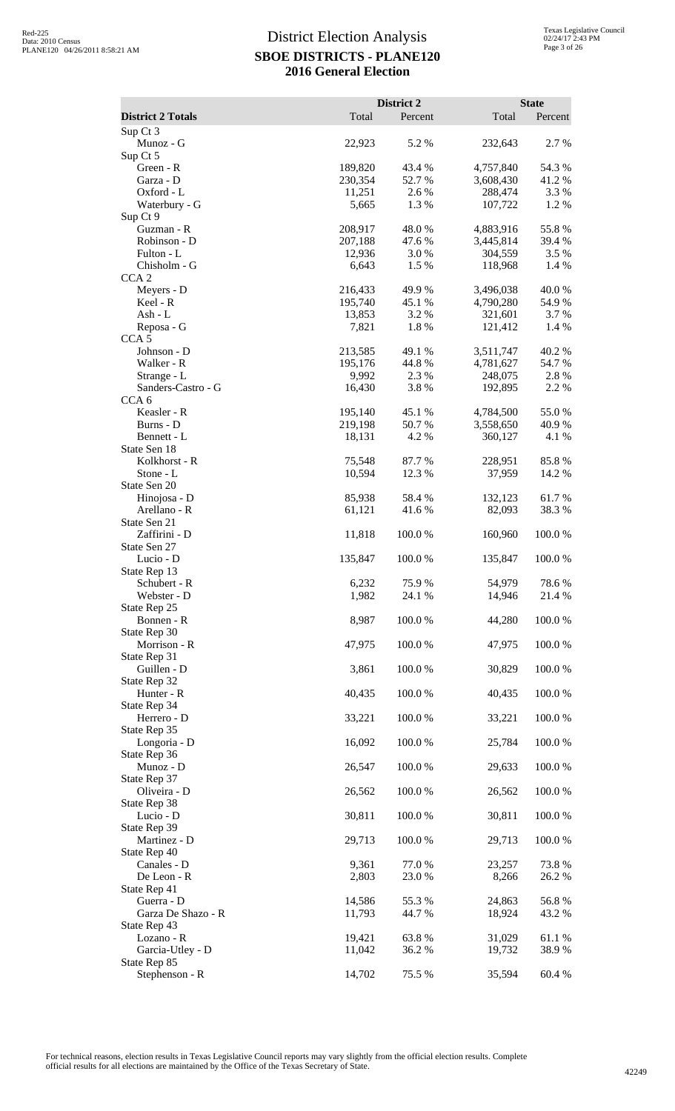|                                 |                    | District 2      |                        | <b>State</b>        |
|---------------------------------|--------------------|-----------------|------------------------|---------------------|
| <b>District 2 Totals</b>        | Total              | Percent         | Total                  | Percent             |
| Sup Ct 3<br>Munoz - G           | 22,923             | 5.2 %           | 232,643                | 2.7 %               |
| Sup Ct 5<br>Green - R           | 189,820            | 43.4 %          | 4,757,840              | 54.3 %              |
| Garza - D                       | 230,354            | 52.7%           | 3,608,430              | 41.2%               |
| Oxford - L                      | 11,251             | 2.6 %           | 288,474                | 3.3 %               |
| Waterbury - G                   | 5,665              | 1.3%            | 107,722                | 1.2%                |
| Sup Ct 9                        |                    |                 |                        |                     |
| Guzman - R                      | 208,917            | 48.0%           | 4,883,916              | 55.8%               |
| Robinson - D                    | 207,188            | 47.6 %          | 3,445,814              | 39.4 %              |
| Fulton - L<br>Chisholm - G      | 12,936<br>6,643    | 3.0%<br>1.5 %   | 304,559<br>118,968     | 3.5 %<br>1.4 %      |
| CCA <sub>2</sub>                |                    |                 |                        |                     |
| Meyers - D                      | 216,433            | 49.9%           | 3,496,038              | 40.0%               |
| Keel - R                        | 195,740            | 45.1 %          | 4,790,280              | 54.9%               |
| Ash - L                         | 13,853             | 3.2 %           | 321,601                | 3.7 %               |
| Reposa - G                      | 7,821              | 1.8%            | 121,412                | 1.4 %               |
| CCA <sub>5</sub><br>Johnson - D |                    | 49.1 %          |                        |                     |
| Walker - R                      | 213,585<br>195,176 | 44.8%           | 3,511,747<br>4,781,627 | 40.2%<br>54.7 %     |
| Strange - L                     | 9,992              | 2.3 %           | 248,075                | 2.8%                |
| Sanders-Castro - G              | 16,430             | 3.8%            | 192,895                | 2.2 %               |
| CCA <sub>6</sub>                |                    |                 |                        |                     |
| Keasler - R                     | 195,140            | 45.1 %          | 4,784,500              | 55.0%               |
| Burns - D                       | 219,198            | 50.7%           | 3,558,650              | 40.9%               |
| Bennett - L                     | 18,131             | 4.2 %           | 360,127                | 4.1 %               |
| State Sen 18<br>Kolkhorst - R   | 75,548             | 87.7 %          | 228,951                | 85.8%               |
| Stone - L                       | 10,594             | 12.3 %          | 37,959                 | 14.2 %              |
| State Sen 20                    |                    |                 |                        |                     |
| Hinojosa - D                    | 85,938             | 58.4 %          | 132,123                | 61.7%               |
| Arellano - R                    | 61,121             | 41.6 %          | 82,093                 | 38.3%               |
| State Sen 21                    |                    |                 |                        |                     |
| Zaffirini - D                   | 11,818             | 100.0%          | 160,960                | 100.0%              |
| State Sen 27<br>Lucio - D       | 135,847            | 100.0 %         | 135,847                | 100.0 %             |
| State Rep 13                    |                    |                 |                        |                     |
| Schubert - R                    | 6,232              | 75.9%           | 54,979                 | 78.6%               |
| Webster - D                     | 1,982              | 24.1 %          | 14,946                 | 21.4 %              |
| State Rep 25                    |                    |                 |                        |                     |
| Bonnen - R                      | 8,987              | 100.0%          | 44,280                 | 100.0%              |
| State Rep 30                    |                    |                 |                        |                     |
| Morrison - R<br>State Rep 31    | 47,975             | 100.0%          | 47,975                 | 100.0%              |
| Guillen - D                     | 3,861              | 100.0%          | 30,829                 | 100.0%              |
| State Rep 32                    |                    |                 |                        |                     |
| Hunter - R                      | 40,435             | 100.0%          | 40,435                 | 100.0%              |
| State Rep 34                    |                    |                 |                        |                     |
| Herrero - D                     | 33,221             | 100.0%          | 33,221                 | 100.0%              |
| State Rep 35                    |                    |                 |                        |                     |
| Longoria - D<br>State Rep 36    | 16,092             | 100.0%          | 25,784                 | 100.0%              |
| Munoz - D                       | 26,547             | 100.0%          | 29,633                 | 100.0%              |
| State Rep 37                    |                    |                 |                        |                     |
| Oliveira - D                    | 26,562             | 100.0%          | 26,562                 | 100.0%              |
| State Rep 38                    |                    |                 |                        |                     |
| Lucio - D                       | 30,811             | 100.0%          | 30,811                 | 100.0%              |
| State Rep 39                    |                    |                 |                        |                     |
| Martinez - D<br>State Rep 40    | 29,713             | 100.0%          | 29,713                 | 100.0%              |
| Canales - D                     | 9,361              | 77.0%           | 23,257                 | 73.8%               |
| De Leon - R                     | 2,803              | 23.0%           | 8,266                  | 26.2%               |
| State Rep 41                    |                    |                 |                        |                     |
| Guerra - D                      | 14,586             | 55.3%           | 24,863                 | 56.8%               |
| Garza De Shazo - R              | 11,793             | 44.7 %          | 18,924                 | 43.2 %              |
| State Rep 43                    |                    |                 |                        |                     |
| Lozano - R<br>Garcia-Utley - D  | 19,421<br>11,042   | 63.8%<br>36.2 % | 31,029<br>19,732       | $61.1\ \%$<br>38.9% |
| State Rep 85                    |                    |                 |                        |                     |
| Stephenson - R                  | 14,702             | 75.5 %          | 35,594                 | 60.4 %              |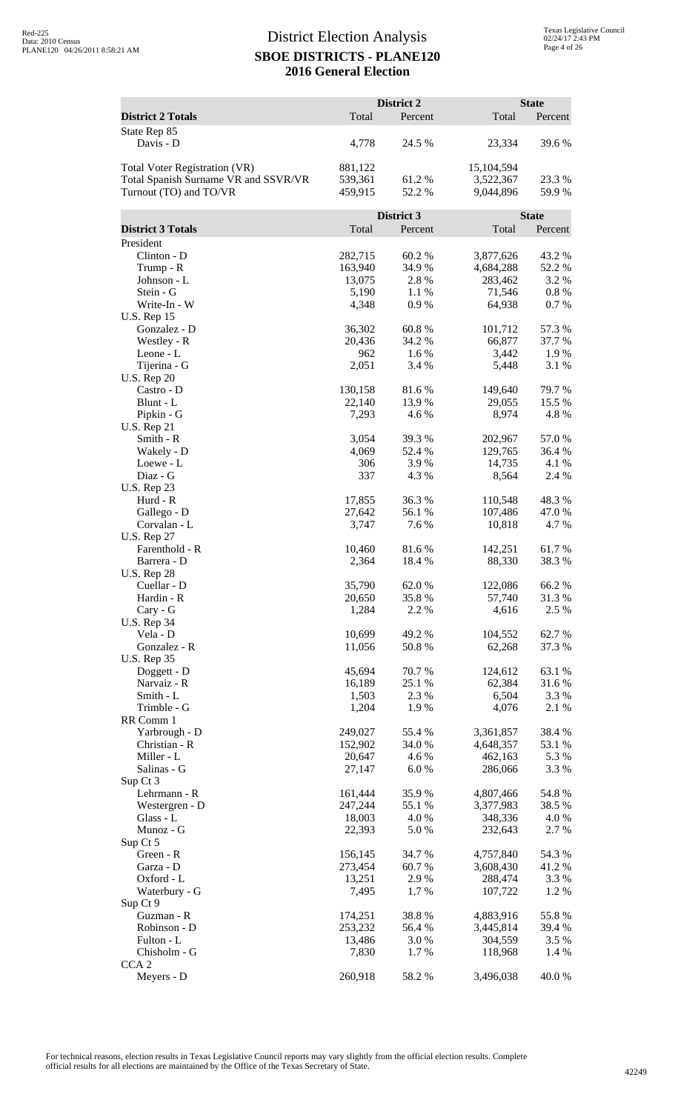|                                      |                   | District 2      |                      | <b>State</b>     |
|--------------------------------------|-------------------|-----------------|----------------------|------------------|
| <b>District 2 Totals</b>             | Total             | Percent         | Total                | Percent          |
| State Rep 85<br>Davis - D            | 4,778             | 24.5 %          | 23,334               | 39.6%            |
| <b>Total Voter Registration (VR)</b> | 881,122           |                 | 15,104,594           |                  |
| Total Spanish Surname VR and SSVR/VR | 539,361           | 61.2%           | 3,522,367            | 23.3 %           |
| Turnout (TO) and TO/VR               | 459,915           | 52.2 %          | 9,044,896            | 59.9%            |
|                                      |                   | District 3      |                      | <b>State</b>     |
| <b>District 3 Totals</b>             | Total             | Percent         | Total                | Percent          |
| President                            |                   |                 |                      |                  |
| Clinton - D                          | 282,715           | 60.2 %          | 3,877,626            | 43.2 %           |
| Trump - R<br>Johnson - L             | 163,940<br>13,075 | 34.9%<br>2.8%   | 4,684,288<br>283,462 | 52.2 %<br>3.2 %  |
| Stein - G                            | 5,190             | 1.1 %           | 71,546               | $0.8 \%$         |
| Write-In - W                         | 4,348             | 0.9%            | 64,938               | 0.7%             |
| <b>U.S. Rep 15</b>                   |                   |                 |                      |                  |
| Gonzalez - D<br>Westley - R          | 36,302<br>20,436  | 60.8%<br>34.2 % | 101,712<br>66,877    | 57.3 %<br>37.7 % |
| Leone - L                            | 962               | 1.6 %           | 3,442                | 1.9%             |
| Tijerina - G                         | 2,051             | 3.4 %           | 5,448                | 3.1 %            |
| <b>U.S. Rep 20</b>                   |                   |                 |                      |                  |
| Castro - D<br>Blunt - L              | 130,158<br>22,140 | 81.6%<br>13.9 % | 149,640<br>29,055    | 79.7%<br>15.5 %  |
| Pipkin - G                           | 7,293             | 4.6 %           | 8,974                | 4.8%             |
| <b>U.S. Rep 21</b>                   |                   |                 |                      |                  |
| Smith - R                            | 3,054             | 39.3 %          | 202,967              | 57.0%            |
| Wakely - D                           | 4,069<br>306      | 52.4 %<br>3.9%  | 129,765<br>14,735    | 36.4 %<br>4.1 %  |
| Loewe - L<br>Diaz - G                | 337               | 4.3 %           | 8,564                | 2.4 %            |
| <b>U.S. Rep 23</b>                   |                   |                 |                      |                  |
| Hurd - R                             | 17,855            | 36.3%           | 110,548              | 48.3%            |
| Gallego - D                          | 27,642            | 56.1 %          | 107,486              | 47.0 %           |
| Corvalan - L<br><b>U.S. Rep 27</b>   | 3,747             | 7.6 %           | 10,818               | 4.7%             |
| Farenthold - R                       | 10,460            | 81.6%           | 142,251              | 61.7 %           |
| Barrera - D                          | 2,364             | 18.4 %          | 88,330               | 38.3%            |
| <b>U.S. Rep 28</b>                   |                   |                 |                      |                  |
| Cuellar - D<br>Hardin - R            | 35,790<br>20,650  | 62.0%<br>35.8%  | 122,086<br>57,740    | 66.2%<br>31.3%   |
| Cary - G                             | 1,284             | 2.2%            | 4,616                | 2.5 %            |
| <b>U.S. Rep 34</b>                   |                   |                 |                      |                  |
| Vela - D                             | 10,699            | 49.2 %          | 104,552              | 62.7%            |
| Gonzalez - R<br><b>U.S. Rep 35</b>   | 11,056            | 50.8%           | 62,268               | 37.3 %           |
| Doggett - D                          | 45,694            | 70.7%           | 124,612              | 63.1 %           |
| Narvaiz - R                          | 16,189            | 25.1 %          | 62,384               | 31.6 %           |
| Smith - L                            | 1,503             | 2.3 %           | 6,504                | 3.3 %            |
| Trimble - G<br>RR Comm 1             | 1,204             | 1.9%            | 4,076                | 2.1 %            |
| Yarbrough - D                        | 249,027           | 55.4 %          | 3,361,857            | 38.4 %           |
| Christian - R                        | 152,902           | 34.0 %          | 4,648,357            | 53.1 %           |
| Miller - L                           | 20,647            | 4.6 %           | 462,163              | 5.3 %            |
| Salinas - G<br>Sup Ct 3              | 27,147            | 6.0%            | 286,066              | 3.3 %            |
| Lehrmann - R                         | 161,444           | 35.9%           | 4,807,466            | 54.8%            |
| Westergren - D                       | 247,244           | 55.1 %          | 3,377,983            | 38.5 %           |
| Glass - L                            | 18,003            | 4.0%            | 348,336              | 4.0 %            |
| Munoz - G<br>Sup Ct 5                | 22,393            | 5.0 %           | 232,643              | 2.7 %            |
| Green - R                            | 156,145           | 34.7 %          | 4,757,840            | 54.3 %           |
| Garza - D                            | 273,454           | 60.7%           | 3,608,430            | 41.2%            |
| Oxford - L                           | 13,251            | 2.9%            | 288,474              | 3.3 %            |
| Waterbury - G<br>Sup Ct 9            | 7,495             | 1.7 %           | 107,722              | 1.2 %            |
| Guzman - R                           | 174,251           | 38.8%           | 4,883,916            | 55.8%            |
| Robinson - D                         | 253,232           | 56.4 %          | 3,445,814            | 39.4 %           |
| Fulton - L                           | 13,486            | 3.0 %           | 304,559              | 3.5 %            |
| Chisholm - G<br>CCA <sub>2</sub>     | 7,830             | 1.7 %           | 118,968              | 1.4 %            |
| Meyers - D                           | 260,918           | 58.2%           | 3,496,038            | 40.0%            |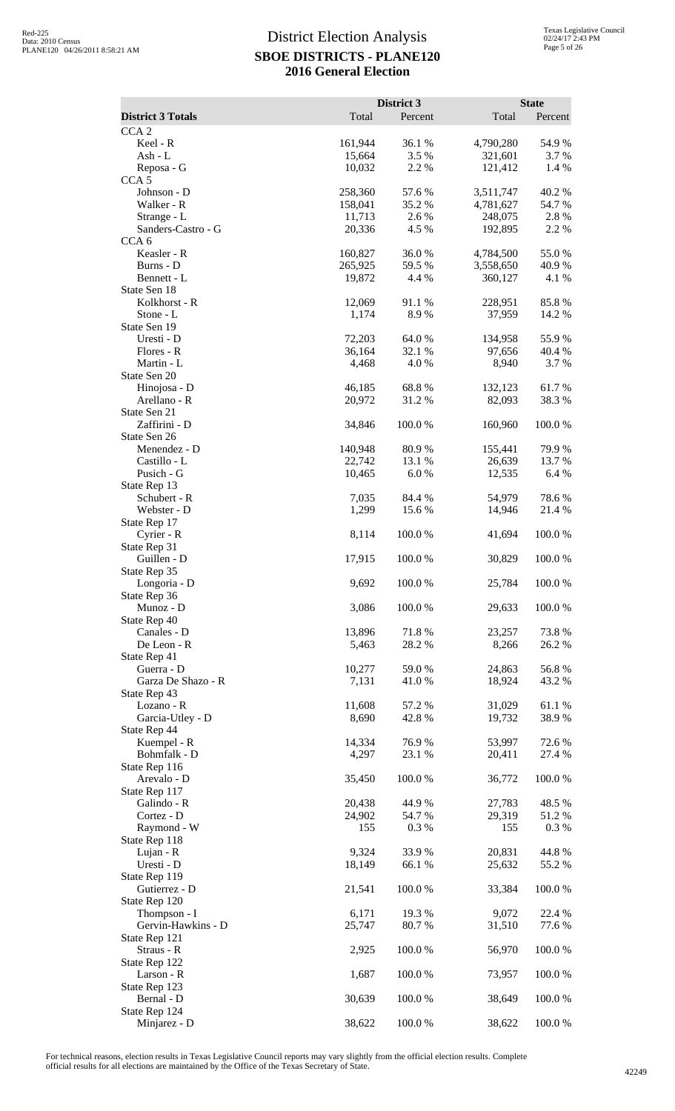|                                        |                   | District 3      |                   | <b>State</b>    |
|----------------------------------------|-------------------|-----------------|-------------------|-----------------|
| <b>District 3 Totals</b>               | Total             | Percent         | Total             | Percent         |
| CCA <sub>2</sub><br>Keel - R           | 161,944           | 36.1 %          | 4,790,280         | 54.9%           |
| Ash - L                                | 15,664            | 3.5 %           | 321,601           | 3.7 %           |
| Reposa - G                             | 10,032            | 2.2 %           | 121,412           | 1.4 %           |
| CCA <sub>5</sub><br>Johnson - D        | 258,360           | 57.6 %          | 3,511,747         | 40.2 %          |
| Walker - R                             | 158,041           | 35.2 %          | 4,781,627         | 54.7%           |
| Strange - L                            | 11,713            | 2.6 %           | 248,075           | 2.8%            |
| Sanders-Castro - G<br>CCA <sub>6</sub> | 20,336            | 4.5 %           | 192,895           | 2.2 %           |
| Keasler - R                            | 160,827           | 36.0%           | 4,784,500         | 55.0%           |
| Burns - D                              | 265,925           | 59.5 %          | 3,558,650         | 40.9%           |
| Bennett - L                            | 19,872            | 4.4 %           | 360,127           | 4.1 %           |
| State Sen 18<br>Kolkhorst - R          | 12,069            | 91.1 %          | 228,951           | 85.8%           |
| Stone - L                              | 1,174             | 8.9%            | 37,959            | 14.2 %          |
| State Sen 19                           |                   |                 |                   |                 |
| Uresti - D<br>Flores - R               | 72,203<br>36,164  | 64.0%<br>32.1 % | 134,958<br>97,656 | 55.9%<br>40.4 % |
| Martin - L                             | 4,468             | 4.0 %           | 8,940             | 3.7%            |
| State Sen 20                           |                   |                 |                   |                 |
| Hinojosa - D                           | 46,185            | 68.8%           | 132,123           | 61.7%           |
| Arellano - R<br>State Sen 21           | 20,972            | 31.2%           | 82,093            | 38.3 %          |
| Zaffirini - D                          | 34,846            | 100.0%          | 160,960           | 100.0%          |
| State Sen 26                           |                   |                 |                   |                 |
| Menendez - D<br>Castillo - L           | 140,948<br>22,742 | 80.9%<br>13.1 % | 155,441<br>26,639 | 79.9%<br>13.7 % |
| Pusich - G                             | 10,465            | 6.0%            | 12,535            | 6.4 %           |
| State Rep 13                           |                   |                 |                   |                 |
| Schubert - R                           | 7,035             | 84.4 %          | 54,979            | 78.6%           |
| Webster - D<br>State Rep 17            | 1,299             | 15.6 %          | 14,946            | 21.4 %          |
| Cyrier - R                             | 8,114             | 100.0%          | 41,694            | 100.0%          |
| State Rep 31                           |                   |                 |                   |                 |
| Guillen - D                            | 17,915            | 100.0 %         | 30,829            | 100.0%          |
| State Rep 35<br>Longoria - D           | 9,692             | 100.0 %         | 25,784            | 100.0%          |
| State Rep 36                           |                   |                 |                   |                 |
| Munoz - D                              | 3,086             | 100.0%          | 29,633            | 100.0%          |
| State Rep 40<br>Canales - D            | 13,896            | 71.8%           | 23,257            | 73.8%           |
| De Leon - R                            | 5,463             | 28.2 %          | 8,266             | 26.2%           |
| State Rep 41                           |                   |                 |                   |                 |
| Guerra - D                             | 10,277            | 59.0 %          | 24,863            | 56.8%           |
| Garza De Shazo - R<br>State Rep 43     | 7,131             | 41.0 %          | 18,924            | 43.2 %          |
| Lozano - R                             | 11,608            | 57.2 %          | 31,029            | 61.1 %          |
| Garcia-Utley - D                       | 8,690             | 42.8%           | 19,732            | 38.9%           |
| State Rep 44<br>Kuempel - R            | 14,334            | 76.9%           | 53,997            | 72.6 %          |
| Bohmfalk - D                           | 4,297             | 23.1 %          | 20,411            | 27.4 %          |
| State Rep 116                          |                   |                 |                   |                 |
| Arevalo - D                            | 35,450            | 100.0%          | 36,772            | 100.0%          |
| State Rep 117<br>Galindo - R           | 20,438            | 44.9%           | 27,783            | 48.5 %          |
| Cortez - D                             | 24,902            | 54.7%           | 29,319            | 51.2%           |
| Raymond - W                            | 155               | 0.3%            | 155               | 0.3%            |
| State Rep 118<br>Lujan - R             | 9,324             | 33.9%           | 20,831            | 44.8%           |
| Uresti - D                             | 18,149            | 66.1 %          | 25,632            | 55.2 %          |
| State Rep 119                          |                   |                 |                   |                 |
| Gutierrez - D                          | 21,541            | 100.0%          | 33,384            | 100.0%          |
| State Rep 120<br>Thompson - I          | 6,171             | 19.3 %          | 9,072             | 22.4 %          |
| Gervin-Hawkins - D                     | 25,747            | 80.7 %          | 31,510            | 77.6 %          |
| State Rep 121                          |                   |                 |                   |                 |
| Straus - R<br>State Rep 122            | 2,925             | 100.0%          | 56,970            | $100.0~\%$      |
| Larson - R                             | 1,687             | 100.0%          | 73,957            | 100.0%          |
| State Rep 123                          |                   |                 |                   |                 |
| Bernal - D                             | 30,639            | 100.0%          | 38,649            | 100.0%          |
| State Rep 124<br>Minjarez - D          | 38,622            | 100.0%          | 38,622            | 100.0%          |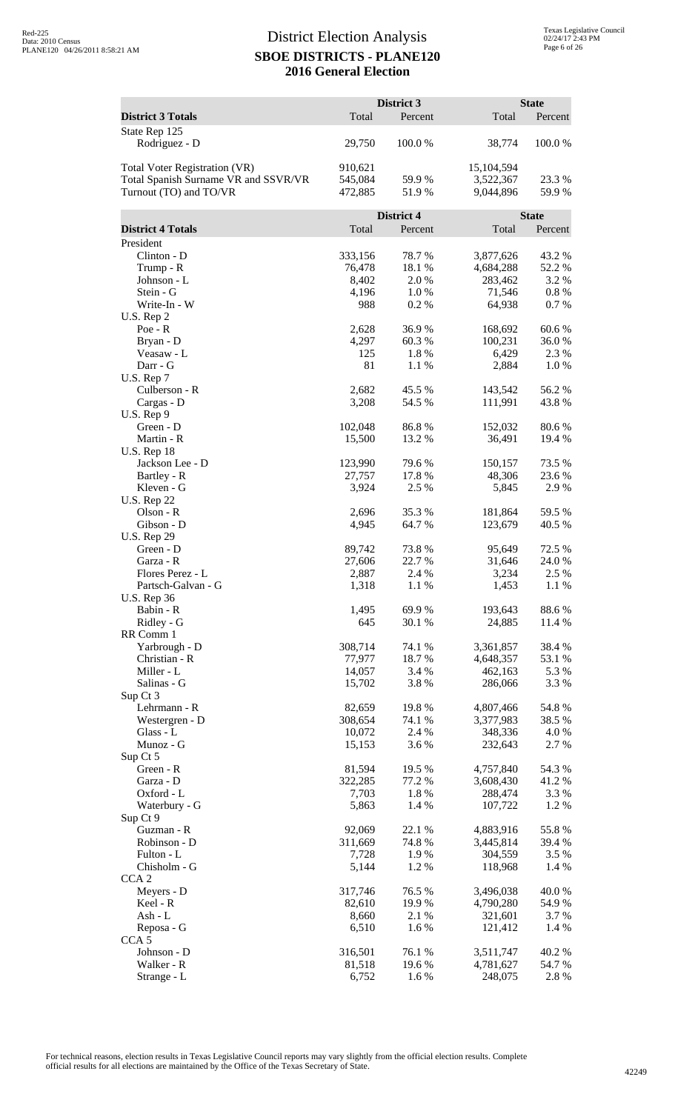|                                       |                   | District 3      |                        | <b>State</b>     |
|---------------------------------------|-------------------|-----------------|------------------------|------------------|
| <b>District 3 Totals</b>              | Total             | Percent         | Total                  | Percent          |
| State Rep 125                         |                   |                 |                        |                  |
| Rodriguez - D                         | 29,750            | 100.0%          | 38,774                 | 100.0%           |
| Total Voter Registration (VR)         | 910,621           |                 | 15,104,594             |                  |
| Total Spanish Surname VR and SSVR/VR  | 545,084           | 59.9 %          | 3,522,367              | 23.3 %           |
| Turnout (TO) and TO/VR                | 472,885           | 51.9%           | 9,044,896              | 59.9%            |
|                                       |                   |                 |                        |                  |
|                                       |                   | District 4      |                        | <b>State</b>     |
| <b>District 4 Totals</b>              | Total             | Percent         | Total                  | Percent          |
| President                             |                   |                 |                        |                  |
| Clinton - D<br>Trump - R              | 333,156<br>76,478 | 78.7%<br>18.1 % | 3,877,626<br>4,684,288 | 43.2 %<br>52.2 % |
| Johnson - L                           | 8,402             | 2.0 %           | 283,462                | 3.2 %            |
| Stein - G                             | 4,196             | 1.0%            | 71,546                 | 0.8%             |
| Write-In - W                          | 988               | 0.2%            | 64,938                 | 0.7%             |
| U.S. Rep 2                            |                   |                 |                        |                  |
| $Poe - R$                             | 2,628             | 36.9%           | 168,692                | 60.6%            |
| Bryan - D                             | 4,297<br>125      | 60.3%           | 100,231                | 36.0%            |
| Veasaw - L<br>Darr - G                | 81                | 1.8%<br>1.1 %   | 6,429<br>2,884         | 2.3 %<br>1.0%    |
| U.S. Rep 7                            |                   |                 |                        |                  |
| Culberson - R                         | 2,682             | 45.5 %          | 143,542                | 56.2%            |
| Cargas - D                            | 3,208             | 54.5 %          | 111,991                | 43.8%            |
| U.S. Rep 9                            |                   |                 |                        |                  |
| Green - D                             | 102,048           | 86.8%           | 152,032                | 80.6%            |
| Martin - R                            | 15,500            | 13.2 %          | 36,491                 | 19.4 %           |
| <b>U.S. Rep 18</b><br>Jackson Lee - D | 123,990           | 79.6%           | 150,157                | 73.5 %           |
| Bartley - R                           | 27,757            | 17.8 %          | 48,306                 | 23.6 %           |
| Kleven - G                            | 3,924             | 2.5 %           | 5,845                  | 2.9%             |
| <b>U.S. Rep 22</b>                    |                   |                 |                        |                  |
| Olson - R                             | 2,696             | 35.3 %          | 181,864                | 59.5 %           |
| Gibson - D                            | 4,945             | 64.7%           | 123,679                | 40.5 %           |
| <b>U.S. Rep 29</b><br>Green - D       | 89,742            | 73.8%           | 95,649                 | 72.5 %           |
| Garza - R                             | 27,606            | 22.7 %          | 31,646                 | 24.0 %           |
| Flores Perez - L                      | 2,887             | 2.4 %           | 3,234                  | 2.5 %            |
| Partsch-Galvan - G                    | 1,318             | $1.1~\%$        | 1,453                  | 1.1 %            |
| <b>U.S. Rep 36</b>                    |                   |                 |                        |                  |
| Babin - R                             | 1,495             | 69.9%           | 193,643                | 88.6%            |
| Ridley - G<br>RR Comm 1               | 645               | 30.1 %          | 24,885                 | 11.4 %           |
| Yarbrough - D                         | 308,714           | 74.1 %          | 3,361,857              | 38.4 %           |
| Christian - R                         | 77,977            | 18.7 %          | 4,648,357              | 53.1 %           |
| Miller - L                            | 14,057            | 3.4 %           | 462,163                | 5.3 %            |
| Salinas - G                           | 15,702            | 3.8%            | 286,066                | 3.3 %            |
| Sup Ct 3                              |                   |                 |                        |                  |
| Lehrmann - R                          | 82,659            | 19.8%           | 4,807,466              | 54.8 %           |
| Westergren - D<br>Glass - L           | 308,654<br>10,072 | 74.1 %<br>2.4 % | 3,377,983<br>348,336   | 38.5 %<br>4.0 %  |
| Munoz - G                             | 15,153            | 3.6%            | 232,643                | 2.7 %            |
| Sup Ct 5                              |                   |                 |                        |                  |
| Green - R                             | 81,594            | 19.5 %          | 4,757,840              | 54.3 %           |
| Garza - D                             | 322,285           | 77.2 %          | 3,608,430              | 41.2%            |
| Oxford - L                            | 7,703             | 1.8%            | 288,474                | 3.3 %            |
| Waterbury - G                         | 5,863             | 1.4 %           | 107,722                | 1.2 %            |
| Sup Ct 9<br>Guzman - R                | 92,069            | 22.1 %          | 4,883,916              | 55.8%            |
| Robinson - D                          | 311,669           | 74.8%           | 3,445,814              | 39.4 %           |
| Fulton - L                            | 7,728             | 1.9%            | 304,559                | 3.5 %            |
| Chisholm - G                          | 5,144             | 1.2%            | 118,968                | 1.4 %            |
| CCA <sub>2</sub>                      |                   |                 |                        |                  |
| Meyers - D                            | 317,746           | 76.5 %          | 3,496,038              | 40.0%            |
| Keel - R                              | 82,610            | 19.9%           | 4,790,280              | 54.9 %           |
| Ash - L<br>Reposa - G                 | 8,660<br>6,510    | 2.1 %<br>1.6%   | 321,601<br>121,412     | 3.7 %<br>1.4 %   |
| CCA <sub>5</sub>                      |                   |                 |                        |                  |
| Johnson - D                           | 316,501           | 76.1 %          | 3,511,747              | 40.2 %           |
| Walker - R                            | 81,518            | 19.6%           | 4,781,627              | 54.7 %           |
| Strange - L                           | 6,752             | 1.6 %           | 248,075                | 2.8 %            |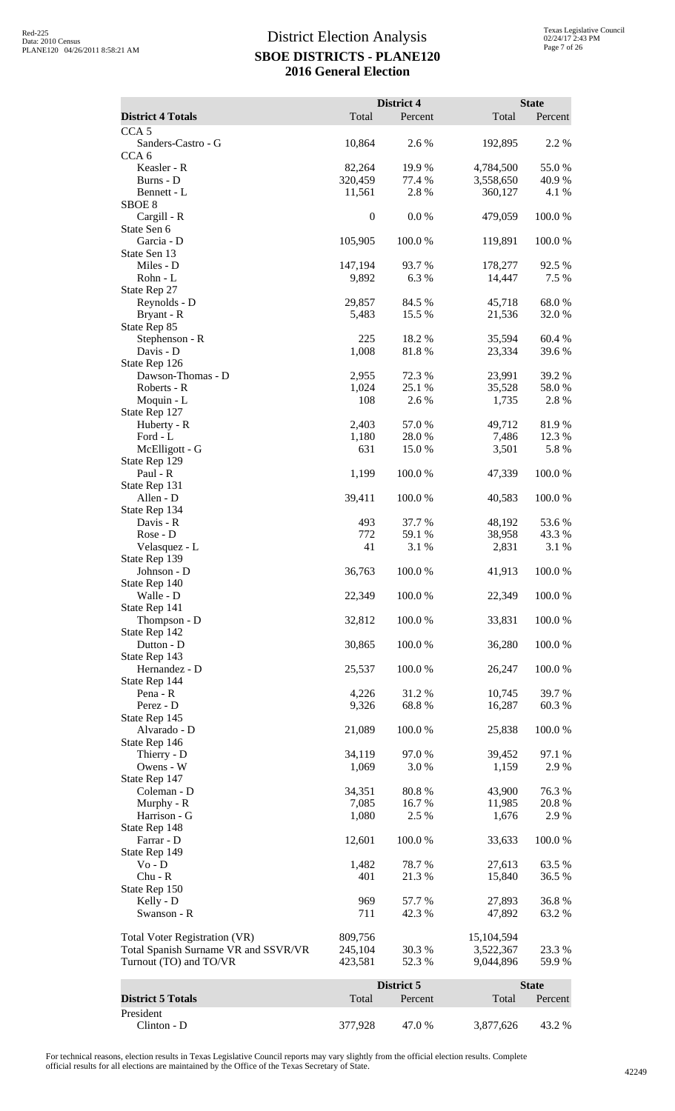|                                                                       |                    | District 4       |                         | <b>State</b>    |
|-----------------------------------------------------------------------|--------------------|------------------|-------------------------|-----------------|
| <b>District 4 Totals</b>                                              | Total              | Percent          | Total                   | Percent         |
| CCA <sub>5</sub>                                                      |                    |                  |                         |                 |
| Sanders-Castro - G<br>CCA <sub>6</sub>                                | 10,864             | 2.6%             | 192,895                 | 2.2 %           |
| Keasler - R                                                           | 82,264             | 19.9%            | 4,784,500               | 55.0%           |
| Burns - D                                                             | 320,459            | 77.4 %           | 3,558,650               | 40.9 %          |
| Bennett - L<br>SBOE <sub>8</sub>                                      | 11,561             | 2.8 %            | 360,127                 | 4.1 %           |
| Cargill - R                                                           | $\boldsymbol{0}$   | 0.0 %            | 479,059                 | 100.0%          |
| State Sen 6                                                           |                    |                  |                         |                 |
| Garcia - D                                                            | 105,905            | 100.0%           | 119,891                 | 100.0%          |
| State Sen 13<br>Miles - D                                             | 147,194            | 93.7%            | 178,277                 | 92.5 %          |
| Rohn - L                                                              | 9,892              | 6.3%             | 14,447                  | 7.5 %           |
| State Rep 27                                                          |                    |                  |                         |                 |
| Reynolds - D                                                          | 29,857<br>5,483    | 84.5 %           | 45,718                  | 68.0%           |
| Bryant - R<br>State Rep 85                                            |                    | 15.5 %           | 21,536                  | 32.0 %          |
| Stephenson - R                                                        | 225                | 18.2%            | 35,594                  | 60.4%           |
| Davis - D                                                             | 1,008              | 81.8%            | 23,334                  | 39.6 %          |
| State Rep 126                                                         |                    |                  |                         |                 |
| Dawson-Thomas - D<br>Roberts - R                                      | 2,955<br>1,024     | 72.3 %<br>25.1 % | 23,991<br>35,528        | 39.2 %<br>58.0% |
| Moquin - L                                                            | 108                | 2.6%             | 1,735                   | 2.8 %           |
| State Rep 127                                                         |                    |                  |                         |                 |
| Huberty - R                                                           | 2,403              | 57.0%            | 49,712                  | 81.9%           |
| Ford - L<br>McElligott - G                                            | 1,180<br>631       | 28.0 %<br>15.0%  | 7,486<br>3,501          | 12.3 %<br>5.8 % |
| State Rep 129                                                         |                    |                  |                         |                 |
| Paul - R                                                              | 1,199              | 100.0%           | 47,339                  | 100.0%          |
| State Rep 131                                                         |                    |                  |                         |                 |
| Allen - D                                                             | 39,411             | 100.0%           | 40,583                  | 100.0%          |
| State Rep 134<br>Davis - R                                            | 493                | 37.7 %           | 48,192                  | 53.6%           |
| Rose - D                                                              | 772                | 59.1 %           | 38,958                  | 43.3%           |
| Velasquez - L                                                         | 41                 | 3.1 %            | 2,831                   | 3.1 %           |
| State Rep 139<br>Johnson - D                                          | 36,763             | 100.0%           | 41,913                  | 100.0%          |
| State Rep 140                                                         |                    |                  |                         |                 |
| Walle - D                                                             | 22,349             | 100.0%           | 22,349                  | 100.0%          |
| State Rep 141                                                         |                    |                  |                         |                 |
| Thompson - D<br>State Rep 142                                         | 32,812             | 100.0%           | 33,831                  | 100.0%          |
| Dutton - D                                                            | 30,865             | 100.0%           | 36,280                  | 100.0%          |
| State Rep 143                                                         |                    |                  |                         |                 |
| Hernandez - D                                                         | 25,537             | 100.0%           | 26,247                  | 100.0%          |
| State Rep 144<br>Pena - R                                             | 4,226              | 31.2 %           | 10,745                  | 39.7%           |
| Perez - D                                                             | 9,326              | 68.8%            | 16,287                  | 60.3%           |
| State Rep 145                                                         |                    |                  |                         |                 |
| Alvarado - D                                                          | 21,089             | 100.0%           | 25,838                  | 100.0%          |
| State Rep 146                                                         |                    | 97.0%            |                         | 97.1 %          |
| Thierry - D<br>Owens - W                                              | 34,119<br>1,069    | 3.0%             | 39,452<br>1,159         | 2.9%            |
| State Rep 147                                                         |                    |                  |                         |                 |
| Coleman - D                                                           | 34,351             | 80.8%            | 43,900                  | 76.3%           |
| Murphy - R                                                            | 7,085              | 16.7%            | 11,985                  | 20.8 %          |
| Harrison - G<br>State Rep 148                                         | 1,080              | 2.5 %            | 1,676                   | 2.9%            |
| Farrar - D                                                            | 12,601             | 100.0%           | 33,633                  | 100.0%          |
| State Rep 149                                                         |                    |                  |                         |                 |
| $Vo - D$                                                              | 1,482              | 78.7%            | 27,613                  | 63.5 %          |
| $Chu - R$<br>State Rep 150                                            | 401                | 21.3%            | 15,840                  | 36.5 %          |
| Kelly - D                                                             | 969                | 57.7 %           | 27,893                  | 36.8%           |
| Swanson - R                                                           | 711                | 42.3 %           | 47,892                  | 63.2%           |
|                                                                       |                    |                  |                         |                 |
| Total Voter Registration (VR)<br>Total Spanish Surname VR and SSVR/VR | 809,756<br>245,104 | 30.3%            | 15,104,594<br>3,522,367 | 23.3 %          |
| Turnout (TO) and TO/VR                                                | 423,581            | 52.3 %           | 9,044,896               | 59.9%           |
|                                                                       |                    |                  |                         |                 |
| <b>District 5 Totals</b>                                              | Total              | District 5       | Total                   | <b>State</b>    |
| President                                                             |                    | Percent          |                         | Percent         |
| Clinton - D                                                           | 377,928            | 47.0 %           | 3,877,626               | 43.2 %          |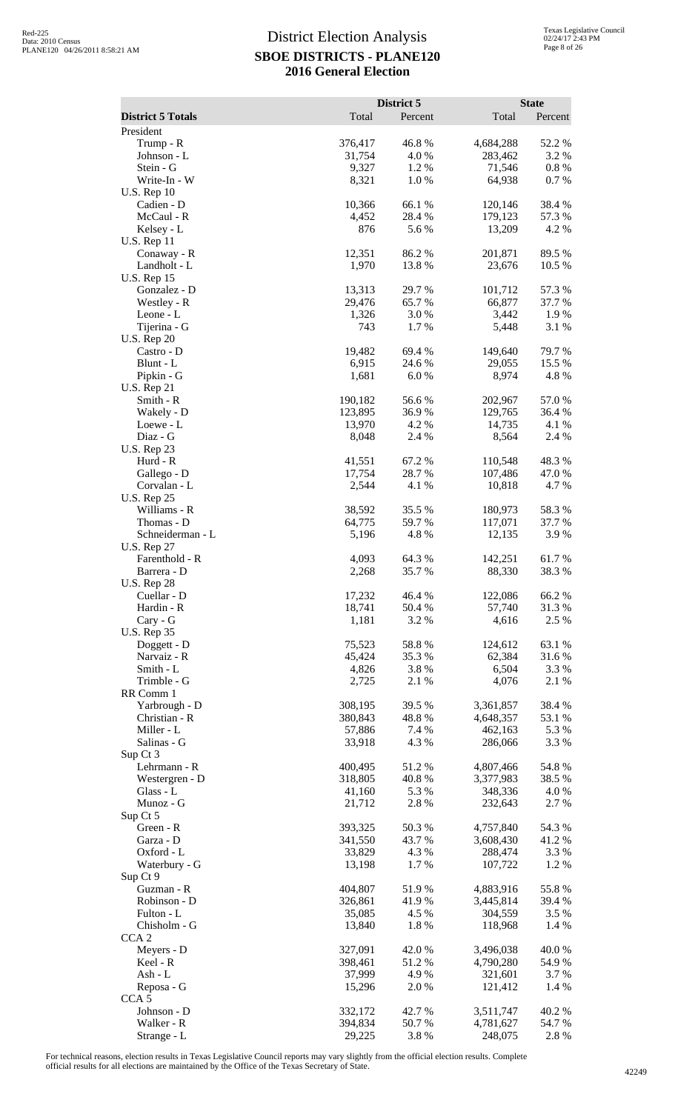|                                   |                   | District 5      |                      | <b>State</b>     |
|-----------------------------------|-------------------|-----------------|----------------------|------------------|
| <b>District 5 Totals</b>          | Total             | Percent         | Total                | Percent          |
| President<br>Trump - R            | 376,417           | 46.8%           | 4,684,288            | 52.2 %           |
| Johnson - L                       | 31,754            | 4.0%            | 283,462              | 3.2 %            |
| Stein - G                         | 9,327             | 1.2%            | 71,546               | $0.8~\%$         |
| Write-In - W                      | 8,321             | 1.0%            | 64,938               | 0.7%             |
| <b>U.S. Rep 10</b><br>Cadien - D  | 10,366            | 66.1 %          | 120,146              | 38.4%            |
| McCaul - R                        | 4,452             | 28.4 %          | 179,123              | 57.3 %           |
| Kelsey - L                        | 876               | 5.6%            | 13,209               | 4.2%             |
| <b>U.S. Rep 11</b><br>Conaway - R | 12,351            | 86.2%           | 201,871              | 89.5%            |
| Landholt - L                      | 1,970             | 13.8 %          | 23,676               | 10.5 %           |
| <b>U.S. Rep 15</b>                |                   |                 |                      |                  |
| Gonzalez - D                      | 13,313<br>29,476  | 29.7%<br>65.7%  | 101,712<br>66,877    | 57.3 %<br>37.7 % |
| Westley - R<br>Leone - L          | 1,326             | 3.0%            | 3,442                | 1.9%             |
| Tijerina - G                      | 743               | 1.7%            | 5,448                | 3.1 %            |
| <b>U.S. Rep 20</b>                |                   |                 |                      |                  |
| Castro - D<br>Blunt - L           | 19,482<br>6,915   | 69.4 %<br>24.6% | 149,640<br>29,055    | 79.7 %<br>15.5 % |
| Pipkin - G                        | 1,681             | 6.0%            | 8,974                | 4.8 %            |
| <b>U.S. Rep 21</b>                |                   |                 |                      |                  |
| Smith - R                         | 190,182           | 56.6%           | 202,967              | 57.0%            |
| Wakely - D<br>Loewe - L           | 123,895<br>13,970 | 36.9%<br>4.2 %  | 129,765<br>14,735    | 36.4 %<br>4.1 %  |
| Diaz - G                          | 8,048             | 2.4 %           | 8,564                | 2.4 %            |
| <b>U.S. Rep 23</b>                |                   |                 |                      |                  |
| Hurd - R                          | 41,551            | 67.2%           | 110,548              | 48.3%            |
| Gallego - D<br>Corvalan - L       | 17,754<br>2,544   | 28.7%<br>4.1 %  | 107,486<br>10,818    | 47.0 %<br>4.7%   |
| <b>U.S. Rep 25</b>                |                   |                 |                      |                  |
| Williams - R                      | 38,592            | 35.5 %          | 180,973              | 58.3%            |
| Thomas - D<br>Schneiderman - L    | 64,775<br>5,196   | 59.7%<br>4.8%   | 117,071<br>12,135    | 37.7 %<br>3.9%   |
| <b>U.S. Rep 27</b>                |                   |                 |                      |                  |
| Farenthold - R                    | 4,093             | 64.3 %          | 142,251              | 61.7%            |
| Barrera - D                       | 2,268             | 35.7%           | 88,330               | 38.3%            |
| <b>U.S. Rep 28</b><br>Cuellar - D | 17,232            | 46.4 %          | 122,086              | 66.2%            |
| Hardin - R                        | 18,741            | 50.4 %          | 57,740               | 31.3%            |
| Cary - G                          | 1,181             | 3.2 %           | 4,616                | 2.5 %            |
| <b>U.S. Rep 35</b><br>Doggett - D | 75,523            | 58.8%           | 124,612              | 63.1 %           |
| Narvaiz - R                       | 45,424            | 35.3%           | 62,384               | 31.6%            |
| Smith - L                         | 4,826             | 3.8%            | 6,504                | 3.3 %            |
| Trimble - G                       | 2,725             | 2.1 %           | 4,076                | 2.1 %            |
| RR Comm 1<br>Yarbrough - D        | 308,195           | 39.5 %          | 3,361,857            | 38.4 %           |
| Christian - R                     | 380,843           | 48.8%           | 4,648,357            | 53.1 %           |
| Miller - L                        | 57,886            | 7.4 %           | 462,163              | 5.3 %            |
| Salinas - G<br>Sup Ct 3           | 33,918            | 4.3 %           | 286,066              | 3.3 %            |
| Lehrmann - R                      | 400,495           | 51.2%           | 4,807,466            | 54.8 %           |
| Westergren - D                    | 318,805           | 40.8%           | 3,377,983            | 38.5 %           |
| Glass - L                         | 41,160            | 5.3 %           | 348,336              | 4.0 %            |
| Munoz - G<br>Sup Ct 5             | 21,712            | 2.8%            | 232,643              | 2.7 %            |
| Green - R                         | 393,325           | 50.3%           | 4,757,840            | 54.3 %           |
| Garza - D                         | 341,550           | 43.7%           | 3,608,430            | 41.2%            |
| Oxford - L<br>Waterbury - G       | 33,829<br>13,198  | 4.3 %<br>1.7%   | 288,474<br>107,722   | 3.3 %<br>1.2 %   |
| Sup Ct 9                          |                   |                 |                      |                  |
| Guzman - R                        | 404,807           | 51.9%           | 4,883,916            | 55.8%            |
| Robinson - D                      | 326,861           | 41.9%           | 3,445,814            | 39.4 %           |
| Fulton - L<br>Chisholm - G        | 35,085<br>13,840  | 4.5 %<br>1.8%   | 304,559<br>118,968   | 3.5 %<br>1.4 %   |
| CCA <sub>2</sub>                  |                   |                 |                      |                  |
| Meyers - D                        | 327,091           | 42.0%           | 3,496,038            | 40.0%            |
| Keel - R<br>$Ash - L$             | 398,461<br>37,999 | 51.2%<br>4.9%   | 4,790,280<br>321,601 | 54.9 %<br>3.7 %  |
| Reposa - G                        | 15,296            | 2.0%            | 121,412              | 1.4 %            |
| CCA <sub>5</sub>                  |                   |                 |                      |                  |
| Johnson - D                       | 332,172           | 42.7 %          | 3,511,747            | 40.2%            |
| Walker - R<br>Strange - L         | 394,834<br>29,225 | 50.7%<br>3.8%   | 4,781,627<br>248,075 | 54.7 %<br>2.8%   |
|                                   |                   |                 |                      |                  |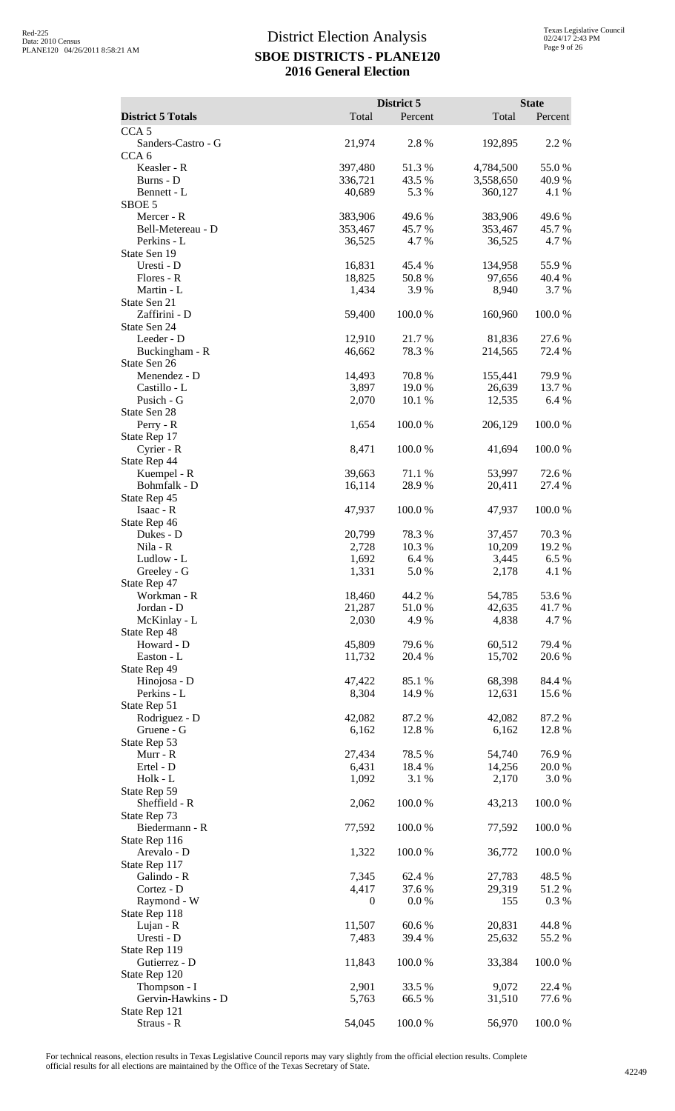|                                        |                  | District 5      |                   | <b>State</b>     |
|----------------------------------------|------------------|-----------------|-------------------|------------------|
| <b>District 5 Totals</b>               | Total            | Percent         | Total             | Percent          |
| CCA <sub>5</sub><br>Sanders-Castro - G | 21,974           | 2.8%            | 192,895           | 2.2 %            |
| CCA <sub>6</sub>                       |                  |                 |                   |                  |
| Keasler - R                            | 397,480          | 51.3%           | 4,784,500         | 55.0%            |
| Burns - D                              | 336,721          | 43.5 %          | 3,558,650         | 40.9%            |
| Bennett - L<br>SBOE 5                  | 40,689           | 5.3 %           | 360,127           | 4.1 %            |
| Mercer - R                             | 383,906          | 49.6%           | 383,906           | 49.6%            |
| Bell-Metereau - D                      | 353,467          | 45.7%           | 353,467           | 45.7%            |
| Perkins - L                            | 36,525           | 4.7%            | 36,525            | 4.7 %            |
| State Sen 19<br>Uresti - D             | 16,831           | 45.4 %          | 134,958           | 55.9%            |
| Flores - R                             | 18,825           | 50.8%           | 97,656            | 40.4 %           |
| Martin - L                             | 1,434            | 3.9%            | 8,940             | 3.7%             |
| State Sen 21                           |                  |                 |                   |                  |
| Zaffirini - D<br>State Sen 24          | 59,400           | 100.0%          | 160,960           | 100.0%           |
| Leeder - D                             | 12,910           | 21.7%           | 81,836            | 27.6 %           |
| Buckingham - R                         | 46,662           | 78.3 %          | 214,565           | 72.4 %           |
| State Sen 26                           |                  |                 |                   |                  |
| Menendez - D<br>Castillo - L           | 14,493<br>3,897  | 70.8%<br>19.0%  | 155,441<br>26,639 | 79.9%<br>13.7 %  |
| Pusich - G                             | 2,070            | 10.1 %          | 12,535            | 6.4 %            |
| State Sen 28                           |                  |                 |                   |                  |
| Perry - R                              | 1,654            | 100.0%          | 206,129           | 100.0%           |
| State Rep 17                           |                  |                 |                   |                  |
| Cyrier - R<br>State Rep 44             | 8,471            | 100.0%          | 41,694            | 100.0%           |
| Kuempel - R                            | 39,663           | 71.1 %          | 53,997            | 72.6 %           |
| Bohmfalk - D                           | 16,114           | 28.9%           | 20,411            | 27.4 %           |
| State Rep 45                           |                  |                 |                   |                  |
| Isaac - R<br>State Rep 46              | 47,937           | 100.0%          | 47,937            | 100.0%           |
| Dukes - D                              | 20,799           | 78.3%           | 37,457            | 70.3%            |
| Nila - R                               | 2,728            | 10.3%           | 10,209            | 19.2 %           |
| Ludlow - L                             | 1,692            | 6.4%            | 3,445             | 6.5%             |
| Greeley - G                            | 1,331            | 5.0%            | 2,178             | 4.1 %            |
| State Rep 47<br>Workman - R            | 18,460           | 44.2 %          | 54,785            | 53.6 %           |
| Jordan - D                             | 21,287           | 51.0%           | 42,635            | 41.7 %           |
| McKinlay - L                           | 2,030            | 4.9%            | 4,838             | 4.7 %            |
| State Rep 48                           |                  |                 |                   |                  |
| Howard - D<br>Easton - L               | 45,809<br>11,732 | 79.6%<br>20.4 % | 60,512<br>15,702  | 79.4 %<br>20.6 % |
| State Rep 49                           |                  |                 |                   |                  |
| Hinojosa - D                           | 47,422           | 85.1 %          | 68,398            | 84.4 %           |
| Perkins - L                            | 8,304            | 14.9 %          | 12,631            | 15.6 %           |
| State Rep 51<br>Rodriguez - D          | 42,082           | 87.2%           | 42,082            | 87.2%            |
| Gruene - G                             | 6,162            | 12.8 %          | 6,162             | 12.8%            |
| State Rep 53                           |                  |                 |                   |                  |
| Murr - R                               | 27,434           | 78.5 %          | 54,740            | 76.9%            |
| Ertel - D<br>Holk - L                  | 6,431<br>1,092   | 18.4 %<br>3.1 % | 14,256<br>2,170   | 20.0 %<br>3.0 %  |
| State Rep 59                           |                  |                 |                   |                  |
| Sheffield - R                          | 2,062            | 100.0%          | 43,213            | 100.0%           |
| State Rep 73                           |                  |                 |                   |                  |
| Biedermann - R                         | 77,592           | 100.0%          | 77,592            | 100.0%           |
| State Rep 116<br>Arevalo - D           | 1,322            | 100.0%          | 36,772            | 100.0%           |
| State Rep 117                          |                  |                 |                   |                  |
| Galindo - R                            | 7,345            | 62.4 %          | 27,783            | 48.5 %           |
| Cortez - D                             | 4,417            | 37.6 %          | 29,319            | 51.2 %           |
| Raymond - W<br>State Rep 118           | $\boldsymbol{0}$ | 0.0 %           | 155               | 0.3%             |
| Lujan - R                              | 11,507           | 60.6%           | 20,831            | 44.8%            |
| Uresti - D                             | 7,483            | 39.4 %          | 25,632            | 55.2 %           |
| State Rep 119                          |                  |                 |                   |                  |
| Gutierrez - D                          | 11,843           | 100.0%          | 33,384            | 100.0%           |
| State Rep 120<br>Thompson - I          | 2,901            | 33.5 %          | 9,072             | 22.4 %           |
| Gervin-Hawkins - D                     | 5,763            | 66.5 %          | 31,510            | 77.6 %           |
| State Rep 121                          |                  |                 |                   |                  |
| Straus - R                             | 54,045           | 100.0%          | 56,970            | 100.0%           |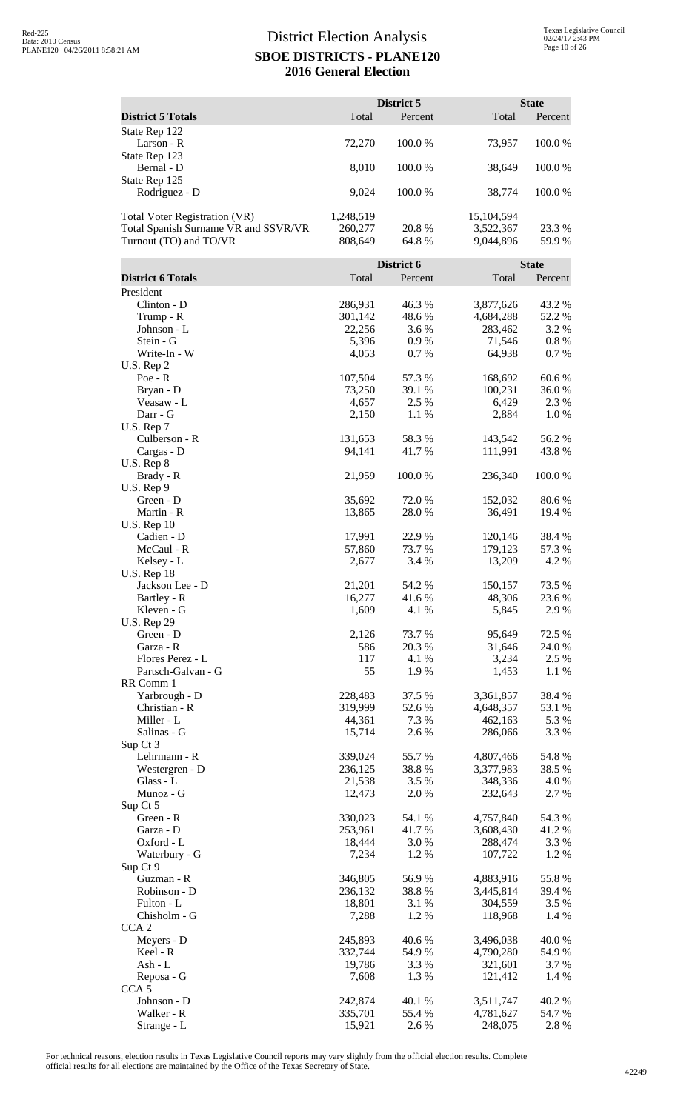|                                      |                    | District 5      |                        | <b>State</b>     |
|--------------------------------------|--------------------|-----------------|------------------------|------------------|
| <b>District 5 Totals</b>             | Total              | Percent         | Total                  | Percent          |
| State Rep 122                        |                    |                 |                        |                  |
| Larson - R<br>State Rep 123          | 72,270             | 100.0%          | 73,957                 | 100.0%           |
| Bernal - D                           | 8,010              | 100.0%          | 38,649                 | 100.0%           |
| State Rep 125                        |                    |                 |                        |                  |
| Rodriguez - D                        | 9,024              | 100.0 %         | 38,774                 | 100.0 %          |
| Total Voter Registration (VR)        | 1,248,519          |                 | 15,104,594             |                  |
| Total Spanish Surname VR and SSVR/VR | 260,277            | 20.8 %          | 3,522,367              | 23.3 %           |
| Turnout (TO) and TO/VR               | 808,649            | 64.8%           | 9,044,896              | 59.9%            |
|                                      |                    | District 6      |                        | <b>State</b>     |
| <b>District 6 Totals</b>             | Total              | Percent         | Total                  | Percent          |
| President                            |                    |                 |                        |                  |
| Clinton - D<br>Trump - R             | 286,931<br>301,142 | 46.3%<br>48.6%  | 3,877,626<br>4,684,288 | 43.2 %<br>52.2 % |
| Johnson - L                          | 22,256             | 3.6 %           | 283,462                | 3.2 %            |
| Stein - G                            | 5,396              | 0.9%            | 71,546                 | $0.8\%$          |
| Write-In - W                         | 4,053              | 0.7%            | 64,938                 | 0.7%             |
| U.S. Rep 2<br>$Poe - R$              | 107,504            | 57.3 %          | 168,692                | 60.6%            |
| Bryan - D                            | 73,250             | 39.1 %          | 100,231                | 36.0%            |
| Veasaw - L                           | 4,657              | 2.5 %           | 6,429                  | 2.3 %            |
| Darr - G<br>U.S. Rep 7               | 2,150              | 1.1 %           | 2,884                  | 1.0%             |
| Culberson - R                        | 131,653            | 58.3%           | 143,542                | 56.2%            |
| Cargas - D                           | 94,141             | 41.7%           | 111,991                | 43.8%            |
| $U.S.$ Rep $8$<br>Brady - R          | 21,959             | 100.0%          | 236,340                | 100.0%           |
| U.S. Rep 9                           |                    |                 |                        |                  |
| Green - D                            | 35,692             | 72.0%           | 152,032                | 80.6%            |
| Martin - R<br><b>U.S. Rep 10</b>     | 13,865             | 28.0 %          | 36,491                 | 19.4 %           |
| Cadien - D                           | 17,991             | 22.9 %          | 120,146                | 38.4 %           |
| McCaul - R                           | 57,860             | 73.7 %          | 179,123                | 57.3 %           |
| Kelsey - L<br><b>U.S. Rep 18</b>     | 2,677              | 3.4 %           | 13,209                 | 4.2 %            |
| Jackson Lee - D                      | 21,201             | 54.2 %          | 150,157                | 73.5 %           |
| Bartley - R                          | 16,277             | 41.6 %          | 48,306                 | 23.6 %           |
| Kleven - G<br><b>U.S. Rep 29</b>     | 1,609              | 4.1 %           | 5,845                  | 2.9%             |
| Green - D                            | 2,126              | 73.7 %          | 95,649                 | 72.5 %           |
| Garza - R                            | 586                | 20.3 %          | 31,646                 | 24.0 %           |
| Flores Perez - L                     | 117                | 4.1 %           | 3,234                  | 2.5 %            |
| Partsch-Galvan - G<br>RR Comm 1      | 55                 | 1.9%            | 1,453                  | 1.1 %            |
| Yarbrough - D                        | 228,483            | 37.5 %          | 3,361,857              | 38.4 %           |
| Christian - R                        | 319,999            | 52.6%           | 4,648,357              | 53.1 %           |
| Miller - L<br>Salinas - G            | 44,361<br>15,714   | 7.3 %<br>2.6 %  | 462,163<br>286,066     | 5.3 %<br>3.3 %   |
| Sup Ct 3                             |                    |                 |                        |                  |
| Lehrmann - R                         | 339,024            | 55.7%           | 4,807,466              | 54.8%            |
| Westergren - D<br>Glass - L          | 236,125<br>21,538  | 38.8%<br>3.5 %  | 3,377,983<br>348,336   | 38.5 %<br>4.0 %  |
| Munoz - G                            | 12,473             | 2.0%            | 232,643                | 2.7 %            |
| Sup Ct 5                             |                    |                 |                        |                  |
| Green - R<br>Garza - D               | 330,023<br>253,961 | 54.1 %<br>41.7% | 4,757,840<br>3,608,430 | 54.3 %<br>41.2%  |
| Oxford - L                           | 18,444             | 3.0%            | 288,474                | 3.3 %            |
| Waterbury - G                        | 7,234              | 1.2%            | 107,722                | 1.2 %            |
| Sup Ct 9<br>Guzman - R               | 346,805            | 56.9%           | 4,883,916              | 55.8%            |
| Robinson - D                         | 236,132            | 38.8%           | 3,445,814              | 39.4 %           |
| Fulton - L                           | 18,801             | 3.1 %           | 304,559                | 3.5 %            |
| Chisholm - G<br>CCA <sub>2</sub>     | 7,288              | 1.2%            | 118,968                | 1.4 %            |
| Meyers - D                           | 245,893            | $40.6~\%$       | 3,496,038              | 40.0%            |
| Keel - R                             | 332,744            | 54.9 %          | 4,790,280              | 54.9%            |
| Ash - L                              | 19,786             | 3.3 %           | 321,601                | 3.7 %            |
| Reposa - G<br>CCA <sub>5</sub>       | 7,608              | 1.3%            | 121,412                | 1.4 %            |
| Johnson - D                          | 242,874            | 40.1 %          | 3,511,747              | 40.2%            |
| Walker - R                           | 335,701            | 55.4 %          | 4,781,627              | 54.7 %           |
| Strange - L                          | 15,921             | 2.6%            | 248,075                | 2.8%             |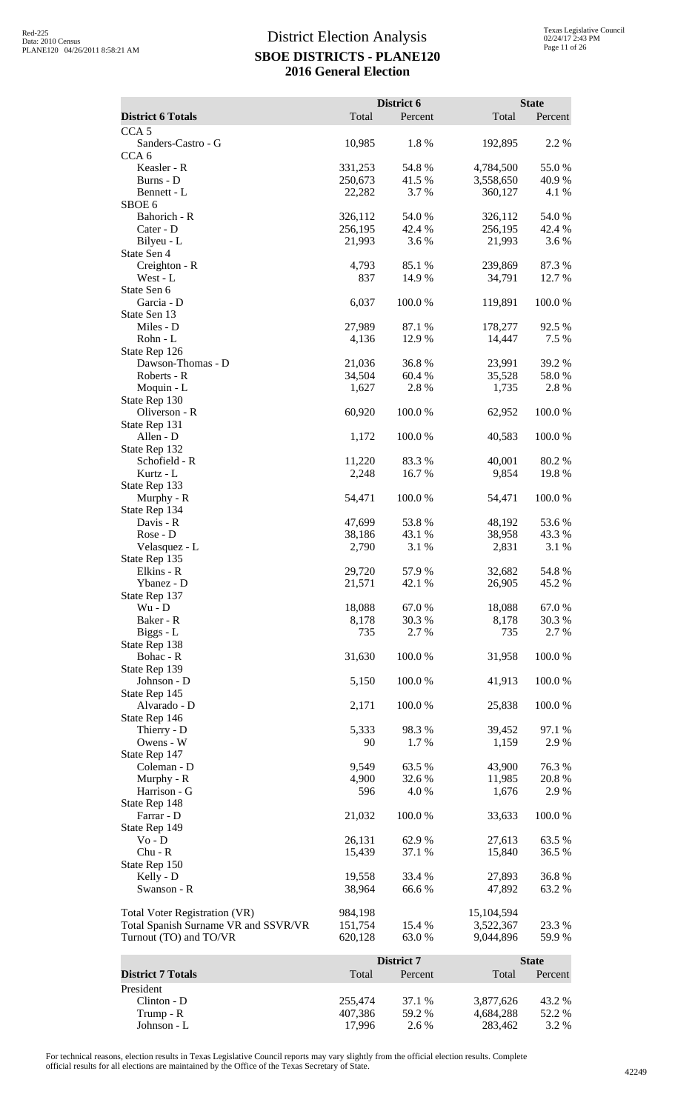|                                                                              |                    | District 6     |                         | <b>State</b>   |
|------------------------------------------------------------------------------|--------------------|----------------|-------------------------|----------------|
| <b>District 6 Totals</b>                                                     | Total              | Percent        | Total                   | Percent        |
| CCA <sub>5</sub>                                                             |                    |                |                         |                |
| Sanders-Castro - G<br>CCA <sub>6</sub>                                       | 10,985             | 1.8%           | 192,895                 | 2.2 %          |
| Keasler - R                                                                  | 331,253            | 54.8%          | 4,784,500               | 55.0%          |
| Burns - D                                                                    | 250,673            | 41.5 %         | 3,558,650               | 40.9%          |
| Bennett - L<br>SBOE <sub>6</sub>                                             | 22,282             | 3.7 %          | 360,127                 | 4.1 %          |
| Bahorich - R                                                                 | 326,112            | 54.0%          | 326,112                 | 54.0%          |
| Cater - D                                                                    | 256,195            | 42.4 %         | 256,195                 | 42.4 %         |
| Bilyeu - L                                                                   | 21,993             | 3.6 %          | 21,993                  | 3.6 %          |
| State Sen 4<br>Creighton - R                                                 | 4,793              | 85.1 %         | 239,869                 | 87.3%          |
| West - L                                                                     | 837                | 14.9 %         | 34,791                  | 12.7 %         |
| State Sen 6                                                                  |                    |                |                         |                |
| Garcia - D                                                                   | 6,037              | 100.0%         | 119,891                 | 100.0%         |
| State Sen 13<br>Miles - D                                                    | 27,989             | 87.1 %         | 178,277                 | 92.5 %         |
| Rohn - L                                                                     | 4,136              | 12.9 %         | 14,447                  | 7.5 %          |
| State Rep 126                                                                |                    |                |                         |                |
| Dawson-Thomas - D                                                            | 21,036             | 36.8%          | 23,991                  | 39.2 %         |
| Roberts - R<br>Moquin - L                                                    | 34,504<br>1,627    | 60.4%<br>2.8 % | 35,528<br>1,735         | 58.0%<br>2.8%  |
| State Rep 130                                                                |                    |                |                         |                |
| Oliverson - R                                                                | 60,920             | 100.0%         | 62,952                  | 100.0%         |
| State Rep 131                                                                |                    |                |                         |                |
| Allen - D<br>State Rep 132                                                   | 1,172              | 100.0%         | 40,583                  | 100.0%         |
| Schofield - R                                                                | 11,220             | 83.3%          | 40,001                  | 80.2%          |
| Kurtz - L                                                                    | 2,248              | 16.7 %         | 9,854                   | 19.8%          |
| State Rep 133                                                                |                    |                |                         |                |
| Murphy - R<br>State Rep 134                                                  | 54,471             | 100.0%         | 54,471                  | 100.0%         |
| Davis - R                                                                    | 47,699             | 53.8%          | 48,192                  | 53.6%          |
| Rose - D                                                                     | 38,186             | 43.1 %         | 38,958                  | 43.3%          |
| Velasquez - L                                                                | 2,790              | 3.1 %          | 2,831                   | 3.1 %          |
| State Rep 135<br>Elkins - R                                                  | 29,720             | 57.9%          | 32,682                  | 54.8%          |
| Ybanez - D                                                                   | 21,571             | 42.1 %         | 26,905                  | 45.2 %         |
| State Rep 137                                                                |                    |                |                         |                |
| $Wu - D$                                                                     | 18,088             | 67.0%          | 18,088                  | 67.0%          |
| Baker - R<br>Biggs - L                                                       | 8,178<br>735       | 30.3%<br>2.7 % | 8,178<br>735            | 30.3%<br>2.7 % |
| State Rep 138                                                                |                    |                |                         |                |
| Bohac - R                                                                    | 31,630             | 100.0%         | 31,958                  | 100.0%         |
| State Rep 139                                                                |                    | 100.0%         |                         |                |
| Johnson - D<br>State Rep 145                                                 | 5,150              |                | 41,913                  | 100.0%         |
| Alvarado - D                                                                 | 2,171              | 100.0%         | 25,838                  | 100.0%         |
| State Rep 146                                                                |                    |                |                         |                |
| Thierry - D                                                                  | 5,333              | 98.3 %         | 39,452                  | 97.1 %         |
| Owens - W<br>State Rep 147                                                   | 90                 | 1.7%           | 1,159                   | 2.9%           |
| Coleman - D                                                                  | 9,549              | 63.5 %         | 43,900                  | 76.3%          |
| Murphy - R                                                                   | 4,900              | 32.6 %         | 11,985                  | 20.8%          |
| Harrison - G                                                                 | 596                | 4.0%           | 1,676                   | 2.9%           |
| State Rep 148<br>Farrar - D                                                  | 21,032             | 100.0%         | 33,633                  | 100.0%         |
| State Rep 149                                                                |                    |                |                         |                |
| $Vo - D$                                                                     | 26,131             | 62.9 %         | 27,613                  | 63.5 %         |
| $Chu - R$                                                                    | 15,439             | 37.1 %         | 15,840                  | 36.5 %         |
| State Rep 150<br>Kelly - D                                                   | 19,558             | 33.4 %         | 27,893                  | 36.8%          |
| Swanson - R                                                                  | 38,964             | 66.6 %         | 47,892                  | 63.2%          |
|                                                                              |                    |                |                         |                |
| <b>Total Voter Registration (VR)</b><br>Total Spanish Surname VR and SSVR/VR | 984,198<br>151,754 | 15.4 %         | 15,104,594<br>3,522,367 | 23.3 %         |
| Turnout (TO) and TO/VR                                                       | 620,128            | 63.0%          | 9,044,896               | 59.9%          |
|                                                                              |                    |                |                         |                |
|                                                                              |                    | District 7     |                         | <b>State</b>   |
| <b>District 7 Totals</b>                                                     | Total              | Percent        | Total                   | Percent        |
| President<br>Clinton - D                                                     | 255,474            | 37.1 %         | 3,877,626               | 43.2 %         |
| Trump - R                                                                    | 407,386            | 59.2 %         | 4,684,288               | 52.2 %         |
| Johnson - L                                                                  | 17,996             | 2.6 %          | 283,462                 | 3.2 %          |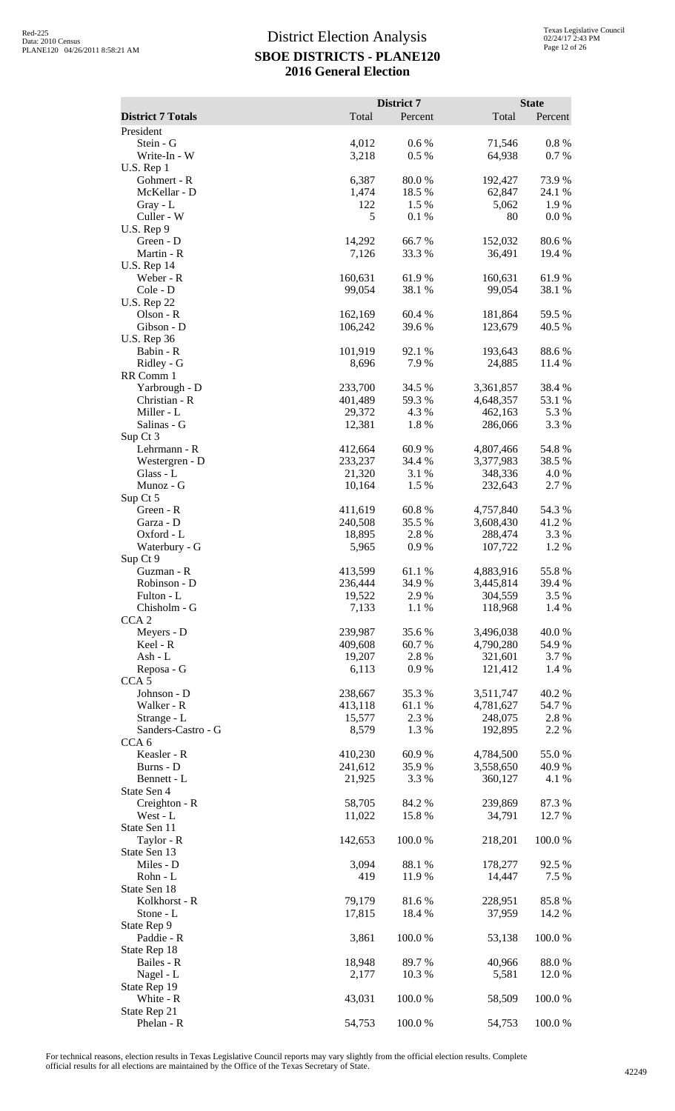|                                   |                    | District 7           |                        | <b>State</b>     |
|-----------------------------------|--------------------|----------------------|------------------------|------------------|
| <b>District 7 Totals</b>          | Total              | Percent              | Total                  | Percent          |
| President<br>Stein - G            | 4,012              | 0.6 %                | 71,546                 | $0.8\%$          |
| Write-In - W                      | 3,218              | 0.5%                 | 64,938                 | 0.7%             |
| $U.S.$ Rep $1$                    |                    |                      |                        |                  |
| Gohmert - R<br>McKellar - D       | 6,387<br>1,474     | 80.0%<br>18.5 %      | 192,427<br>62,847      | 73.9%<br>24.1 %  |
| Gray - L                          | 122                | 1.5 %                | 5,062                  | 1.9%             |
| Culler - W                        | 5                  | 0.1%                 | 80                     | 0.0 %            |
| U.S. Rep 9<br>Green - D           | 14,292             | 66.7%                | 152,032                | 80.6%            |
| Martin - R                        | 7,126              | 33.3 %               | 36,491                 | 19.4 %           |
| <b>U.S. Rep 14</b>                |                    |                      |                        |                  |
| Weber - R                         | 160,631            | 61.9%                | 160,631                | 61.9%            |
| Cole - D<br><b>U.S. Rep 22</b>    | 99,054             | 38.1 %               | 99,054                 | 38.1 %           |
| Olson - R                         | 162,169            | 60.4%                | 181,864                | 59.5 %           |
| Gibson - D                        | 106,242            | 39.6%                | 123,679                | 40.5 %           |
| <b>U.S. Rep 36</b><br>Babin - R   | 101,919            | 92.1 %               | 193,643                | 88.6%            |
| Ridley - G                        | 8,696              | 7.9%                 | 24,885                 | 11.4 %           |
| RR Comm 1                         |                    |                      |                        |                  |
| Yarbrough - D<br>Christian - R    | 233,700<br>401,489 | 34.5 %<br>59.3%      | 3,361,857<br>4,648,357 | 38.4 %<br>53.1 % |
| Miller - L                        | 29,372             | 4.3 %                | 462,163                | 5.3 %            |
| Salinas - G                       | 12,381             | 1.8%                 | 286,066                | 3.3 %            |
| Sup Ct 3                          |                    |                      |                        |                  |
| Lehrmann - R<br>Westergren - D    | 412,664<br>233,237 | $60.9\ \%$<br>34.4 % | 4,807,466<br>3,377,983 | 54.8%<br>38.5 %  |
| Glass - L                         | 21,320             | 3.1 %                | 348,336                | 4.0 %            |
| Munoz - G                         | 10,164             | 1.5 %                | 232,643                | 2.7 %            |
| Sup Ct 5<br>Green - R             | 411,619            | 60.8%                | 4,757,840              | 54.3 %           |
| Garza - D                         | 240,508            | 35.5 %               | 3,608,430              | 41.2%            |
| Oxford - L                        | 18,895             | 2.8%                 | 288,474                | 3.3 %            |
| Waterbury - G                     | 5,965              | 0.9%                 | 107,722                | 1.2%             |
| Sup Ct 9<br>Guzman - R            | 413,599            | 61.1%                | 4,883,916              | 55.8%            |
| Robinson - D                      | 236,444            | 34.9 %               | 3,445,814              | 39.4 %           |
| Fulton - L                        | 19,522             | 2.9 %                | 304,559                | 3.5%             |
| Chisholm - G<br>CCA <sub>2</sub>  | 7,133              | 1.1 %                | 118,968                | 1.4 %            |
| Meyers - D                        | 239,987            | 35.6%                | 3,496,038              | 40.0%            |
| Keel - R                          | 409,608            | 60.7%                | 4,790,280              | 54.9 %           |
| Ash - L<br>Reposa - G             | 19,207<br>6,113    | 2.8%<br>0.9%         | 321,601<br>121,412     | 3.7 %<br>1.4 %   |
| CCA <sub>5</sub>                  |                    |                      |                        |                  |
| Johnson - D                       | 238,667            | 35.3 %               | 3,511,747              | 40.2%            |
| Walker - R                        | 413,118            | 61.1%                | 4,781,627              | 54.7%            |
| Strange - L<br>Sanders-Castro - G | 15,577<br>8,579    | 2.3 %<br>1.3%        | 248,075<br>192,895     | 2.8%<br>2.2 %    |
| CCA <sub>6</sub>                  |                    |                      |                        |                  |
| Keasler - R                       | 410,230            | 60.9%                | 4,784,500              | 55.0%            |
| Burns - D<br>Bennett - L          | 241,612<br>21,925  | 35.9%<br>3.3 %       | 3,558,650<br>360,127   | 40.9 %<br>4.1 %  |
| State Sen 4                       |                    |                      |                        |                  |
| Creighton - R                     | 58,705             | 84.2%                | 239,869                | 87.3%            |
| West - L<br>State Sen 11          | 11,022             | 15.8%                | 34,791                 | 12.7 %           |
| Taylor - R                        | 142,653            | 100.0%               | 218,201                | 100.0%           |
| State Sen 13                      |                    |                      |                        |                  |
| Miles - D                         | 3,094              | 88.1 %               | 178,277                | 92.5 %           |
| Rohn - L<br>State Sen 18          | 419                | 11.9 %               | 14,447                 | 7.5 %            |
| Kolkhorst - R                     | 79,179             | 81.6%                | 228,951                | 85.8%            |
| Stone - L                         | 17,815             | 18.4 %               | 37,959                 | 14.2 %           |
| State Rep 9<br>Paddie - R         | 3,861              | 100.0%               | 53,138                 | 100.0%           |
| State Rep 18                      |                    |                      |                        |                  |
| Bailes - R                        | 18,948             | 89.7%                | 40,966                 | 88.0%            |
| Nagel - L                         | 2,177              | 10.3%                | 5,581                  | 12.0 %           |
| State Rep 19<br>White - R         | 43,031             | 100.0%               | 58,509                 | 100.0%           |
| State Rep 21                      |                    |                      |                        |                  |
| Phelan - R                        | 54,753             | 100.0%               | 54,753                 | 100.0%           |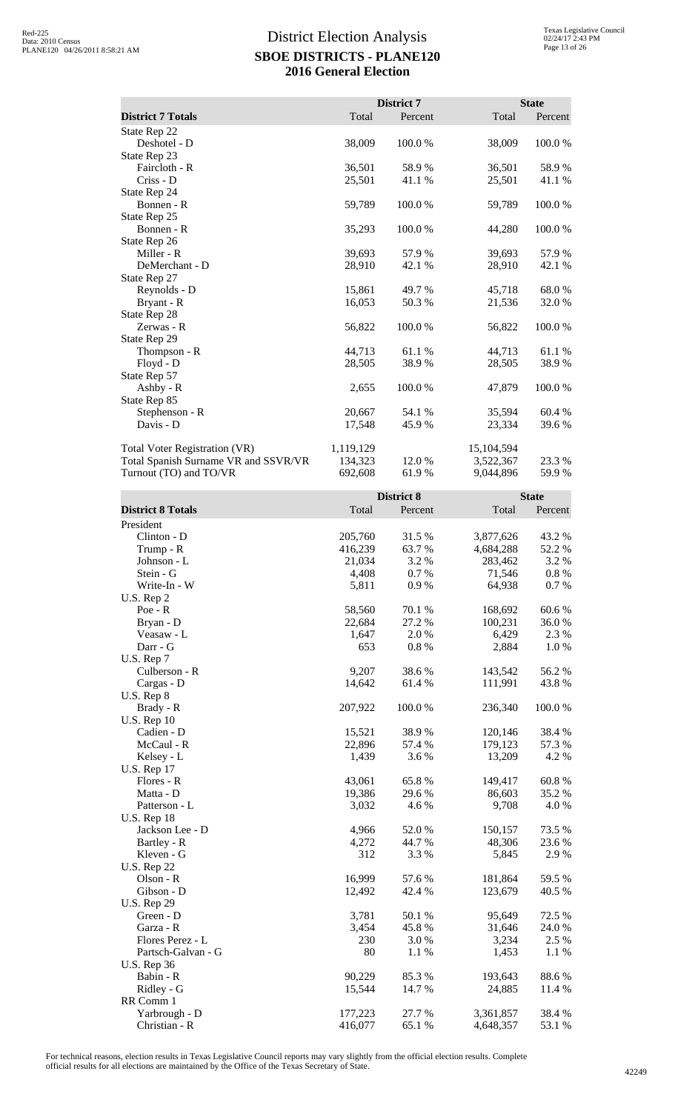|                                                                       |                      | District 7       |                         | <b>State</b>    |
|-----------------------------------------------------------------------|----------------------|------------------|-------------------------|-----------------|
| <b>District 7 Totals</b>                                              | Total                | Percent          | Total                   | Percent         |
| State Rep 22                                                          |                      |                  |                         |                 |
| Deshotel - D                                                          | 38,009               | 100.0 %          | 38,009                  | 100.0 %         |
| State Rep 23                                                          |                      |                  |                         |                 |
| Faircloth - R                                                         | 36,501               | 58.9%            | 36,501                  | 58.9%           |
| Criss - D                                                             | 25,501               | 41.1 %           | 25,501                  | 41.1 %          |
| State Rep 24                                                          |                      |                  |                         |                 |
| Bonnen - R<br>State Rep 25                                            | 59,789               | 100.0%           | 59,789                  | 100.0%          |
| Bonnen - R                                                            | 35,293               | 100.0%           | 44,280                  | 100.0%          |
| State Rep 26                                                          |                      |                  |                         |                 |
| Miller - R                                                            | 39,693               | 57.9 %           | 39,693                  | 57.9%           |
| DeMerchant - D                                                        | 28,910               | 42.1 %           | 28,910                  | 42.1 %          |
| State Rep 27                                                          |                      |                  |                         |                 |
| Reynolds - D                                                          | 15,861               | 49.7 %           | 45,718                  | 68.0%           |
| Bryant - R                                                            | 16,053               | 50.3 %           | 21,536                  | 32.0 %          |
| State Rep 28<br>Zerwas - R                                            |                      |                  |                         | 100.0%          |
| State Rep 29                                                          | 56,822               | 100.0 %          | 56,822                  |                 |
| Thompson - R                                                          | 44,713               | 61.1%            | 44,713                  | 61.1%           |
| Floyd - D                                                             | 28,505               | 38.9%            | 28,505                  | 38.9%           |
| State Rep 57                                                          |                      |                  |                         |                 |
| Ashby - R                                                             | 2,655                | 100.0%           | 47,879                  | 100.0%          |
| State Rep 85                                                          |                      |                  |                         |                 |
| Stephenson - R                                                        | 20,667               | 54.1 %           | 35,594                  | 60.4%           |
| Davis - D                                                             | 17,548               | 45.9%            | 23,334                  | 39.6%           |
|                                                                       |                      |                  |                         |                 |
| Total Voter Registration (VR)<br>Total Spanish Surname VR and SSVR/VR | 1,119,129<br>134,323 | 12.0 %           | 15,104,594<br>3,522,367 | 23.3 %          |
| Turnout (TO) and TO/VR                                                | 692,608              | 61.9 %           | 9,044,896               | 59.9%           |
|                                                                       |                      |                  |                         |                 |
|                                                                       |                      | District 8       |                         | <b>State</b>    |
| <b>District 8 Totals</b>                                              | Total                | Percent          | Total                   | Percent         |
| President                                                             |                      |                  |                         |                 |
| Clinton - D                                                           | 205,760              | 31.5 %           | 3,877,626               | 43.2 %          |
| Trump - R                                                             | 416,239              | 63.7%            | 4,684,288               | 52.2 %          |
| Johnson - L                                                           | 21,034               | 3.2 %            | 283,462                 | 3.2 %           |
| Stein - G                                                             | 4,408                | $0.7~\%$         | 71,546                  | 0.8 %           |
| Write-In - W<br>U.S. Rep 2                                            | 5,811                | 0.9 %            | 64,938                  | 0.7%            |
| Poe - R                                                               | 58,560               | 70.1 %           | 168,692                 | 60.6%           |
| Bryan - D                                                             | 22,684               | 27.2 %           | 100,231                 | 36.0%           |
| Veasaw - L                                                            | 1,647                | 2.0 %            | 6,429                   | 2.3 %           |
| Darr - G                                                              | 653                  | 0.8%             | 2,884                   | 1.0%            |
| U.S. Rep 7                                                            |                      |                  |                         |                 |
| Culberson - R                                                         | 9,207                | 38.6%            | 143,542                 | 56.2%           |
| Cargas - D                                                            | 14,642               | 61.4%            | 111,991                 | 43.8%           |
| U.S. Rep 8                                                            | 207,922              | 100.0%           | 236,340                 | 100.0%          |
| Brady - R<br><b>U.S. Rep 10</b>                                       |                      |                  |                         |                 |
| Cadien - D                                                            | 15,521               | 38.9%            | 120,146                 | 38.4%           |
| McCaul - R                                                            | 22,896               | 57.4 %           | 179,123                 | 57.3 %          |
| Kelsey - L                                                            | 1,439                | 3.6%             | 13,209                  | 4.2 %           |
| <b>U.S. Rep 17</b>                                                    |                      |                  |                         |                 |
| Flores - R                                                            | 43,061               | 65.8%            | 149,417                 | 60.8%           |
| Matta - D                                                             | 19,386               | 29.6 %           | 86,603                  | 35.2 %          |
| Patterson - L                                                         | 3,032                | 4.6 %            | 9,708                   | 4.0 %           |
| U.S. Rep 18<br>Jackson Lee - D                                        |                      |                  |                         |                 |
| Bartley - R                                                           |                      |                  |                         |                 |
| Kleven - G                                                            | 4,966                | 52.0%            | 150,157                 | 73.5 %          |
|                                                                       | 4,272                | 44.7 %           | 48,306                  | 23.6 %          |
|                                                                       | 312                  | 3.3 %            | 5,845                   | 2.9%            |
| <b>U.S. Rep 22</b><br>$Olson - R$                                     | 16,999               | 57.6 %           | 181,864                 | 59.5 %          |
| Gibson - D                                                            | 12,492               | 42.4 %           | 123,679                 | 40.5 %          |
| <b>U.S. Rep 29</b>                                                    |                      |                  |                         |                 |
| Green - D                                                             | 3,781                | 50.1 %           | 95,649                  | 72.5 %          |
| Garza - R                                                             | 3,454                | 45.8%            | 31,646                  | 24.0%           |
| Flores Perez - L                                                      | 230                  | 3.0%             | 3,234                   | 2.5 %           |
| Partsch-Galvan - G                                                    | 80                   | 1.1 %            | 1,453                   | 1.1 %           |
| <b>U.S. Rep 36</b>                                                    |                      |                  |                         |                 |
| Babin - R<br>Ridley - G                                               | 90,229<br>15,544     | 85.3%<br>14.7 %  | 193,643<br>24,885       | 88.6%<br>11.4 % |
| RR Comm 1                                                             |                      |                  |                         |                 |
| Yarbrough - D<br>Christian - R                                        | 177,223<br>416,077   | 27.7 %<br>65.1 % | 3,361,857<br>4,648,357  | 38.4%<br>53.1 % |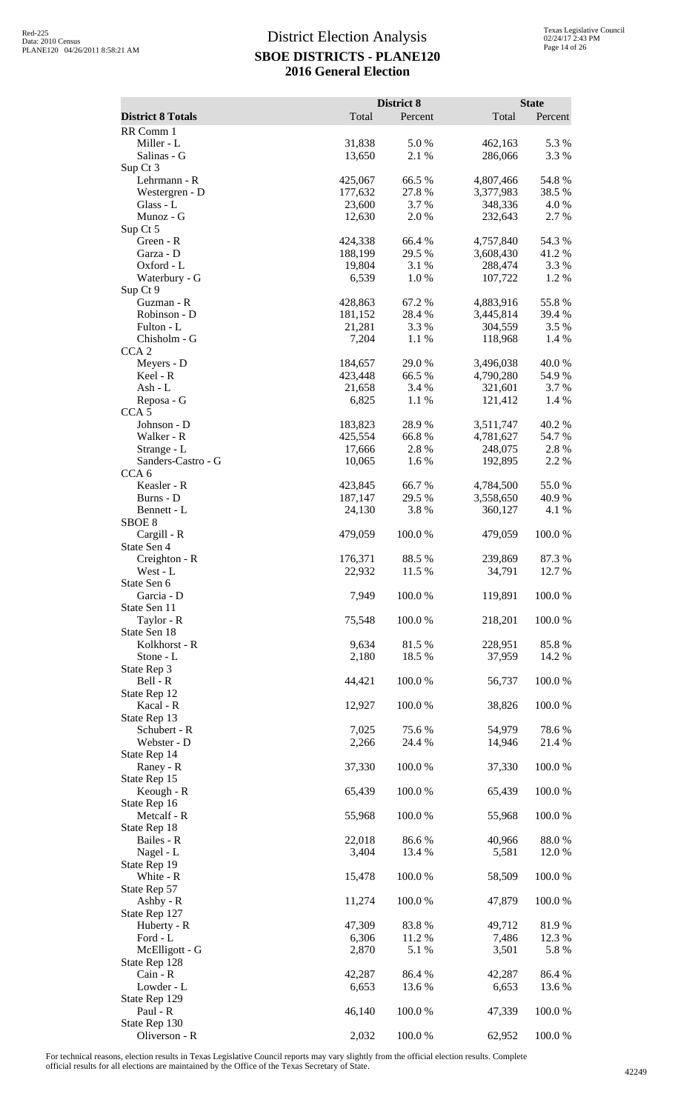|                                       | Total              | District 8      |                        | <b>State</b>    |
|---------------------------------------|--------------------|-----------------|------------------------|-----------------|
| <b>District 8 Totals</b><br>RR Comm 1 |                    | Percent         | Total                  | Percent         |
| Miller - L                            | 31,838             | 5.0%            | 462,163                | 5.3 %           |
| Salinas - G                           | 13,650             | 2.1 %           | 286,066                | 3.3 %           |
| Sup Ct 3                              |                    |                 |                        |                 |
| Lehrmann - R<br>Westergren - D        | 425,067<br>177,632 | 66.5%<br>27.8 % | 4,807,466<br>3,377,983 | 54.8%<br>38.5 % |
| Glass - L                             | 23,600             | 3.7 %           | 348,336                | 4.0 %           |
| Munoz - G                             | 12,630             | 2.0%            | 232,643                | 2.7 %           |
| Sup Ct 5                              |                    |                 |                        |                 |
| Green - R                             | 424,338            | 66.4 %          | 4,757,840              | 54.3 %          |
| Garza - D<br>Oxford - L               | 188,199<br>19,804  | 29.5 %<br>3.1 % | 3,608,430<br>288,474   | 41.2%<br>3.3 %  |
| Waterbury - G                         | 6,539              | 1.0%            | 107,722                | 1.2%            |
| Sup Ct 9                              |                    |                 |                        |                 |
| Guzman - R                            | 428,863            | 67.2 %          | 4,883,916              | 55.8%           |
| Robinson - D<br>Fulton - L            | 181,152<br>21,281  | 28.4%<br>3.3 %  | 3,445,814<br>304,559   | 39.4 %<br>3.5 % |
| Chisholm - G                          | 7,204              | 1.1 %           | 118,968                | 1.4 %           |
| CCA <sub>2</sub>                      |                    |                 |                        |                 |
| Meyers - D                            | 184,657            | 29.0%           | 3,496,038              | 40.0%           |
| Keel - R                              | 423,448            | 66.5%           | 4,790,280              | 54.9 %          |
| Ash - L<br>Reposa - G                 | 21,658<br>6,825    | 3.4 %<br>1.1 %  | 321,601<br>121,412     | 3.7 %<br>1.4 %  |
| CCA <sub>5</sub>                      |                    |                 |                        |                 |
| Johnson - D                           | 183,823            | 28.9%           | 3,511,747              | 40.2%           |
| Walker - R                            | 425,554            | 66.8%           | 4,781,627              | 54.7 %          |
| Strange - L<br>Sanders-Castro - G     | 17,666             | 2.8%<br>1.6%    | 248,075                | 2.8%<br>2.2 %   |
| CCA <sub>6</sub>                      | 10,065             |                 | 192,895                |                 |
| Keasler - R                           | 423,845            | 66.7%           | 4,784,500              | 55.0%           |
| Burns - D                             | 187,147            | 29.5 %          | 3,558,650              | 40.9%           |
| Bennett - L                           | 24,130             | 3.8%            | 360,127                | 4.1 %           |
| SBOE <sub>8</sub><br>Cargill - R      | 479,059            | 100.0%          | 479,059                | 100.0%          |
| State Sen 4                           |                    |                 |                        |                 |
| Creighton - R                         | 176,371            | 88.5 %          | 239,869                | 87.3%           |
| West - L                              | 22,932             | 11.5 %          | 34,791                 | 12.7 %          |
| State Sen 6                           | 7,949              |                 | 119,891                | 100.0%          |
| Garcia - D<br>State Sen 11            |                    | 100.0%          |                        |                 |
| Taylor - R                            | 75,548             | 100.0%          | 218,201                | 100.0%          |
| State Sen 18                          |                    |                 |                        |                 |
| Kolkhorst - R                         | 9,634              | 81.5 %          | 228,951                | 85.8%           |
| Stone - L<br>State Rep 3              | 2,180              | 18.5 %          | 37,959                 | 14.2 %          |
| Bell - R                              | 44,421             | 100.0%          | 56,737                 | 100.0%          |
| State Rep 12                          |                    |                 |                        |                 |
| Kacal - R                             | 12,927             | 100.0%          | 38,826                 | 100.0%          |
| State Rep 13<br>Schubert - R          | 7,025              | 75.6%           | 54,979                 | 78.6%           |
| Webster - D                           | 2,266              | 24.4 %          | 14,946                 | 21.4 %          |
| State Rep 14                          |                    |                 |                        |                 |
| Raney - R                             | 37,330             | 100.0%          | 37,330                 | 100.0%          |
| State Rep 15                          |                    |                 |                        |                 |
| Keough - R<br>State Rep 16            | 65,439             | 100.0%          | 65,439                 | 100.0%          |
| Metcalf - R                           | 55,968             | 100.0%          | 55,968                 | 100.0%          |
| State Rep 18                          |                    |                 |                        |                 |
| Bailes - R                            | 22,018             | 86.6%           | 40,966                 | $88.0\ \%$      |
| Nagel - L                             | 3,404              | 13.4 %          | 5,581                  | 12.0%           |
| State Rep 19<br>White - R             | 15,478             | 100.0%          | 58,509                 | 100.0%          |
| State Rep 57                          |                    |                 |                        |                 |
| Ashby - R                             | 11,274             | 100.0%          | 47,879                 | 100.0%          |
| State Rep 127                         |                    |                 |                        |                 |
| Huberty - R<br>Ford - L               | 47,309<br>6,306    | 83.8%<br>11.2 % | 49,712<br>7,486        | 81.9%<br>12.3 % |
| McElligott - G                        | 2,870              | 5.1 %           | 3,501                  | 5.8 %           |
| State Rep 128                         |                    |                 |                        |                 |
| Cain - R                              | 42,287             | 86.4%           | 42,287                 | 86.4%           |
| Lowder - L                            | 6,653              | 13.6 %          | 6,653                  | 13.6 %          |
| State Rep 129<br>Paul - R             | 46,140             | 100.0%          | 47,339                 | 100.0%          |
| State Rep 130                         |                    |                 |                        |                 |
| Oliverson - R                         | 2,032              | 100.0%          | 62,952                 | 100.0%          |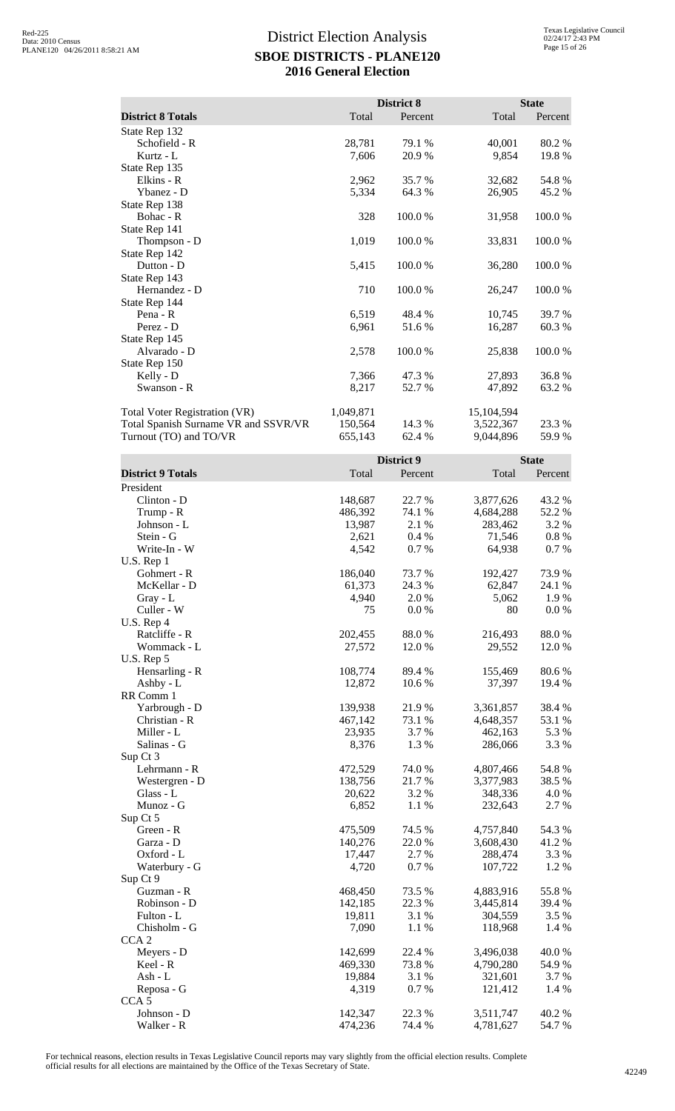|                                      |           | District 8 |            | <b>State</b> |
|--------------------------------------|-----------|------------|------------|--------------|
| <b>District 8 Totals</b>             | Total     | Percent    | Total      | Percent      |
| State Rep 132                        |           |            |            |              |
| Schofield - R                        | 28,781    | 79.1 %     | 40,001     | 80.2 %       |
| Kurtz - L                            | 7,606     | 20.9%      | 9,854      | 19.8%        |
| State Rep 135                        |           |            |            |              |
| Elkins - R                           | 2,962     | 35.7 %     | 32,682     | 54.8%        |
| Ybanez - D                           | 5,334     | 64.3 %     | 26,905     | 45.2 %       |
| State Rep 138                        |           |            |            |              |
| Bohac - R                            | 328       | 100.0 %    | 31,958     | 100.0%       |
| State Rep 141                        |           |            |            |              |
| Thompson - D                         | 1,019     | 100.0%     | 33,831     | 100.0%       |
| State Rep 142                        |           |            |            |              |
| Dutton - D                           | 5,415     | 100.0%     | 36,280     | 100.0%       |
| State Rep 143                        |           |            |            |              |
| Hernandez - D                        | 710       | 100.0%     | 26,247     | 100.0%       |
| State Rep 144                        |           |            |            |              |
| Pena - $R$                           | 6,519     | 48.4 %     | 10,745     | 39.7 %       |
| Perez - D                            | 6,961     | 51.6 %     | 16,287     | 60.3%        |
| State Rep 145                        |           |            |            |              |
| Alvarado - D                         | 2,578     | 100.0%     | 25,838     | 100.0%       |
| State Rep 150                        |           |            |            |              |
| Kelly - D                            | 7,366     | 47.3 %     | 27,893     | 36.8%        |
| Swanson - R                          | 8,217     | 52.7 %     | 47,892     | 63.2 %       |
| <b>Total Voter Registration (VR)</b> | 1,049,871 |            | 15,104,594 |              |
| Total Spanish Surname VR and SSVR/VR | 150,564   | 14.3 %     | 3,522,367  | 23.3 %       |
| Turnout (TO) and TO/VR               | 655,143   | 62.4 %     | 9,044,896  | 59.9%        |

|                          |         | District 9 |                    | <b>State</b> |  |
|--------------------------|---------|------------|--------------------|--------------|--|
| <b>District 9 Totals</b> | Total   | Percent    | Total              | Percent      |  |
| President                |         |            |                    |              |  |
| Clinton - D              | 148,687 | 22.7 %     | 3,877,626          | 43.2 %       |  |
| Trump - R                | 486,392 | 74.1 %     | 4,684,288          | 52.2 %       |  |
| Johnson - L              | 13,987  | 2.1 %      | 283,462            | 3.2 %        |  |
| Stein - G                | 2,621   | 0.4%       | 71,546             | 0.8%         |  |
| Write-In - W             | 4,542   | 0.7%       | 64,938             | 0.7 %        |  |
| U.S. Rep 1               |         |            |                    |              |  |
| Gohmert - R              | 186,040 | 73.7 %     | 192,427            | 73.9 %       |  |
| McKellar - D             | 61,373  | 24.3 %     | 62,847             | 24.1 %       |  |
| Gray - L                 | 4,940   | 2.0%       | 5,062              | 1.9%         |  |
| Culler - W               | 75      | 0.0 %      | 80                 | 0.0 %        |  |
| U.S. Rep 4               |         |            |                    |              |  |
| Ratcliffe - R            | 202,455 | 88.0%      | 216,493            | 88.0%        |  |
| Wommack - L              | 27,572  | 12.0%      | 29,552             | 12.0 %       |  |
| U.S. Rep 5               |         |            |                    |              |  |
| Hensarling - R           | 108,774 | 89.4 %     | 155,469            | 80.6%        |  |
| $Ashby - L$              | 12,872  | 10.6 %     | 37,397             | 19.4 %       |  |
| RR Comm 1                |         |            |                    |              |  |
| Yarbrough - D            | 139,938 | 21.9 %     | 3,361,857          | 38.4%        |  |
| Christian - R            | 467,142 | 73.1 %     | 4,648,357          | 53.1 %       |  |
| Miller - L               | 23,935  | 3.7%       | 462,163            | 5.3 %        |  |
| Salinas - G              | 8,376   | 1.3%       | 286,066            | 3.3 %        |  |
| Sup Ct 3                 |         |            |                    |              |  |
| Lehrmann - R             | 472,529 | 74.0 %     | 4,807,466          | 54.8%        |  |
| Westergren - D           | 138,756 | 21.7%      | 3,377,983          | 38.5 %       |  |
| Glass - L                | 20,622  | 3.2 %      | 348,336            | 4.0%         |  |
| Munoz - G                | 6,852   | 1.1 %      | 232,643            | 2.7%         |  |
| Sup Ct 5                 |         |            |                    |              |  |
| Green - R                | 475,509 | 74.5 %     | 4,757,840          | 54.3 %       |  |
|                          | 140,276 | 22.0%      |                    | 41.2%        |  |
| Garza - D                | 17,447  | 2.7 %      | 3,608,430          | 3.3 %        |  |
| Oxford - L               | 4,720   | 0.7%       | 288,474<br>107,722 | 1.2%         |  |
| Waterbury - G            |         |            |                    |              |  |
| Sup Ct 9                 |         | 73.5 %     |                    | 55.8%        |  |
| Guzman - R               | 468,450 |            | 4,883,916          |              |  |
| Robinson - D             | 142,185 | 22.3 %     | 3,445,814          | 39.4 %       |  |
| Fulton - L               | 19,811  | 3.1 %      | 304,559            | 3.5 %        |  |
| Chisholm - G             | 7,090   | 1.1 %      | 118,968            | 1.4 %        |  |
| CCA <sub>2</sub>         |         |            |                    |              |  |
| Meyers - D               | 142,699 | 22.4 %     | 3,496,038          | 40.0%        |  |
| Keel - R                 | 469,330 | 73.8%      | 4,790,280          | 54.9%        |  |
| Ash - L                  | 19,884  | 3.1 %      | 321,601            | 3.7 %        |  |
| Reposa - G               | 4,319   | 0.7%       | 121,412            | 1.4 %        |  |
| CCA <sub>5</sub>         |         |            |                    |              |  |
| Johnson - D              | 142,347 | 22.3 %     | 3,511,747          | 40.2 %       |  |
| Walker - R               | 474,236 | 74.4 %     | 4,781,627          | 54.7%        |  |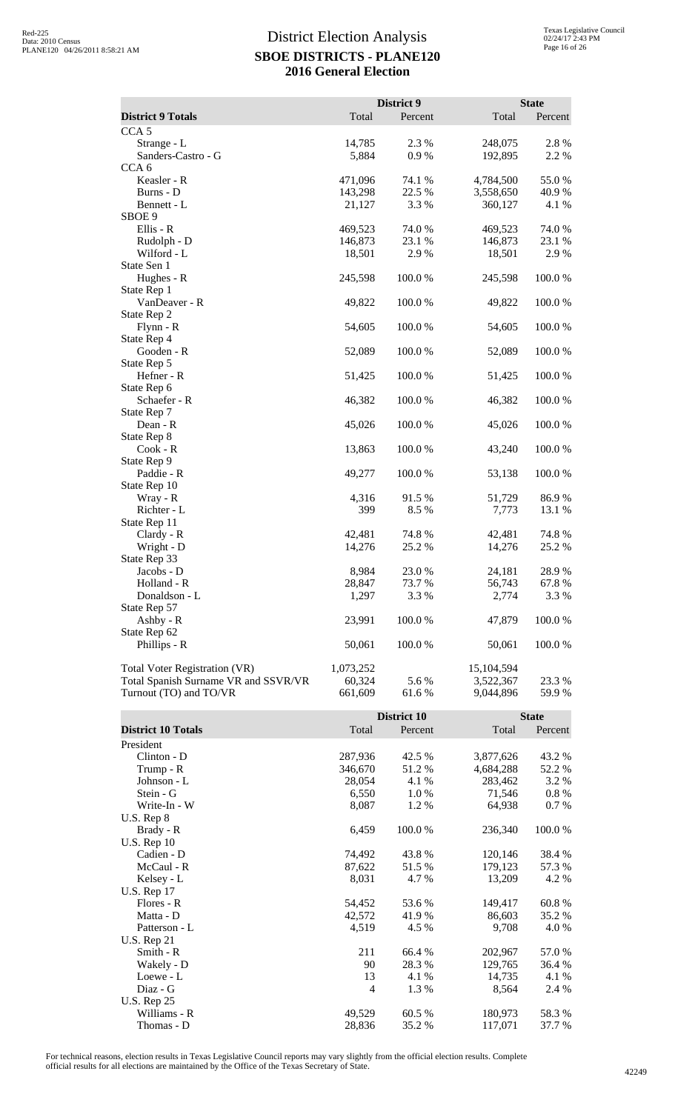|                                      |           | District 9 |            | <b>State</b> |
|--------------------------------------|-----------|------------|------------|--------------|
| <b>District 9 Totals</b>             | Total     | Percent    | Total      | Percent      |
| CCA <sub>5</sub>                     |           |            |            |              |
| Strange - L                          | 14,785    | 2.3 %      | 248,075    | 2.8 %        |
| Sanders-Castro - G                   | 5,884     | 0.9%       | 192,895    | 2.2 %        |
| CCA <sub>6</sub>                     |           |            |            |              |
| Keasler - R                          | 471,096   | 74.1 %     | 4,784,500  | 55.0 %       |
| Burns - D                            | 143,298   | 22.5 %     | 3,558,650  | 40.9%        |
| Bennett - L                          | 21,127    | 3.3 %      | 360,127    | 4.1 %        |
| SBOE 9                               |           |            |            |              |
| Ellis - R                            | 469,523   | 74.0%      | 469,523    | 74.0%        |
| Rudolph - D                          | 146,873   | 23.1 %     | 146,873    | 23.1 %       |
| Wilford - L                          | 18,501    | 2.9%       | 18,501     | 2.9%         |
| State Sen 1                          |           |            |            |              |
| Hughes - R                           | 245,598   | 100.0%     | 245,598    | 100.0%       |
| State Rep 1                          |           |            |            |              |
| VanDeaver - R                        | 49,822    | 100.0%     | 49,822     | 100.0%       |
| State Rep 2                          |           |            |            |              |
| $Flynn - R$                          | 54,605    | 100.0%     | 54,605     | 100.0%       |
| State Rep 4                          |           |            |            |              |
| Gooden - R                           | 52,089    | 100.0%     | 52,089     | 100.0%       |
| State Rep 5                          |           |            |            |              |
| Hefner - R                           |           | 100.0%     |            | 100.0%       |
|                                      | 51,425    |            | 51,425     |              |
| State Rep 6<br>Schaefer - R          | 46,382    | 100.0%     | 46,382     | 100.0%       |
|                                      |           |            |            |              |
| State Rep 7<br>Dean - R              |           | 100.0%     |            | 100.0%       |
| State Rep 8                          | 45,026    |            | 45,026     |              |
| $Cook - R$                           |           | 100.0%     | 43,240     | 100.0%       |
|                                      | 13,863    |            |            |              |
| State Rep 9<br>Paddie - R            | 49,277    | 100.0%     |            | 100.0%       |
|                                      |           |            | 53,138     |              |
| State Rep 10                         | 4,316     | 91.5 %     |            | 86.9%        |
| Wray - R<br>Richter - L              | 399       | 8.5 %      | 51,729     |              |
| State Rep 11                         |           |            | 7,773      | 13.1 %       |
|                                      | 42,481    | 74.8%      | 42,481     | 74.8%        |
| Clardy - R                           |           |            |            |              |
| Wright - D                           | 14,276    | 25.2 %     | 14,276     | 25.2 %       |
| State Rep 33<br>Jacobs - D           | 8,984     | 23.0%      |            | 28.9%        |
|                                      |           |            | 24,181     |              |
| Holland - R<br>Donaldson - L         | 28,847    | 73.7 %     | 56,743     | 67.8%        |
| State Rep 57                         | 1,297     | 3.3 %      | 2,774      | 3.3 %        |
| Ashby - $R$                          |           |            |            |              |
|                                      | 23,991    | 100.0%     | 47,879     | 100.0%       |
| State Rep 62                         |           |            |            |              |
| Phillips - R                         | 50,061    | 100.0%     | 50,061     | 100.0%       |
| Total Voter Registration (VR)        | 1,073,252 |            | 15,104,594 |              |
| Total Spanish Surname VR and SSVR/VR | 60,324    | 5.6 %      | 3,522,367  | 23.3 %       |
| Turnout (TO) and TO/VR               | 661,609   | 61.6%      | 9,044,896  | 59.9%        |

|                           |                | District 10 |           |          |
|---------------------------|----------------|-------------|-----------|----------|
| <b>District 10 Totals</b> | Total          | Percent     | Total     | Percent  |
| President                 |                |             |           |          |
| Clinton - D               | 287,936        | 42.5 %      | 3,877,626 | 43.2 %   |
| Trump - R                 | 346,670        | 51.2 %      | 4,684,288 | 52.2 %   |
| Johnson - L               | 28,054         | 4.1 %       | 283,462   | 3.2 %    |
| Stein - G                 | 6,550          | 1.0%        | 71,546    | $0.8 \%$ |
| Write-In - W              | 8,087          | 1.2 %       | 64,938    | 0.7 %    |
| $U.S.$ Rep $8$            |                |             |           |          |
| Brady - R                 | 6,459          | 100.0 %     | 236,340   | 100.0 %  |
| U.S. Rep $10$             |                |             |           |          |
| Cadien - D                | 74,492         | 43.8 %      | 120,146   | 38.4 %   |
| McCaul - R                | 87,622         | 51.5 %      | 179,123   | 57.3 %   |
| Kelsey - L                | 8,031          | 4.7 %       | 13,209    | 4.2 %    |
| <b>U.S. Rep 17</b>        |                |             |           |          |
| Flores - R                | 54,452         | 53.6 %      | 149,417   | 60.8%    |
| Matta - D                 | 42,572         | 41.9 %      | 86,603    | 35.2 %   |
| Patterson - L             | 4,519          | 4.5 %       | 9,708     | 4.0 %    |
| <b>U.S. Rep 21</b>        |                |             |           |          |
| Smith - R                 | 211            | 66.4 %      | 202,967   | 57.0 %   |
| Wakely - D                | 90             | 28.3 %      | 129,765   | 36.4 %   |
| Loewe - L                 | 13             | 4.1 %       | 14,735    | 4.1 %    |
| Diaz - G                  | $\overline{4}$ | 1.3 %       | 8,564     | 2.4 %    |
| <b>U.S. Rep 25</b>        |                |             |           |          |
| Williams - R              | 49,529         | 60.5 %      | 180,973   | 58.3%    |
| Thomas - D                | 28,836         | 35.2 %      | 117,071   | 37.7 %   |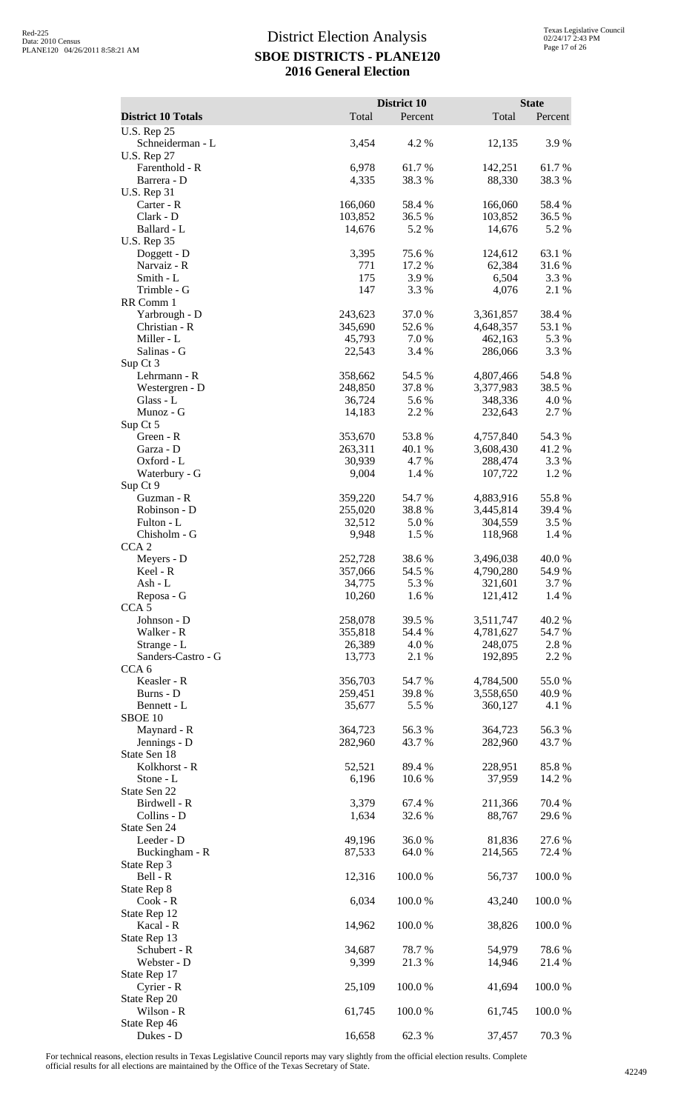|                                        |                    | District 10      |                        | <b>State</b>     |
|----------------------------------------|--------------------|------------------|------------------------|------------------|
| <b>District 10 Totals</b>              | Total              | Percent          | Total                  | Percent          |
| <b>U.S. Rep 25</b><br>Schneiderman - L | 3,454              | 4.2 %            | 12,135                 | 3.9%             |
| <b>U.S. Rep 27</b>                     |                    |                  |                        |                  |
| Farenthold - R                         | 6,978              | 61.7%            | 142,251                | 61.7%            |
| Barrera - D<br><b>U.S. Rep 31</b>      | 4,335              | 38.3%            | 88,330                 | 38.3 %           |
| Carter - R                             | 166,060            | 58.4%            | 166,060                | 58.4%            |
| Clark - D<br>Ballard - L               | 103,852<br>14,676  | 36.5 %<br>5.2 %  | 103,852<br>14,676      | 36.5 %<br>5.2 %  |
| <b>U.S. Rep 35</b>                     |                    |                  |                        |                  |
| Doggett - D                            | 3,395              | 75.6%            | 124,612                | 63.1 %           |
| Narvaiz - R<br>Smith - L               | 771<br>175         | 17.2 %<br>3.9%   | 62,384<br>6,504        | 31.6%<br>3.3 %   |
| Trimble - G                            | 147                | 3.3 %            | 4,076                  | 2.1 %            |
| RR Comm 1                              |                    |                  |                        |                  |
| Yarbrough - D<br>Christian - R         | 243,623<br>345,690 | 37.0%<br>52.6 %  | 3,361,857<br>4,648,357 | 38.4 %<br>53.1 % |
| Miller - L                             | 45,793             | 7.0 %            | 462,163                | 5.3 %            |
| Salinas - G                            | 22,543             | 3.4 %            | 286,066                | 3.3 %            |
| Sup Ct 3<br>Lehrmann - R               | 358,662            | 54.5 %           | 4,807,466              | 54.8%            |
| Westergren - D                         | 248,850            | 37.8%            | 3,377,983              | 38.5 %           |
| Glass - L                              | 36,724             | 5.6 %            | 348,336                | 4.0 %            |
| Munoz - G<br>Sup Ct 5                  | 14,183             | 2.2 %            | 232,643                | 2.7 %            |
| Green - R                              | 353,670            | 53.8%            | 4,757,840              | 54.3 %           |
| Garza - D                              | 263,311            | 40.1 %           | 3,608,430              | 41.2%            |
| Oxford - L<br>Waterbury - G            | 30,939<br>9,004    | 4.7 %<br>1.4 %   | 288,474<br>107,722     | 3.3 %<br>1.2%    |
| Sup Ct 9                               |                    |                  |                        |                  |
| Guzman - R                             | 359,220            | 54.7%            | 4,883,916              | 55.8%            |
| Robinson - D<br>Fulton - L             | 255,020<br>32,512  | 38.8%<br>5.0 %   | 3,445,814<br>304,559   | 39.4 %<br>3.5%   |
| Chisholm - G                           | 9,948              | 1.5 %            | 118,968                | 1.4 %            |
| CCA <sub>2</sub>                       |                    |                  |                        |                  |
| Meyers - D                             | 252,728<br>357,066 | 38.6%<br>54.5 %  | 3,496,038              | 40.0 %<br>54.9%  |
| Keel - R<br>Ash - L                    | 34,775             | 5.3 %            | 4,790,280<br>321,601   | 3.7 %            |
| Reposa - G                             | 10,260             | 1.6%             | 121,412                | 1.4 %            |
| CCA <sub>5</sub><br>Johnson - D        | 258,078            | 39.5 %           | 3,511,747              | 40.2%            |
| Walker - R                             | 355,818            | 54.4 %           | 4,781,627              | 54.7%            |
| Strange - L                            | 26,389             | 4.0%             | 248,075                | 2.8%             |
| Sanders-Castro - G<br>CCA <sub>6</sub> | 13,773             | 2.1 %            | 192,895                | 2.2 %            |
| Keasler - R                            | 356,703            | 54.7%            | 4,784,500              | 55.0%            |
| Burns - D                              | 259,451            | 39.8%            | 3,558,650              | 40.9%            |
| Bennett - L<br>SBOE 10                 | 35,677             | 5.5 %            | 360,127                | 4.1 %            |
| Maynard - R                            | 364,723            | 56.3%            | 364,723                | 56.3%            |
| Jennings - D                           | 282,960            | 43.7 %           | 282,960                | 43.7 %           |
| State Sen 18<br>Kolkhorst - R          | 52,521             | 89.4%            | 228,951                | 85.8%            |
| Stone - L                              | 6,196              | 10.6 %           | 37,959                 | 14.2 %           |
| State Sen 22                           |                    |                  |                        |                  |
| Birdwell - R<br>Collins - D            | 3,379<br>1,634     | 67.4 %<br>32.6 % | 211,366<br>88,767      | 70.4 %<br>29.6%  |
| State Sen 24                           |                    |                  |                        |                  |
| Leeder - D                             | 49,196             | 36.0%            | 81,836                 | 27.6 %           |
| Buckingham - R<br>State Rep 3          | 87,533             | 64.0%            | 214,565                | 72.4 %           |
| Bell - R                               | 12,316             | 100.0%           | 56,737                 | 100.0%           |
| State Rep 8                            |                    |                  |                        |                  |
| Cook - R<br>State Rep 12               | 6,034              | 100.0%           | 43,240                 | 100.0%           |
| Kacal - R                              | 14,962             | 100.0%           | 38,826                 | 100.0%           |
| State Rep 13                           |                    |                  |                        |                  |
| Schubert - R<br>Webster - D            | 34,687<br>9,399    | 78.7%<br>21.3%   | 54,979<br>14,946       | 78.6%<br>21.4 %  |
| State Rep 17                           |                    |                  |                        |                  |
| Cyrier - R                             | 25,109             | 100.0%           | 41,694                 | 100.0%           |
| State Rep 20<br>Wilson - R             | 61,745             |                  |                        |                  |
| State Rep 46                           |                    | 100.0%           | 61,745                 | 100.0%           |
| Dukes - D                              | 16,658             | 62.3%            | 37,457                 | 70.3%            |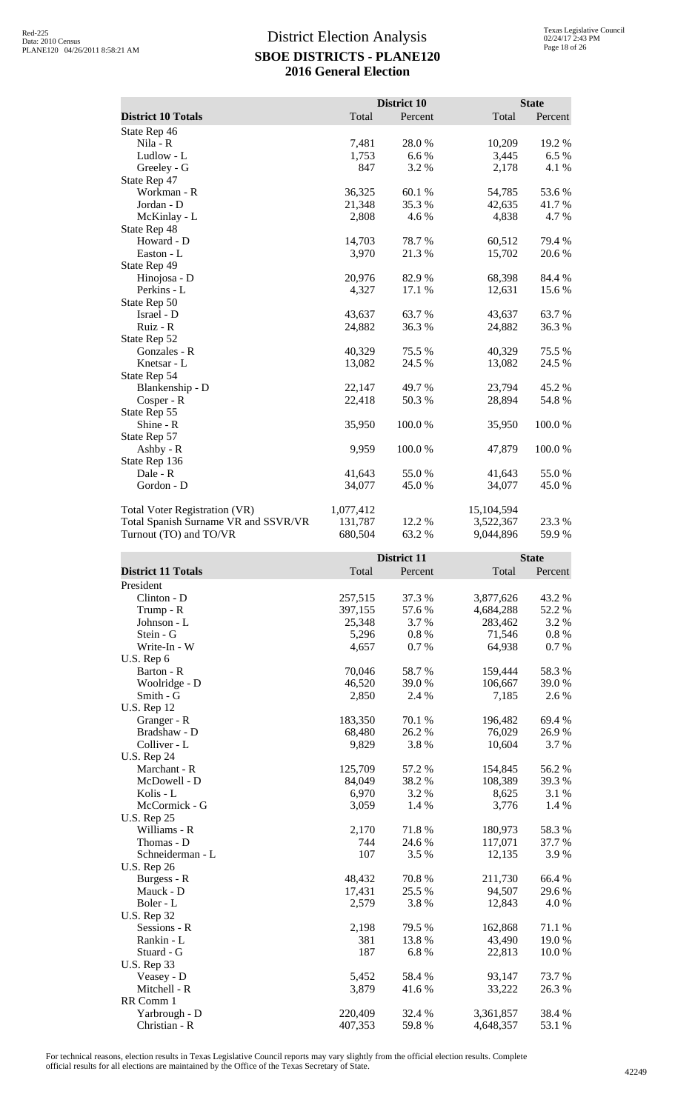|                                      |           | District 10 |            | <b>State</b> |
|--------------------------------------|-----------|-------------|------------|--------------|
| <b>District 10 Totals</b>            | Total     | Percent     | Total      | Percent      |
| State Rep 46                         |           |             |            |              |
| Nila - R                             | 7,481     | 28.0%       | 10,209     | 19.2 %       |
| Ludlow - L                           | 1,753     | 6.6 %       | 3,445      | 6.5%         |
| Greeley - G                          | 847       | 3.2%        | 2,178      | 4.1 %        |
| State Rep 47                         |           |             |            |              |
| Workman - R                          | 36,325    | 60.1%       | 54,785     | 53.6%        |
| Jordan - D                           | 21,348    | 35.3 %      | 42,635     | 41.7 %       |
| McKinlay - L                         | 2,808     | 4.6 %       | 4,838      | 4.7 %        |
| State Rep 48                         |           |             |            |              |
| Howard - D                           | 14,703    | 78.7 %      | 60,512     | 79.4 %       |
| Easton - L                           | 3,970     | 21.3 %      | 15,702     | 20.6%        |
| State Rep 49                         |           |             |            |              |
| Hinojosa - D                         | 20,976    | 82.9%       | 68,398     | 84.4 %       |
| Perkins - L                          | 4,327     | 17.1 %      | 12,631     | 15.6 %       |
| State Rep 50                         |           |             |            |              |
| Israel - D                           | 43,637    | 63.7 %      | 43,637     | 63.7 %       |
| Ruiz - R                             | 24,882    | 36.3 %      | 24,882     | 36.3%        |
| State Rep 52                         |           |             |            |              |
| Gonzales - R                         | 40,329    | 75.5 %      | 40,329     | 75.5 %       |
| Knetsar - L                          | 13,082    | 24.5 %      | 13,082     | 24.5 %       |
| State Rep 54                         |           |             |            |              |
| Blankenship - D                      | 22,147    | 49.7%       | 23,794     | 45.2%        |
| Cosper - R                           | 22,418    | 50.3%       | 28,894     | 54.8 %       |
| State Rep 55                         |           |             |            |              |
| Shine - R                            | 35,950    | 100.0%      | 35,950     | 100.0%       |
| State Rep 57                         |           |             |            |              |
| $Ashby - R$                          | 9,959     | 100.0%      | 47,879     | 100.0%       |
| State Rep 136                        |           |             |            |              |
| Dale - R                             | 41,643    | 55.0%       | 41,643     | 55.0%        |
| Gordon - D                           | 34,077    | 45.0%       | 34,077     | 45.0%        |
| <b>Total Voter Registration (VR)</b> | 1,077,412 |             | 15,104,594 |              |
| Total Spanish Surname VR and SSVR/VR | 131,787   | 12.2 %      | 3,522,367  | 23.3 %       |
| Turnout (TO) and TO/VR               | 680,504   | 63.2 %      | 9,044,896  | 59.9 %       |

|                           |         | <b>District 11</b> |           | <b>State</b> |
|---------------------------|---------|--------------------|-----------|--------------|
| <b>District 11 Totals</b> | Total   | Percent            | Total     | Percent      |
| President                 |         |                    |           |              |
| Clinton - D               | 257,515 | 37.3 %             | 3,877,626 | 43.2 %       |
| Trump - R                 | 397,155 | 57.6 %             | 4,684,288 | 52.2 %       |
| Johnson - L               | 25,348  | 3.7 %              | 283,462   | 3.2 %        |
| Stein - G                 | 5,296   | 0.8%               | 71,546    | $0.8~\%$     |
| Write-In - W              | 4,657   | 0.7%               | 64,938    | 0.7 %        |
| U.S. Rep 6                |         |                    |           |              |
| Barton - R                | 70,046  | 58.7%              | 159,444   | 58.3%        |
| Woolridge - D             | 46,520  | 39.0%              | 106,667   | 39.0%        |
| Smith - G                 | 2,850   | 2.4 %              | 7,185     | 2.6 %        |
| <b>U.S. Rep 12</b>        |         |                    |           |              |
| Granger - R               | 183,350 | 70.1 %             | 196,482   | 69.4%        |
| Bradshaw - D              | 68,480  | 26.2%              | 76,029    | 26.9%        |
| Colliver - L              | 9,829   | 3.8%               | 10,604    | 3.7 %        |
| <b>U.S. Rep 24</b>        |         |                    |           |              |
| Marchant - R              | 125,709 | 57.2 %             | 154,845   | 56.2%        |
| McDowell - D              | 84,049  | 38.2%              | 108,389   | 39.3%        |
| Kolis - L                 | 6,970   | 3.2 %              | 8,625     | 3.1 %        |
| McCormick - G             | 3,059   | 1.4 %              | 3,776     | 1.4 %        |
| <b>U.S. Rep 25</b>        |         |                    |           |              |
| Williams - R              | 2,170   | 71.8%              | 180,973   | 58.3%        |
| Thomas - D                | 744     | 24.6%              | 117,071   | 37.7 %       |
| Schneiderman - L          | 107     | 3.5 %              | 12,135    | 3.9%         |
| <b>U.S. Rep 26</b>        |         |                    |           |              |
| Burgess - R               | 48,432  | 70.8%              | 211,730   | 66.4%        |
| Mauck - D                 | 17,431  | 25.5 %             | 94,507    | 29.6 %       |
| Boler - L                 | 2,579   | 3.8%               | 12,843    | 4.0%         |
| <b>U.S. Rep 32</b>        |         |                    |           |              |
| Sessions - R              | 2,198   | 79.5 %             | 162,868   | 71.1 %       |
| Rankin - L                | 381     | 13.8%              | 43,490    | 19.0%        |
| Stuard - G                | 187     | 6.8%               | 22,813    | 10.0%        |
| <b>U.S. Rep 33</b>        |         |                    |           |              |
| Veasey - D                | 5,452   | 58.4 %             | 93,147    | 73.7 %       |
| Mitchell - R              | 3,879   | 41.6%              | 33,222    | 26.3%        |
| RR Comm 1                 |         |                    |           |              |
| Yarbrough - D             | 220,409 | 32.4 %             | 3,361,857 | 38.4 %       |
| Christian - R             | 407,353 | 59.8%              | 4,648,357 | 53.1 %       |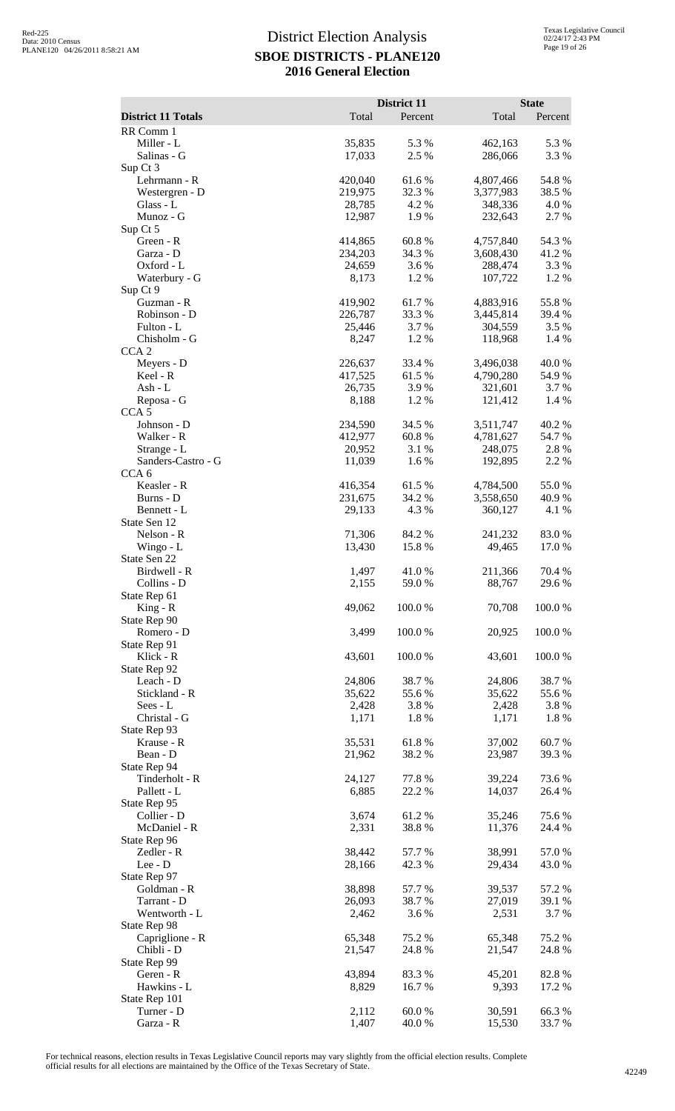|                                 |                   | District 11     |                      | <b>State</b>    |
|---------------------------------|-------------------|-----------------|----------------------|-----------------|
| <b>District 11 Totals</b>       | Total             | Percent         | Total                | Percent         |
| RR Comm 1<br>Miller - L         | 35,835            | 5.3 %           | 462,163              | 5.3 %           |
| Salinas - G                     | 17,033            | 2.5 %           | 286,066              | 3.3 %           |
| Sup Ct 3                        |                   |                 |                      |                 |
| Lehrmann - R                    | 420,040           | 61.6%           | 4,807,466            | 54.8%           |
| Westergren - D<br>Glass - L     | 219,975<br>28,785 | 32.3 %<br>4.2%  | 3,377,983<br>348,336 | 38.5 %<br>4.0 % |
| Munoz - G                       | 12,987            | 1.9%            | 232,643              | 2.7 %           |
| Sup Ct 5                        |                   |                 |                      |                 |
| Green - R                       | 414,865           | 60.8%           | 4,757,840            | 54.3 %          |
| Garza - D                       | 234,203           | 34.3 %          | 3,608,430            | 41.2%           |
| Oxford - L<br>Waterbury - G     | 24,659<br>8,173   | 3.6%<br>1.2 %   | 288,474<br>107,722   | 3.3 %<br>1.2 %  |
| Sup Ct 9                        |                   |                 |                      |                 |
| Guzman - R                      | 419,902           | 61.7%           | 4,883,916            | 55.8%           |
| Robinson - D                    | 226,787           | 33.3%           | 3,445,814            | 39.4 %          |
| Fulton - L<br>Chisholm - G      | 25,446<br>8,247   | 3.7%<br>1.2%    | 304,559<br>118,968   | 3.5 %<br>1.4 %  |
| CCA <sub>2</sub>                |                   |                 |                      |                 |
| Meyers - D                      | 226,637           | 33.4 %          | 3,496,038            | 40.0%           |
| Keel - R                        | 417,525           | 61.5%           | 4,790,280            | 54.9 %          |
| Ash - L                         | 26,735            | 3.9%            | 321,601              | 3.7 %           |
| Reposa - G<br>CCA <sub>5</sub>  | 8,188             | 1.2%            | 121,412              | 1.4 %           |
| Johnson - D                     | 234,590           | 34.5 %          | 3,511,747            | 40.2%           |
| Walker - R                      | 412,977           | 60.8%           | 4,781,627            | 54.7 %          |
| Strange - L                     | 20,952            | 3.1 %           | 248,075              | 2.8%            |
| Sanders-Castro - G              | 11,039            | 1.6%            | 192,895              | 2.2 %           |
| CCA <sub>6</sub><br>Keasler - R | 416,354           | 61.5%           | 4,784,500            | 55.0%           |
| Burns - D                       | 231,675           | 34.2 %          | 3,558,650            | 40.9 %          |
| Bennett - L                     | 29,133            | 4.3 %           | 360,127              | 4.1 %           |
| State Sen 12                    |                   |                 |                      |                 |
| Nelson - R                      | 71,306            | 84.2 %          | 241,232              | 83.0%           |
| Wingo - L<br>State Sen 22       | 13,430            | 15.8 %          | 49,465               | 17.0%           |
| Birdwell - R                    | 1,497             | 41.0%           | 211,366              | 70.4 %          |
| Collins - D                     | 2,155             | 59.0%           | 88,767               | 29.6 %          |
| State Rep 61                    |                   |                 |                      |                 |
| $King - R$                      | 49,062            | 100.0%          | 70,708               | 100.0%          |
| State Rep 90<br>Romero - D      | 3,499             | 100.0%          | 20,925               | 100.0%          |
| State Rep 91                    |                   |                 |                      |                 |
| Klick - R                       | 43,601            | 100.0%          | 43,601               | 100.0%          |
| State Rep 92                    |                   |                 |                      |                 |
| Leach - D<br>Stickland - R      | 24,806<br>35,622  | 38.7%<br>55.6%  | 24,806<br>35,622     | 38.7%<br>55.6 % |
| Sees - L                        | 2,428             | 3.8%            | 2,428                | 3.8 %           |
| Christal - G                    | 1,171             | 1.8%            | 1,171                | 1.8%            |
| State Rep 93                    |                   |                 |                      |                 |
| Krause - R                      | 35,531            | 61.8%           | 37,002               | 60.7%           |
| Bean - D<br>State Rep 94        | 21,962            | 38.2%           | 23,987               | 39.3%           |
| Tinderholt - R                  | 24,127            | 77.8 %          | 39,224               | 73.6 %          |
| Pallett - L                     | 6,885             | 22.2 %          | 14,037               | 26.4 %          |
| State Rep 95                    |                   |                 |                      |                 |
| Collier - D                     | 3,674             | 61.2%           | 35,246               | 75.6 %          |
| McDaniel - R<br>State Rep 96    | 2,331             | 38.8%           | 11,376               | 24.4 %          |
| Zedler - R                      | 38,442            | 57.7 %          | 38,991               | 57.0%           |
| Lee - D                         | 28,166            | 42.3 %          | 29,434               | 43.0%           |
| State Rep 97                    |                   |                 |                      |                 |
| Goldman - R<br>Tarrant - D      | 38,898<br>26,093  | 57.7 %<br>38.7% | 39,537               | 57.2 %          |
| Wentworth - L                   | 2,462             | 3.6%            | 27,019<br>2,531      | 39.1 %<br>3.7 % |
| State Rep 98                    |                   |                 |                      |                 |
| Capriglione - R                 | 65,348            | 75.2 %          | 65,348               | 75.2 %          |
| Chibli - D                      | 21,547            | 24.8 %          | 21,547               | 24.8%           |
| State Rep 99                    |                   |                 |                      |                 |
| Geren - R<br>Hawkins - L        | 43,894<br>8,829   | 83.3%<br>16.7%  | 45,201<br>9,393      | 82.8%<br>17.2 % |
| State Rep 101                   |                   |                 |                      |                 |
| Turner - D                      | 2,112             | 60.0%           | 30,591               | 66.3%           |
| Garza - R                       | 1,407             | 40.0%           | 15,530               | 33.7 %          |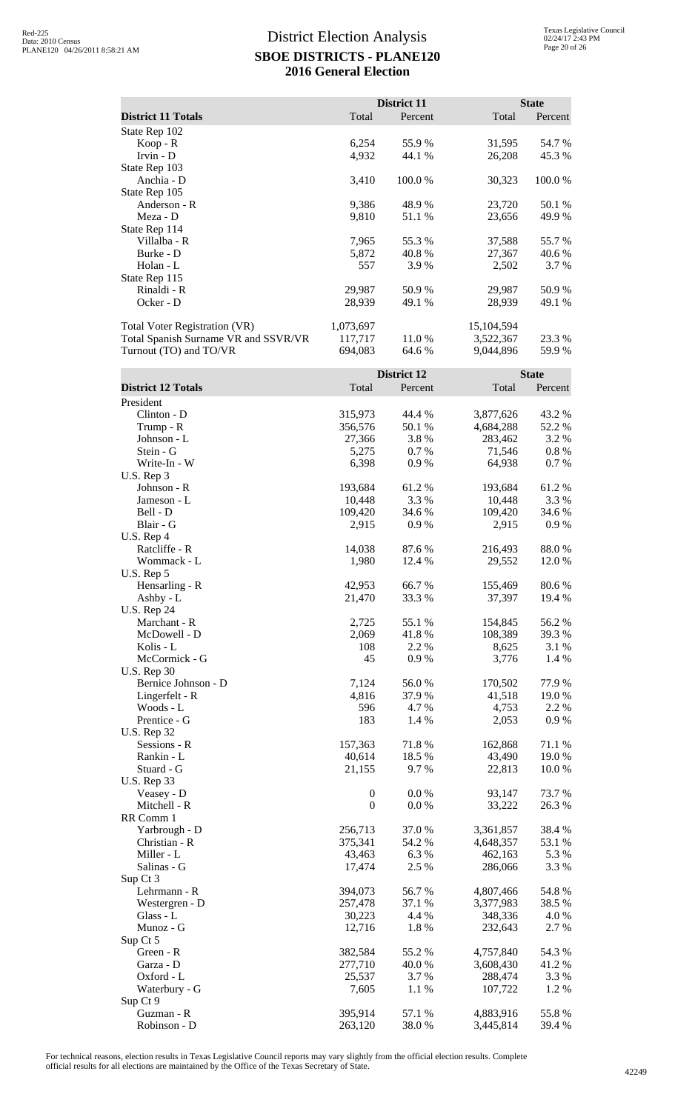|                                      |           | District 11 |              | <b>State</b> |
|--------------------------------------|-----------|-------------|--------------|--------------|
| <b>District 11 Totals</b>            | Total     | Percent     | Total        | Percent      |
| State Rep 102                        |           |             |              |              |
| Koop - R                             | 6,254     | 55.9 %      | 31,595       | 54.7 %       |
| Irvin - $D$                          | 4,932     | 44.1 %      | 26,208       | 45.3 %       |
| State Rep 103                        |           |             |              |              |
| Anchia - D                           | 3,410     | 100.0 %     | 30,323       | 100.0 %      |
| State Rep 105                        |           |             |              |              |
| Anderson - R                         | 9,386     | 48.9 %      | 23,720       | 50.1 %       |
| Meza - D                             | 9,810     | 51.1 %      | 23,656       | 49.9 %       |
| State Rep 114                        |           |             |              |              |
| Villalba - R                         | 7,965     | 55.3 %      | 37,588       | 55.7 %       |
| Burke - D                            | 5,872     | 40.8 %      | 27,367       | 40.6 %       |
| Holan - L                            | 557       | 3.9 %       | 2,502        | 3.7 %        |
| State Rep 115                        |           |             |              |              |
| Rinaldi - R                          | 29,987    | 50.9 %      | 29,987       | 50.9 %       |
| Ocker - D                            | 28,939    | 49.1 %      | 28,939       | 49.1 %       |
| Total Voter Registration (VR)        | 1,073,697 |             | 15, 104, 594 |              |
| Total Spanish Surname VR and SSVR/VR | 117,717   | 11.0 %      | 3,522,367    | 23.3 %       |
| Turnout (TO) and TO/VR               | 694,083   | 64.6 %      | 9,044,896    | 59.9 %       |

|                           |                  | District 12 |           | <b>State</b> |
|---------------------------|------------------|-------------|-----------|--------------|
| <b>District 12 Totals</b> | Total            | Percent     | Total     | Percent      |
| President                 |                  |             |           |              |
| Clinton - D               | 315,973          | 44.4 %      | 3,877,626 | 43.2 %       |
| Trump - R                 | 356,576          | 50.1 %      | 4,684,288 | 52.2 %       |
| Johnson - L               | 27,366           | 3.8%        | 283,462   | 3.2 %        |
| Stein - G                 | 5,275            | 0.7%        | 71,546    | $0.8 \%$     |
| Write-In - W              | 6,398            | 0.9%        | 64,938    | 0.7%         |
| U.S. Rep 3                |                  |             |           |              |
| Johnson - R               | 193,684          | 61.2%       | 193,684   | 61.2%        |
| Jameson - L               | 10,448           | 3.3 %       | 10,448    | 3.3 %        |
| Bell - D                  | 109,420          | 34.6 %      | 109,420   | 34.6 %       |
| Blair - G                 | 2,915            | 0.9%        | 2,915     | 0.9%         |
| U.S. Rep 4                |                  |             |           |              |
| Ratcliffe - R             | 14,038           | 87.6%       | 216,493   | 88.0%        |
| Wommack - L               | 1,980            | 12.4 %      | 29,552    | 12.0 %       |
| U.S. Rep 5                |                  |             |           |              |
| Hensarling - R            | 42,953           | 66.7%       | 155,469   | 80.6%        |
| Ashby - L                 | 21,470           | 33.3 %      | 37,397    | 19.4 %       |
| <b>U.S. Rep 24</b>        |                  |             |           |              |
| Marchant - R              | 2,725            | 55.1 %      | 154,845   | 56.2%        |
| McDowell - D              | 2,069            | 41.8%       | 108,389   | 39.3 %       |
| Kolis - L                 | 108              | 2.2 %       | 8,625     | 3.1 %        |
| McCormick - G             | 45               | 0.9%        | 3,776     | 1.4 %        |
| <b>U.S. Rep 30</b>        |                  |             |           |              |
| Bernice Johnson - D       | 7,124            | 56.0%       | 170,502   | 77.9%        |
| Lingerfelt - R            | 4,816            | 37.9%       | 41,518    | 19.0%        |
| Woods - L                 | 596              | 4.7 %       | 4,753     | 2.2 %        |
| Prentice - G              | 183              | 1.4 %       | 2,053     | 0.9%         |
| <b>U.S. Rep 32</b>        |                  |             |           |              |
| Sessions - R              | 157,363          | 71.8%       | 162,868   | 71.1 %       |
| Rankin - L                | 40,614           | 18.5 %      | 43,490    | 19.0%        |
| Stuard - G                | 21,155           | 9.7%        | 22,813    | 10.0%        |
| <b>U.S. Rep 33</b>        |                  |             |           |              |
| Veasey - D                | $\boldsymbol{0}$ | 0.0 %       | 93,147    | 73.7 %       |
| Mitchell - R              | $\boldsymbol{0}$ | 0.0 %       | 33,222    | 26.3 %       |
| RR Comm 1                 |                  |             |           |              |
| Yarbrough - D             | 256,713          | 37.0 %      | 3,361,857 | 38.4 %       |
| Christian - R             | 375,341          | 54.2 %      | 4,648,357 | 53.1 %       |
| Miller - L                | 43,463           | 6.3%        | 462,163   | 5.3 %        |
| Salinas - G               | 17,474           | 2.5 %       | 286,066   | 3.3 %        |
| Sup Ct 3                  |                  |             |           |              |
| Lehrmann - R              | 394,073          | 56.7%       | 4,807,466 | 54.8%        |
| Westergren - D            | 257,478          | 37.1 %      | 3,377,983 | 38.5 %       |
| Glass - L                 | 30,223           | 4.4 %       | 348,336   | 4.0 %        |
| Munoz - G                 | 12,716           | 1.8%        | 232,643   | 2.7 %        |
| Sup Ct 5                  |                  |             |           |              |
| Green - R                 | 382,584          | 55.2%       | 4,757,840 | 54.3 %       |
| Garza - D                 | 277,710          | 40.0%       | 3,608,430 | 41.2%        |
| Oxford - L                | 25,537           | 3.7 %       | 288,474   | 3.3 %        |
| Waterbury - G             | 7,605            | 1.1 %       | 107,722   | 1.2 %        |
| Sup Ct 9                  |                  |             |           |              |
| Guzman - R                | 395,914          | 57.1 %      | 4,883,916 | 55.8%        |
| Robinson - D              | 263,120          | 38.0%       | 3,445,814 | 39.4 %       |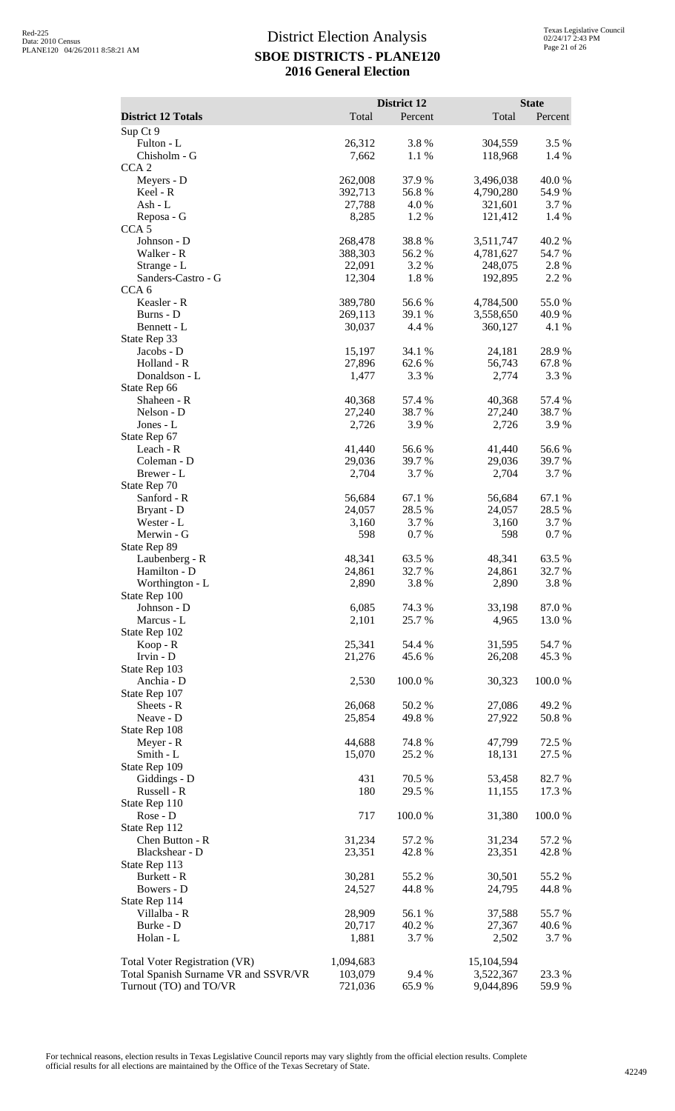| <b>District 12 Totals</b>            | Total            | District 12<br>Percent | Total              | <b>State</b><br>Percent |
|--------------------------------------|------------------|------------------------|--------------------|-------------------------|
| Sup Ct 9                             |                  |                        |                    |                         |
| Fulton - L                           | 26,312           | 3.8%                   | 304,559            | 3.5 %                   |
| Chisholm - G                         | 7,662            | 1.1 %                  | 118,968            | 1.4 %                   |
| CCA <sub>2</sub>                     |                  |                        |                    |                         |
| Meyers - D                           | 262,008          | 37.9%                  | 3,496,038          | 40.0 %                  |
| Keel - R                             | 392,713          | 56.8%                  | 4,790,280          | 54.9%                   |
| Ash - L<br>Reposa - G                | 27,788<br>8,285  | 4.0%<br>1.2 %          | 321,601<br>121,412 | 3.7 %<br>1.4 %          |
| CCA <sub>5</sub>                     |                  |                        |                    |                         |
| Johnson - D                          | 268,478          | 38.8%                  | 3,511,747          | 40.2%                   |
| Walker - R                           | 388,303          | 56.2%                  | 4,781,627          | 54.7%                   |
| Strange - L                          | 22,091           | 3.2 %                  | 248,075            | 2.8%                    |
| Sanders-Castro - G                   | 12,304           | 1.8%                   | 192,895            | 2.2 %                   |
| CCA <sub>6</sub><br>Keasler - R      | 389,780          | 56.6%                  | 4,784,500          | 55.0%                   |
| Burns - D                            | 269,113          | 39.1 %                 | 3,558,650          | 40.9%                   |
| Bennett - L                          | 30,037           | 4.4 %                  | 360,127            | 4.1 %                   |
| State Rep 33                         |                  |                        |                    |                         |
| Jacobs - D                           | 15,197           | 34.1 %                 | 24,181             | 28.9%                   |
| Holland - R<br>Donaldson - L         | 27,896<br>1,477  | 62.6 %<br>3.3 %        | 56,743<br>2,774    | 67.8%<br>3.3 %          |
| State Rep 66                         |                  |                        |                    |                         |
| Shaheen - R                          | 40,368           | 57.4 %                 | 40,368             | 57.4 %                  |
| Nelson - D                           | 27,240           | 38.7%                  | 27,240             | 38.7%                   |
| Jones - L                            | 2,726            | 3.9%                   | 2,726              | 3.9%                    |
| State Rep 67                         |                  |                        |                    |                         |
| Leach - R<br>Coleman - D             | 41,440<br>29,036 | 56.6%<br>39.7%         | 41,440<br>29,036   | 56.6%<br>39.7 %         |
| Brewer - L                           | 2,704            | 3.7%                   | 2,704              | 3.7%                    |
| State Rep 70                         |                  |                        |                    |                         |
| Sanford - R                          | 56,684           | 67.1 %                 | 56,684             | 67.1 %                  |
| Bryant - D                           | 24,057           | 28.5 %                 | 24,057             | 28.5 %                  |
| Wester - L                           | 3,160<br>598     | 3.7%                   | 3,160              | 3.7 %                   |
| Merwin - G<br>State Rep 89           |                  | 0.7%                   | 598                | 0.7%                    |
| Laubenberg - R                       | 48,341           | 63.5 %                 | 48,341             | 63.5 %                  |
| Hamilton - D                         | 24,861           | 32.7 %                 | 24,861             | 32.7 %                  |
| Worthington - L                      | 2,890            | 3.8%                   | 2,890              | 3.8%                    |
| State Rep 100                        |                  |                        |                    |                         |
| Johnson - D<br>Marcus - L            | 6,085<br>2,101   | 74.3 %<br>25.7 %       | 33,198<br>4,965    | 87.0%<br>13.0 %         |
| State Rep 102                        |                  |                        |                    |                         |
| Koop - R                             | 25,341           | 54.4 %                 | 31,595             | 54.7 %                  |
| Irvin - D                            | 21,276           | 45.6%                  | 26,208             | 45.3%                   |
| State Rep 103                        |                  |                        |                    |                         |
| Anchia - D                           | 2,530            | 100.0%                 | 30,323             | 100.0%                  |
| State Rep 107<br>Sheets - R          | 26,068           | 50.2%                  | 27,086             | 49.2 %                  |
| Neave - D                            | 25,854           | 49.8%                  | 27,922             | 50.8%                   |
| State Rep 108                        |                  |                        |                    |                         |
| Meyer - R                            | 44,688           | 74.8%                  | 47,799             | 72.5 %                  |
| Smith - L                            | 15,070           | 25.2 %                 | 18,131             | 27.5 %                  |
| State Rep 109<br>Giddings - D        | 431              | 70.5 %                 | 53,458             | 82.7%                   |
| Russell - R                          | 180              | 29.5 %                 | 11,155             | 17.3 %                  |
| State Rep 110                        |                  |                        |                    |                         |
| Rose - D                             | 717              | 100.0%                 | 31,380             | 100.0%                  |
| State Rep 112                        |                  |                        |                    |                         |
| Chen Button - R                      | 31,234<br>23,351 | 57.2 %                 | 31,234<br>23,351   | 57.2 %                  |
| Blackshear - D<br>State Rep 113      |                  | 42.8 %                 |                    | 42.8 %                  |
| Burkett - R                          | 30,281           | 55.2 %                 | 30,501             | 55.2 %                  |
| Bowers - D                           | 24,527           | 44.8%                  | 24,795             | 44.8%                   |
| State Rep 114                        |                  |                        |                    |                         |
| Villalba - R                         | 28,909           | 56.1 %                 | 37,588             | 55.7%                   |
| Burke - D                            | 20,717           | 40.2 %                 | 27,367             | 40.6 %                  |
| Holan - L                            | 1,881            | 3.7 %                  | 2,502              | 3.7 %                   |
| Total Voter Registration (VR)        | 1,094,683        |                        | 15,104,594         |                         |
| Total Spanish Surname VR and SSVR/VR | 103,079          | 9.4 %                  | 3,522,367          | 23.3 %                  |
| Turnout (TO) and TO/VR               | 721,036          | 65.9%                  | 9,044,896          | 59.9%                   |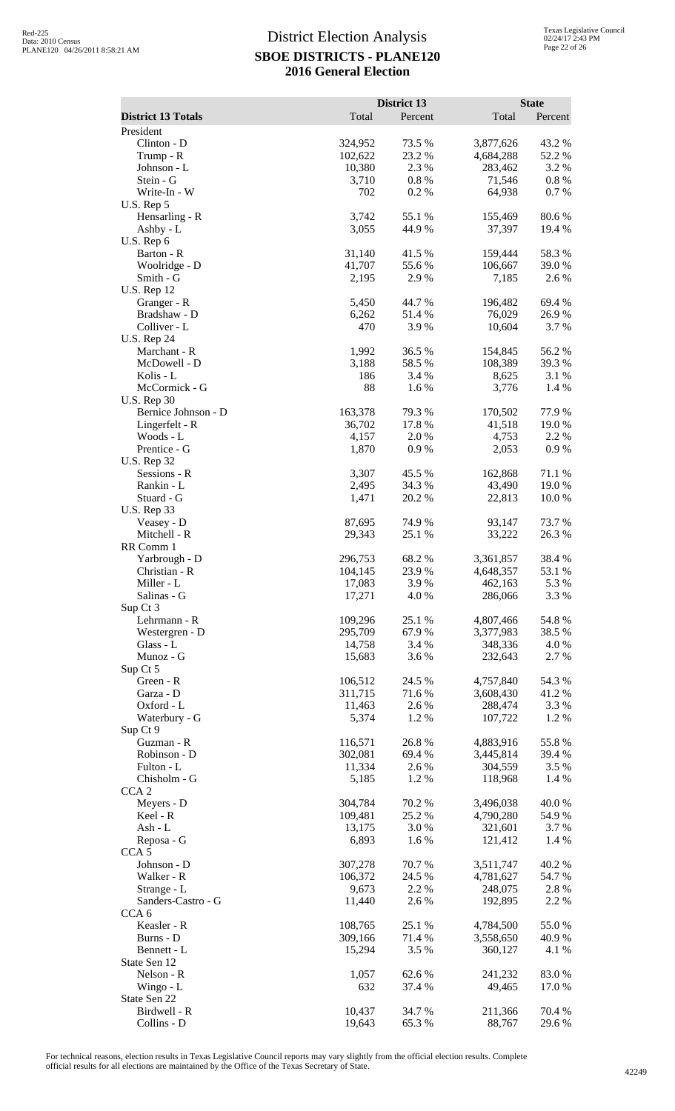|                                           |                    | District 13      |                        | <b>State</b>     |
|-------------------------------------------|--------------------|------------------|------------------------|------------------|
| <b>District 13 Totals</b>                 | Total              | Percent          | Total                  | Percent          |
| President<br>Clinton - D                  | 324,952            | 73.5 %           | 3,877,626              | 43.2 %           |
| Trump - R                                 | 102,622            | 23.2 %           | 4,684,288              | 52.2 %           |
| Johnson - L                               | 10,380             | 2.3 %            | 283,462                | 3.2 %            |
| Stein - G                                 | 3,710              | $0.8~\%$         | 71,546                 | $0.8 \%$         |
| Write-In - W                              | 702                | 0.2%             | 64,938                 | 0.7%             |
| U.S. Rep 5<br>Hensarling - R              | 3,742              | 55.1 %           | 155,469                | 80.6%            |
| Ashby - L                                 | 3,055              | 44.9%            | 37,397                 | 19.4 %           |
| U.S. Rep 6                                |                    |                  |                        |                  |
| Barton - R                                | 31,140             | 41.5 %           | 159,444                | 58.3%            |
| Woolridge - D<br>Smith - G                | 41,707<br>2,195    | 55.6%<br>2.9 %   | 106,667<br>7,185       | 39.0 %<br>2.6 %  |
| <b>U.S. Rep 12</b>                        |                    |                  |                        |                  |
| Granger - R                               | 5,450              | 44.7 %           | 196,482                | 69.4 %           |
| Bradshaw - D                              | 6,262              | 51.4%            | 76,029                 | 26.9%            |
| Colliver - L                              | 470                | 3.9%             | 10,604                 | 3.7 %            |
| <b>U.S. Rep 24</b><br>Marchant - R        | 1,992              | 36.5 %           | 154,845                | 56.2%            |
| McDowell - D                              | 3,188              | 58.5 %           | 108,389                | 39.3%            |
| Kolis - L                                 | 186                | 3.4 %            | 8,625                  | 3.1 %            |
| McCormick - G                             | 88                 | 1.6%             | 3,776                  | 1.4 %            |
| <b>U.S. Rep 30</b><br>Bernice Johnson - D | 163,378            | 79.3 %           | 170,502                | 77.9 %           |
| Lingerfelt - R                            | 36,702             | 17.8 %           | 41,518                 | 19.0 %           |
| Woods - L                                 | 4,157              | 2.0%             | 4,753                  | 2.2 %            |
| Prentice - G                              | 1,870              | 0.9%             | 2,053                  | 0.9%             |
| <b>U.S. Rep 32</b>                        |                    |                  |                        |                  |
| Sessions - R<br>Rankin - L                | 3,307<br>2,495     | 45.5 %<br>34.3 % | 162,868<br>43,490      | 71.1 %<br>19.0 % |
| Stuard - G                                | 1,471              | 20.2 %           | 22,813                 | 10.0%            |
| <b>U.S. Rep 33</b>                        |                    |                  |                        |                  |
| Veasey - D                                | 87,695             | 74.9%            | 93,147                 | 73.7 %           |
| Mitchell - R                              | 29,343             | 25.1 %           | 33,222                 | 26.3%            |
| RR Comm 1<br>Yarbrough - D                | 296,753            | 68.2%            | 3,361,857              | 38.4%            |
| Christian - R                             | 104,145            | 23.9%            | 4,648,357              | 53.1 %           |
| Miller - L                                | 17,083             | 3.9%             | 462,163                | 5.3 %            |
| Salinas - G                               | 17,271             | 4.0%             | 286,066                | 3.3 %            |
| Sup Ct 3<br>Lehrmann - R                  | 109,296            | 25.1 %           | 4,807,466              | 54.8%            |
| Westergren - D                            | 295,709            | 67.9%            | 3,377,983              | 38.5 %           |
| Glass - L                                 | 14,758             | 3.4 %            | 348,336                | 4.0 %            |
| Munoz - G                                 | 15,683             | 3.6 %            | 232,643                | 2.7 %            |
| Sup Ct 5                                  |                    |                  |                        |                  |
| Green - R<br>Garza - D                    | 106,512<br>311,715 | 24.5 %<br>71.6%  | 4,757,840<br>3,608,430 | 54.3 %<br>41.2%  |
| Oxford - L                                | 11,463             | 2.6 %            | 288,474                | 3.3 %            |
| Waterbury - G                             | 5,374              | 1.2%             | 107,722                | 1.2 %            |
| Sup Ct 9                                  |                    |                  |                        |                  |
| Guzman - R                                | 116,571            | 26.8%<br>69.4%   | 4,883,916<br>3,445,814 | 55.8%            |
| Robinson - D<br>Fulton - L                | 302,081<br>11,334  | 2.6 %            | 304,559                | 39.4 %<br>3.5%   |
| Chisholm - G                              | 5,185              | 1.2%             | 118,968                | 1.4 %            |
| CCA <sub>2</sub>                          |                    |                  |                        |                  |
| Meyers - D                                | 304,784            | 70.2 %           | 3,496,038              | 40.0%            |
| Keel - R<br>$Ash - L$                     | 109,481<br>13,175  | 25.2 %<br>3.0%   | 4,790,280<br>321,601   | 54.9 %<br>3.7 %  |
| Reposa - G                                | 6,893              | 1.6 %            | 121,412                | 1.4 %            |
| CCA <sub>5</sub>                          |                    |                  |                        |                  |
| Johnson - D                               | 307,278            | 70.7 %           | 3,511,747              | 40.2 %           |
| Walker - R                                | 106,372            | 24.5 %           | 4,781,627              | 54.7 %           |
| Strange - L<br>Sanders-Castro - G         | 9,673<br>11,440    | 2.2 %<br>2.6 %   | 248,075<br>192,895     | 2.8%<br>2.2 %    |
| CCA <sub>6</sub>                          |                    |                  |                        |                  |
| Keasler - R                               | 108,765            | 25.1 %           | 4,784,500              | 55.0%            |
| Burns - D                                 | 309,166            | 71.4 %           | 3,558,650              | 40.9%            |
| Bennett - L                               | 15,294             | 3.5 %            | 360,127                | 4.1 %            |
| State Sen 12<br>Nelson - R                | 1,057              | 62.6 %           | 241,232                | 83.0%            |
| Wingo - $L$                               | 632                | 37.4 %           | 49,465                 | 17.0 %           |
| State Sen 22                              |                    |                  |                        |                  |
| Birdwell - R                              | 10,437             | 34.7 %           | 211,366                | 70.4 %           |
| Collins - D                               | 19,643             | 65.3%            | 88,767                 | 29.6 %           |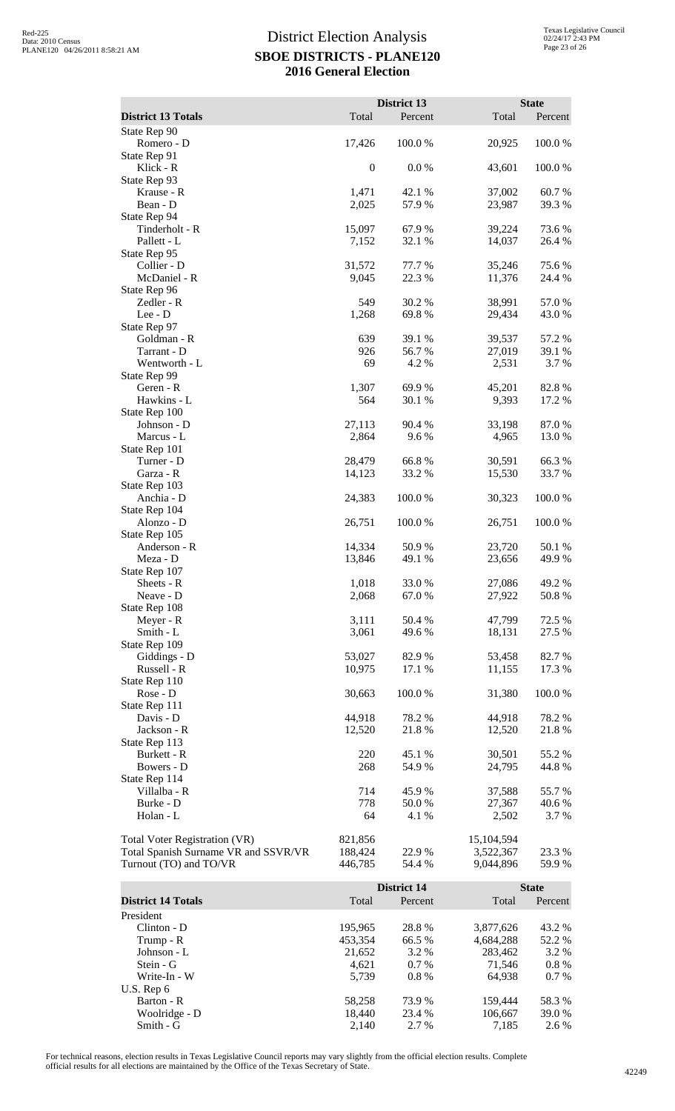|                                         |                            | District 13        |                      | <b>State</b>     |
|-----------------------------------------|----------------------------|--------------------|----------------------|------------------|
| <b>District 13 Totals</b>               | Total                      | Percent            | Total                | Percent          |
| State Rep 90                            |                            |                    |                      |                  |
| Romero - D<br>State Rep 91<br>Klick - R | 17,426<br>$\boldsymbol{0}$ | 100.0%<br>0.0 %    | 20,925<br>43,601     | 100.0%<br>100.0% |
| State Rep 93                            |                            |                    |                      |                  |
| Krause - R                              | 1,471                      | 42.1 %             | 37,002               | 60.7%            |
| Bean - D<br>State Rep 94                | 2,025                      | 57.9%              | 23,987               | 39.3%            |
| Tinderholt - R                          | 15,097                     | 67.9%              | 39,224               | 73.6 %           |
| Pallett - L                             | 7,152                      | 32.1 %             | 14,037               | 26.4 %           |
| State Rep 95                            |                            |                    |                      |                  |
| Collier - D<br>McDaniel - R             | 31,572<br>9,045            | 77.7 %<br>22.3 %   | 35,246<br>11,376     | 75.6%<br>24.4 %  |
| State Rep 96                            |                            |                    |                      |                  |
| Zedler - R                              | 549                        | 30.2 %             | 38,991               | 57.0 %           |
| Lee - D<br>State Rep 97                 | 1,268                      | 69.8%              | 29,434               | 43.0%            |
| Goldman - R                             | 639                        | 39.1 %             | 39,537               | 57.2 %           |
| Tarrant - D                             | 926                        | 56.7%              | 27,019               | 39.1 %           |
| Wentworth - L                           | 69                         | 4.2 %              | 2,531                | 3.7 %            |
| State Rep 99<br>Geren - R               | 1,307                      | 69.9%              | 45,201               | 82.8%            |
| Hawkins - L                             | 564                        | 30.1 %             | 9,393                | 17.2 %           |
| State Rep 100                           |                            |                    |                      |                  |
| Johnson - D<br>Marcus - L               | 27,113<br>2,864            | 90.4 %<br>9.6%     | 33,198<br>4,965      | 87.0%<br>13.0%   |
| State Rep 101                           |                            |                    |                      |                  |
| Turner - D                              | 28,479                     | 66.8%              | 30,591               | 66.3%            |
| Garza - R                               | 14,123                     | 33.2 %             | 15,530               | 33.7 %           |
| State Rep 103<br>Anchia - D             | 24,383                     | 100.0%             | 30,323               | 100.0%           |
| State Rep 104                           |                            |                    |                      |                  |
| Alonzo - D                              | 26,751                     | 100.0%             | 26,751               | 100.0%           |
| State Rep 105<br>Anderson - R           | 14,334                     | 50.9%              | 23,720               | 50.1 %           |
| Meza - D                                | 13,846                     | 49.1 %             | 23,656               | 49.9 %           |
| State Rep 107                           |                            |                    |                      |                  |
| Sheets - R                              | 1,018                      | 33.0%              | 27,086               | 49.2%            |
| Neave - D<br>State Rep 108              | 2,068                      | 67.0%              | 27,922               | 50.8%            |
| Meyer - R                               | 3,111                      | 50.4 %             | 47,799               | 72.5 %           |
| Smith - L                               | 3,061                      | 49.6 %             | 18,131               | 27.5 %           |
| State Rep 109                           |                            |                    |                      |                  |
| Giddings - D<br>Russell - R             | 53,027<br>10,975           | 82.9 %<br>17.1 %   | 53,458<br>11,155     | 82.7%<br>17.3 %  |
| State Rep 110                           |                            |                    |                      |                  |
| Rose - D                                | 30,663                     | 100.0%             | 31,380               | 100.0%           |
| State Rep 111<br>Davis - D              | 44,918                     | 78.2 %             | 44,918               | 78.2 %           |
| Jackson - R                             | 12,520                     | 21.8%              | 12,520               | 21.8%            |
| State Rep 113                           |                            |                    |                      |                  |
| Burkett - R                             | 220                        | 45.1 %             | 30,501               | 55.2 %           |
| Bowers - D<br>State Rep 114             | 268                        | 54.9%              | 24,795               | 44.8%            |
| Villalba - R                            | 714                        | 45.9%              | 37,588               | 55.7%            |
| Burke - D                               | 778                        | 50.0 %             | 27,367               | 40.6%            |
| Holan - L                               | 64                         | 4.1 %              | 2,502                | 3.7%             |
| Total Voter Registration (VR)           | 821,856                    |                    | 15,104,594           |                  |
| Total Spanish Surname VR and SSVR/VR    | 188,424                    | 22.9 %             | 3,522,367            | 23.3 %           |
| Turnout (TO) and TO/VR                  | 446,785                    | 54.4 %             | 9,044,896            | 59.9%            |
|                                         |                            | <b>District 14</b> |                      | <b>State</b>     |
| <b>District 14 Totals</b>               | Total                      | Percent            | Total                | Percent          |
| President                               |                            |                    |                      |                  |
| Clinton - D                             | 195,965                    | 28.8%              | 3,877,626            | 43.2 %           |
| Trump - R<br>Johnson - L                | 453,354<br>21,652          | 66.5 %<br>3.2 %    | 4,684,288<br>283,462 | 52.2 %<br>3.2 %  |
| Stein - G                               | 4,621                      | 0.7%               | 71,546               | $0.8 \%$         |
| Write-In - W                            | 5,739                      | 0.8 %              | 64,938               | 0.7%             |
| U.S. Rep 6                              |                            |                    |                      |                  |
| Barton - R<br>Woolridge - D             | 58,258<br>18,440           | 73.9%<br>23.4 %    | 159,444<br>106,667   | 58.3%<br>39.0%   |
| Smith - G                               | 2,140                      | 2.7 %              | 7,185                | 2.6 %            |

For technical reasons, election results in Texas Legislative Council reports may vary slightly from the official election results. Complete official results for all elections are maintained by the Office of the Texas Secretary of State. <sup>42249</sup>

Smith - G 2,140 2.7 % 7,185 2.6 %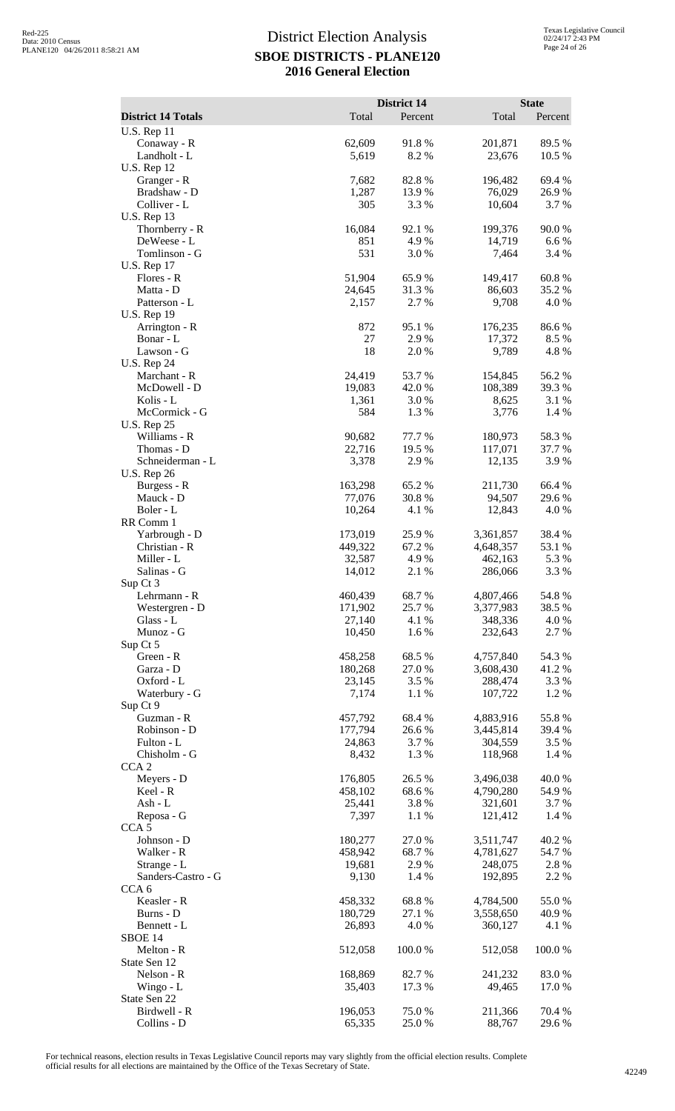|                                        |                    | District 14    |                        | <b>State</b>    |
|----------------------------------------|--------------------|----------------|------------------------|-----------------|
| <b>District 14 Totals</b>              | Total              | Percent        | Total                  | Percent         |
| <b>U.S. Rep 11</b><br>Conaway - R      | 62,609             | 91.8%          | 201,871                | 89.5 %          |
| Landholt - L<br><b>U.S. Rep 12</b>     | 5,619              | 8.2%           | 23,676                 | 10.5 %          |
| Granger - R                            | 7,682              | 82.8%          | 196,482                | 69.4%           |
| Bradshaw - D                           | 1,287              | 13.9%          | 76,029                 | 26.9%           |
| Colliver - L<br><b>U.S. Rep 13</b>     | 305                | 3.3 %          | 10,604                 | 3.7 %           |
| Thornberry - R                         | 16,084             | 92.1 %         | 199,376                | 90.0%           |
| DeWeese - L                            | 851                | 4.9%           | 14,719                 | 6.6 %           |
| Tomlinson - G                          | 531                | 3.0%           | 7,464                  | 3.4 %           |
| <b>U.S. Rep 17</b><br>Flores - R       | 51,904             | 65.9%          | 149,417                | $60.8~\%$       |
| Matta - D                              | 24,645             | 31.3%          | 86,603                 | 35.2 %          |
| Patterson - L                          | 2,157              | 2.7 %          | 9,708                  | 4.0%            |
| <b>U.S. Rep 19</b><br>Arrington - R    | 872                | 95.1 %         | 176,235                | 86.6%           |
| Bonar - L                              | 27                 | 2.9%           | 17,372                 | 8.5 %           |
| Lawson - G                             | 18                 | 2.0 %          | 9,789                  | 4.8%            |
| <b>U.S. Rep 24</b>                     |                    |                |                        |                 |
| Marchant - R<br>McDowell - D           | 24,419<br>19,083   | 53.7%<br>42.0% | 154,845<br>108,389     | 56.2%<br>39.3%  |
| Kolis - L                              | 1,361              | 3.0%           | 8,625                  | 3.1 %           |
| McCormick - G                          | 584                | 1.3%           | 3,776                  | 1.4 %           |
| <b>U.S. Rep 25</b><br>Williams - R     | 90,682             | 77.7 %         | 180,973                | 58.3%           |
| Thomas - D                             | 22,716             | 19.5 %         | 117,071                | 37.7 %          |
| Schneiderman - L                       | 3,378              | 2.9%           | 12,135                 | 3.9%            |
| <b>U.S. Rep 26</b>                     |                    |                |                        |                 |
| Burgess - R<br>Mauck - D               | 163,298<br>77,076  | 65.2%<br>30.8% | 211,730<br>94,507      | 66.4 %<br>29.6% |
| Boler - L                              | 10,264             | 4.1 %          | 12,843                 | 4.0%            |
| RR Comm 1                              |                    |                |                        |                 |
| Yarbrough - D                          | 173,019            | 25.9%          | 3,361,857              | 38.4 %          |
| Christian - R<br>Miller - L            | 449,322<br>32,587  | 67.2 %<br>4.9% | 4,648,357<br>462,163   | 53.1 %<br>5.3 % |
| Salinas - G                            | 14,012             | 2.1 %          | 286,066                | 3.3 %           |
| Sup Ct 3                               |                    |                |                        |                 |
| Lehrmann - R<br>Westergren - D         | 460,439<br>171,902 | 68.7%<br>25.7% | 4,807,466<br>3,377,983 | 54.8%<br>38.5 % |
| Glass - L                              | 27,140             | 4.1 %          | 348,336                | 4.0%            |
| Munoz - G                              | 10,450             | 1.6%           | 232,643                | 2.7 %           |
| Sup Ct 5<br>Green - R                  | 458,258            | 68.5 %         | 4,757,840              | 54.3 %          |
| Garza - D                              | 180,268            | 27.0%          | 3,608,430              | 41.2%           |
| Oxford - L                             | 23,145             | 3.5 %          | 288,474                | 3.3 %           |
| Waterbury - G                          | 7,174              | 1.1 %          | 107,722                | 1.2%            |
| Sup Ct 9<br>Guzman - R                 | 457,792            | 68.4%          | 4,883,916              | 55.8%           |
| Robinson - D                           | 177,794            | 26.6%          | 3,445,814              | 39.4 %          |
| Fulton - L                             | 24,863             | 3.7%           | 304,559                | 3.5 %           |
| Chisholm - G<br>CCA <sub>2</sub>       | 8,432              | 1.3%           | 118,968                | 1.4 %           |
| Meyers - D                             | 176,805            | 26.5 %         | 3,496,038              | 40.0%           |
| Keel - R                               | 458,102            | 68.6%          | 4,790,280              | 54.9 %          |
| Ash - L                                | 25,441             | 3.8%           | 321,601                | 3.7 %           |
| Reposa - G<br>CCA <sub>5</sub>         | 7,397              | 1.1 %          | 121,412                | 1.4 %           |
| Johnson - D                            | 180,277            | 27.0%          | 3,511,747              | 40.2%           |
| Walker - R                             | 458,942            | 68.7%          | 4,781,627              | 54.7%           |
| Strange - L                            | 19,681             | 2.9%           | 248,075                | 2.8%            |
| Sanders-Castro - G<br>CCA <sub>6</sub> | 9,130              | 1.4 %          | 192,895                | 2.2 %           |
| Keasler - R                            | 458,332            | 68.8%          | 4,784,500              | 55.0%           |
| Burns - D                              | 180,729            | 27.1 %         | 3,558,650              | 40.9 %          |
| Bennett - L<br>SBOE 14                 | 26,893             | 4.0%           | 360,127                | 4.1 %           |
| Melton - R                             | 512,058            | 100.0%         | 512,058                | 100.0%          |
| State Sen 12                           |                    |                |                        |                 |
| Nelson - R                             | 168,869            | 82.7%          | 241,232                | 83.0%           |
| Wingo - L<br>State Sen 22              | 35,403             | 17.3 %         | 49,465                 | 17.0 %          |
| Birdwell - R                           | 196,053            | 75.0%          | 211,366                | 70.4 %          |
| Collins - D                            | 65,335             | 25.0%          | 88,767                 | 29.6%           |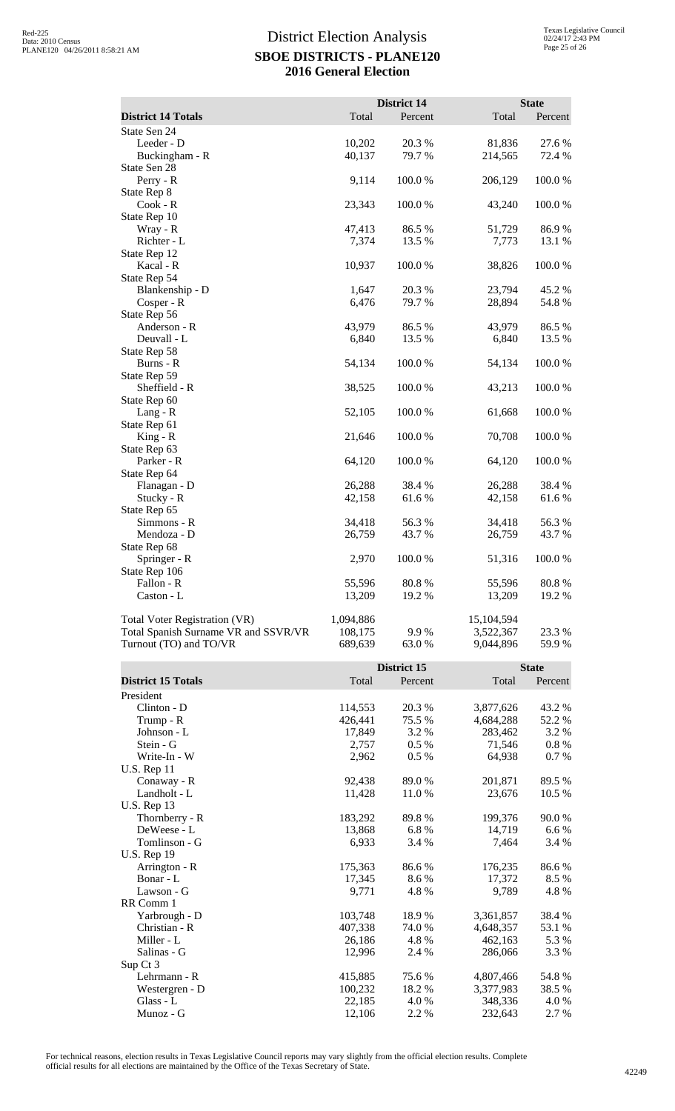|                                      |           | District 14 |              | <b>State</b> |
|--------------------------------------|-----------|-------------|--------------|--------------|
| <b>District 14 Totals</b>            | Total     | Percent     | Total        | Percent      |
| State Sen 24                         |           |             |              |              |
| Leeder - D                           | 10,202    | 20.3 %      | 81,836       | 27.6 %       |
| Buckingham - R                       | 40,137    | 79.7 %      | 214,565      | 72.4 %       |
| State Sen 28                         |           |             |              |              |
| Perry - R                            | 9,114     | 100.0%      | 206,129      | 100.0%       |
| State Rep 8                          |           |             |              |              |
| $Cook - R$                           | 23,343    | 100.0%      | 43,240       | 100.0%       |
| State Rep 10                         |           |             |              |              |
| Wray - R                             | 47,413    | 86.5 %      | 51,729       | 86.9%        |
| Richter - L                          | 7,374     | 13.5 %      | 7,773        | 13.1 %       |
| State Rep 12                         |           |             |              |              |
| Kacal - R                            | 10,937    | 100.0%      | 38,826       | 100.0%       |
| State Rep 54                         |           |             |              |              |
| Blankenship - D                      | 1,647     | 20.3 %      | 23,794       | 45.2 %       |
| Cosper - R                           | 6,476     | 79.7 %      | 28,894       | 54.8%        |
| State Rep 56                         |           |             |              |              |
| Anderson - R                         | 43,979    | 86.5%       | 43,979       | 86.5%        |
| Deuvall - L                          | 6,840     | 13.5 %      | 6,840        | 13.5 %       |
| State Rep 58                         |           |             |              |              |
| Burns - R                            | 54,134    | 100.0%      | 54,134       | 100.0%       |
| State Rep 59                         |           |             |              |              |
| Sheffield - R                        | 38,525    | 100.0%      | 43,213       | 100.0%       |
| State Rep 60                         |           |             |              |              |
| $Lang - R$                           | 52,105    | 100.0%      | 61,668       | 100.0%       |
| State Rep 61                         |           |             |              |              |
| $King - R$                           | 21,646    | 100.0%      | 70,708       | 100.0%       |
| State Rep 63                         |           |             |              |              |
| Parker - R                           | 64,120    | 100.0%      | 64,120       | 100.0%       |
| State Rep 64                         |           |             |              |              |
| Flanagan - D                         | 26,288    | 38.4%       | 26,288       | 38.4%        |
| Stucky - R                           | 42,158    | 61.6 %      | 42,158       | 61.6%        |
| State Rep 65                         |           |             |              |              |
| Simmons - R                          | 34,418    | 56.3%       | 34,418       | 56.3%        |
| Mendoza - D                          | 26,759    | 43.7%       | 26,759       | 43.7%        |
| State Rep 68                         |           |             |              |              |
| Springer - R                         | 2,970     | 100.0%      | 51,316       | 100.0%       |
| State Rep 106                        |           |             |              |              |
| Fallon - R                           | 55,596    | 80.8%       | 55,596       | 80.8%        |
| Caston - L                           | 13,209    | 19.2 %      | 13,209       | 19.2 %       |
|                                      |           |             |              |              |
| <b>Total Voter Registration (VR)</b> | 1,094,886 |             | 15,104,594   |              |
| Total Spanish Surname VR and SSVR/VR | 108,175   | 9.9%        | 3,522,367    | 23.3 %       |
| Turnout (TO) and TO/VR               | 689,639   | 63.0 %      | 9,044,896    | 59.9%        |
|                                      |           |             |              |              |
|                                      |           | District 15 | <b>State</b> |              |
| <b>District 15 Totals</b>            | Total     | Percent     | Total        | Percent      |
| President                            |           |             |              |              |
| Clinton - D                          | 114,553   | 20.3 %      | 3,877,626    | 43.2 %       |
| Trump - R                            | 426,441   | 75.5 %      | 4,684,288    | 52.2 %       |
|                                      |           |             |              |              |

| District 15 Totals | a otal  | refcent | I Otal    | refcent |
|--------------------|---------|---------|-----------|---------|
| President          |         |         |           |         |
| $Clinton - D$      | 114,553 | 20.3 %  | 3,877,626 | 43.2 %  |
| Trump - R          | 426,441 | 75.5 %  | 4,684,288 | 52.2 %  |
| Johnson - L        | 17,849  | 3.2 %   | 283,462   | 3.2 %   |
| Stein - G          | 2,757   | $0.5\%$ | 71,546    | 0.8 %   |
| Write-In - W       | 2,962   | 0.5 %   | 64,938    | 0.7%    |
| <b>U.S. Rep 11</b> |         |         |           |         |
| Conaway - R        | 92,438  | 89.0%   | 201,871   | 89.5 %  |
| Landholt - L       | 11,428  | 11.0%   | 23,676    | 10.5 %  |
| <b>U.S. Rep 13</b> |         |         |           |         |
| Thornberry - R     | 183,292 | 89.8%   | 199,376   | 90.0%   |
| DeWeese - L        | 13,868  | 6.8%    | 14,719    | 6.6 %   |
| Tomlinson - G      | 6,933   | 3.4 %   | 7,464     | 3.4 %   |
| U.S. Rep $19$      |         |         |           |         |
| Arrington - R      | 175,363 | 86.6%   | 176,235   | 86.6 %  |
| Bonar - L          | 17,345  | 8.6%    | 17,372    | 8.5%    |
| Lawson - G         | 9,771   | 4.8%    | 9,789     | 4.8%    |
| RR Comm 1          |         |         |           |         |
| Yarbrough - D      | 103,748 | 18.9%   | 3,361,857 | 38.4%   |
| Christian - R      | 407,338 | 74.0 %  | 4,648,357 | 53.1 %  |
| Miller - L         | 26,186  | 4.8%    | 462,163   | 5.3 %   |
| Salinas - G        | 12,996  | 2.4 %   | 286,066   | 3.3 %   |
| Sup Ct 3           |         |         |           |         |
| Lehrmann - R       | 415,885 | 75.6 %  | 4,807,466 | 54.8%   |
| Westergren - D     | 100,232 | 18.2%   | 3,377,983 | 38.5 %  |
| Glass - L          | 22,185  | 4.0 %   | 348,336   | 4.0 %   |
| Munoz - G          | 12,106  | 2.2 %   | 232,643   | 2.7 %   |